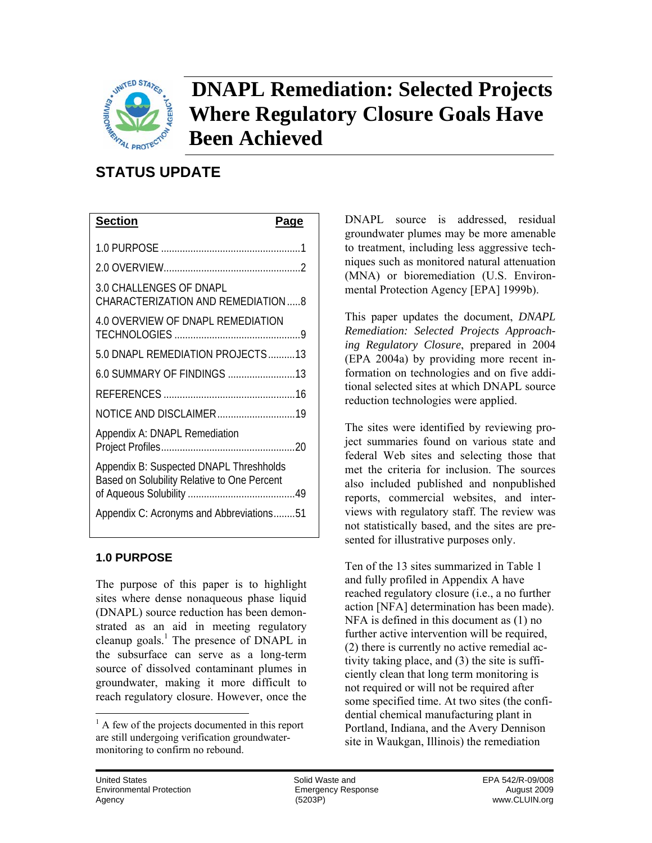

## **DNAPL Remediation: Selected Projects Where Regulatory Closure Goals Have Been Achieved**

## **STATUS UPDATE**

| <b>Section</b>                                                                         | Page |
|----------------------------------------------------------------------------------------|------|
|                                                                                        |      |
|                                                                                        |      |
| 3.0 CHALLENGES OF DNAPL<br>CHARACTERIZATION AND REMEDIATION 8                          |      |
| <b>4.0 OVERVIEW OF DNAPL REMEDIATION</b>                                               |      |
| 5.0 DNAPL REMEDIATION PROJECTS13                                                       |      |
| 6.0 SUMMARY OF FINDINGS 13                                                             |      |
|                                                                                        |      |
| NOTICE AND DISCLAIMER19                                                                |      |
| Appendix A: DNAPL Remediation                                                          |      |
| Appendix B: Suspected DNAPL Threshholds<br>Based on Solubility Relative to One Percent |      |
| Appendix C: Acronyms and Abbreviations51                                               |      |

## **1.0 PURPOSE**

The purpose of this paper is to highlight sites where dense nonaqueous phase liquid (DNAPL) source reduction has been demonstrated as an aid in meeting regulatory cleanup goals.<sup>1</sup> The presence of DNAPL in the subsurface can serve as a long-term source of dissolved contaminant plumes in groundwater, making it more difficult to reach regulatory closure. However, once the

mental Protection Agency [EPA] 1999b). DNAPL source is addressed, residual groundwater plumes may be more amenable to treatment, including less aggressive techniques such as monitored natural attenuation (MNA) or bioremediation (U.S. Environ-

This paper updates the document, *DNAPL Remediation: Selected Projects Approaching Regulatory Closure*, prepared in 2004 (EPA 2004a) by providing more recent information on technologies and on five additional selected sites at which DNAPL source reduction technologies were applied.

The sites were identified by reviewing project summaries found on various state and federal Web sites and selecting those that met the criteria for inclusion. The sources also included published and nonpublished reports, commercial websites, and interviews with regulatory staff. The review was not statistically based, and the sites are presented for illustrative purposes only.

Ten of the 13 sites summarized in Table 1 and fully profiled in Appendix A have reached regulatory closure (i.e., a no further action [NFA] determination has been made). NFA is defined in this document as (1) no further active intervention will be required, (2) there is currently no active remedial activity taking place, and (3) the site is sufficiently clean that long term monitoring is not required or will not be required after some specified time. At two sites (the confidential chemical manufacturing plant in Portland, Indiana, and the Avery Dennison site in Waukgan, Illinois) the remediation

l

 are still undergoing verification groundwater- monitoring to confirm no rebound.  $<sup>1</sup>$  A few of the projects documented in this report</sup>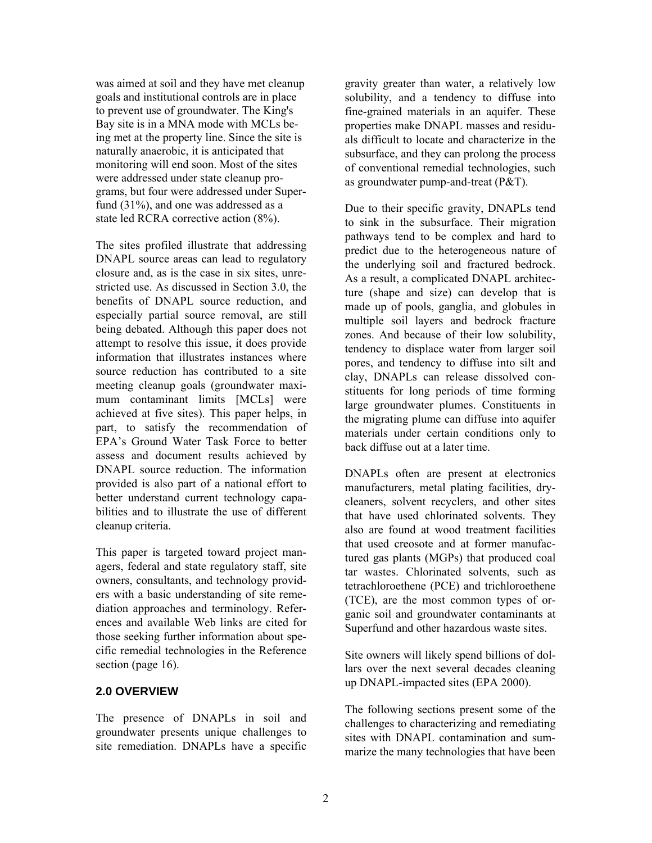was aimed at soil and they have met cleanup goals and institutional controls are in place to prevent use of groundwater. The King's Bay site is in a MNA mode with MCLs being met at the property line. Since the site is naturally anaerobic, it is anticipated that monitoring will end soon. Most of the sites were addressed under state cleanup programs, but four were addressed under Superfund (31%), and one was addressed as a state led RCRA corrective action (8%).

The sites profiled illustrate that addressing DNAPL source areas can lead to regulatory closure and, as is the case in six sites, unrestricted use. As discussed in Section 3.0, the benefits of DNAPL source reduction, and especially partial source removal, are still being debated. Although this paper does not attempt to resolve this issue, it does provide information that illustrates instances where source reduction has contributed to a site meeting cleanup goals (groundwater maximum contaminant limits [MCLs] were achieved at five sites). This paper helps, in part, to satisfy the recommendation of EPA's Ground Water Task Force to better assess and document results achieved by DNAPL source reduction. The information provided is also part of a national effort to better understand current technology capabilities and to illustrate the use of different cleanup criteria.

This paper is targeted toward project managers, federal and state regulatory staff, site owners, consultants, and technology providers with a basic understanding of site remediation approaches and terminology. References and available Web links are cited for those seeking further information about specific remedial technologies in the Reference section (page 16).

## **2.0 OVERVIEW**

The presence of DNAPLs in soil and groundwater presents unique challenges to site remediation. DNAPLs have a specific

gravity greater than water, a relatively low solubility, and a tendency to diffuse into fine-grained materials in an aquifer. These properties make DNAPL masses and residuals difficult to locate and characterize in the subsurface, and they can prolong the process of conventional remedial technologies, such as groundwater pump-and-treat (P&T).

 materials under certain conditions only to Due to their specific gravity, DNAPLs tend to sink in the subsurface. Their migration pathways tend to be complex and hard to predict due to the heterogeneous nature of the underlying soil and fractured bedrock. As a result, a complicated DNAPL architecture (shape and size) can develop that is made up of pools, ganglia, and globules in multiple soil layers and bedrock fracture zones. And because of their low solubility, tendency to displace water from larger soil pores, and tendency to diffuse into silt and clay, DNAPLs can release dissolved constituents for long periods of time forming large groundwater plumes. Constituents in the migrating plume can diffuse into aquifer back diffuse out at a later time.

DNAPLs often are present at electronics manufacturers, metal plating facilities, drycleaners, solvent recyclers, and other sites that have used chlorinated solvents. They also are found at wood treatment facilities that used creosote and at former manufactured gas plants (MGPs) that produced coal tar wastes. Chlorinated solvents, such as tetrachloroethene (PCE) and trichloroethene (TCE), are the most common types of organic soil and groundwater contaminants at Superfund and other hazardous waste sites.

Site owners will likely spend billions of dollars over the next several decades cleaning up DNAPL-impacted sites (EPA 2000).

The following sections present some of the challenges to characterizing and remediating sites with DNAPL contamination and summarize the many technologies that have been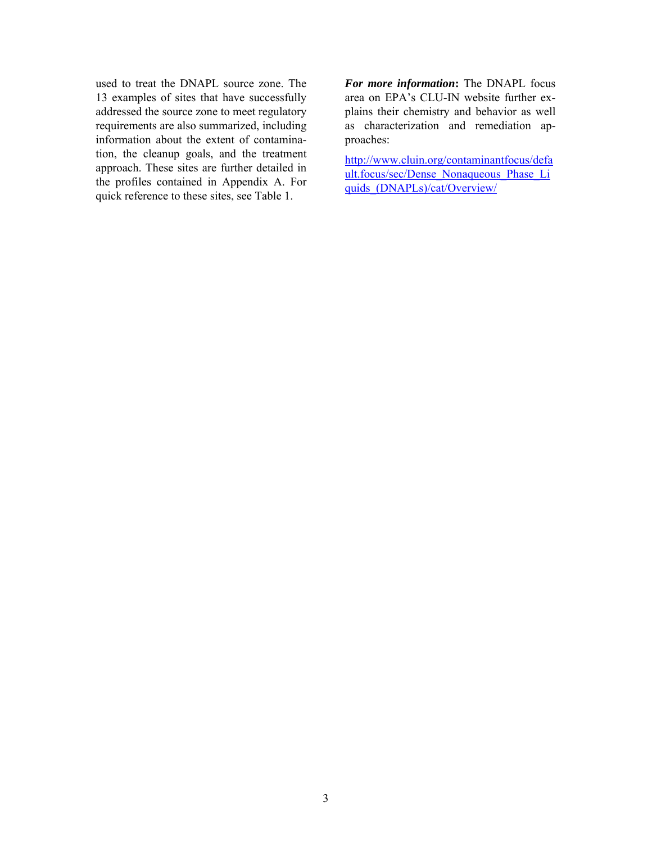used to treat the DNAPL source zone. The 13 examples of sites that have successfully addressed the source zone to meet regulatory requirements are also summarized, including information about the extent of contamination, the cleanup goals, and the treatment approach. These sites are further detailed in the profiles contained in Appendix A. For quick reference to these sites, see Table 1.

*For more information***:** The DNAPL focus area on EPA's CLU-IN website further explains their chemistry and behavior as well as characterization and remediation approaches:

quids (DNAPLs)/cat/Overview/ http://www.cluin.org/contaminantfocus/defa ult.focus/sec/Dense\_Nonaqueous\_Phase\_Li quids\_(DNAPLs)/cat/Overview/<br>3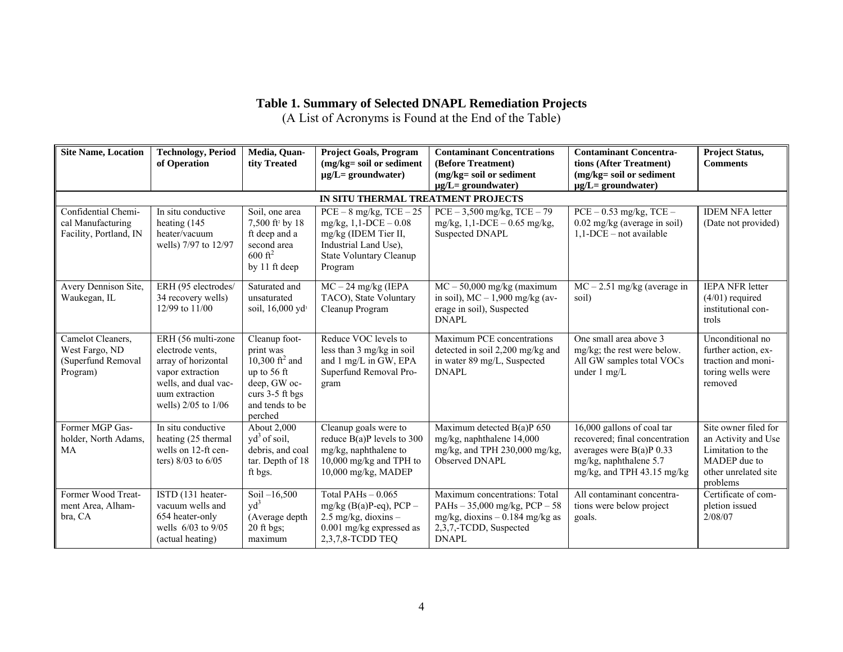## **Table 1. Summary of Selected DNAPL Remediation Projects**

(A List of Acronyms is Found at the End of the Table)

| <b>Site Name, Location</b>                                            | <b>Technology, Period</b><br>of Operation                                                                                                          | Media, Quan-<br>tity Treated                                                                                                               | <b>Project Goals, Program</b><br>(mg/kg= soil or sediment<br>$\mu$ g/L= groundwater)                                                                   | <b>Contaminant Concentrations</b><br>(Before Treatment)<br>(mg/kg= soil or sediment<br>$\mu$ g/L= groundwater)                                 | <b>Contaminant Concentra-</b><br>tions (After Treatment)<br>$(mg/kg = soil or sediment)$<br>$\mu$ g/L= groundwater)                                 | <b>Project Status,</b><br><b>Comments</b>                                                                            |
|-----------------------------------------------------------------------|----------------------------------------------------------------------------------------------------------------------------------------------------|--------------------------------------------------------------------------------------------------------------------------------------------|--------------------------------------------------------------------------------------------------------------------------------------------------------|------------------------------------------------------------------------------------------------------------------------------------------------|-----------------------------------------------------------------------------------------------------------------------------------------------------|----------------------------------------------------------------------------------------------------------------------|
|                                                                       |                                                                                                                                                    |                                                                                                                                            | IN SITU THERMAL TREATMENT PROJECTS                                                                                                                     |                                                                                                                                                |                                                                                                                                                     |                                                                                                                      |
| Confidential Chemi-<br>cal Manufacturing<br>Facility, Portland, IN    | In situ conductive<br>heating (145<br>heater/vacuum<br>wells) 7/97 to 12/97                                                                        | Soil, one area<br>7,500 ft <sup>2</sup> by 18<br>ft deep and a<br>second area<br>$600 \text{ ft}^2$<br>by 11 ft deep                       | $PCE - 8$ mg/kg, $TCE - 25$<br>$mg/kg$ , 1,1-DCE $-0.08$<br>mg/kg (IDEM Tier II,<br>Industrial Land Use),<br><b>State Voluntary Cleanup</b><br>Program | $PCE - 3,500$ mg/kg, $TCE - 79$<br>$mg/kg$ , 1,1-DCE - 0.65 mg/kg,<br>Suspected DNAPL                                                          | $PCE - 0.53$ mg/kg, $TCE -$<br>0.02 mg/kg (average in soil)<br>$1,1$ -DCE – not available                                                           | <b>IDEM NFA letter</b><br>(Date not provided)                                                                        |
| Avery Dennison Site,<br>Waukegan, IL                                  | ERH (95 electrodes/<br>34 recovery wells)<br>12/99 to 11/00                                                                                        | Saturated and<br>unsaturated<br>soil, $16,000 \text{ vd}^3$                                                                                | $MC - 24$ mg/kg (IEPA<br>TACO), State Voluntary<br>Cleanup Program                                                                                     | $\overline{MC}$ – 50,000 mg/kg (maximum<br>in soil), $MC - 1,900$ mg/kg (av-<br>erage in soil), Suspected<br><b>DNAPL</b>                      | $MC - 2.51$ mg/kg (average in<br>soil)                                                                                                              | <b>IEPA NFR letter</b><br>$(4/01)$ required<br>institutional con-<br>trols                                           |
| Camelot Cleaners,<br>West Fargo, ND<br>(Superfund Removal<br>Program) | ERH (56 multi-zone<br>electrode vents.<br>array of horizontal<br>vapor extraction<br>wells, and dual vac-<br>uum extraction<br>wells) 2/05 to 1/06 | Cleanup foot-<br>print was<br>10,300 ft <sup>2</sup> and<br>up to 56 ft<br>deep, GW oc-<br>curs $3-5$ ft bgs<br>and tends to be<br>perched | Reduce VOC levels to<br>less than 3 mg/kg in soil<br>and 1 mg/L in GW, EPA<br>Superfund Removal Pro-<br>gram                                           | Maximum PCE concentrations<br>detected in soil 2,200 mg/kg and<br>in water 89 mg/L, Suspected<br><b>DNAPL</b>                                  | One small area above 3<br>mg/kg; the rest were below.<br>All GW samples total VOCs<br>under $1 \text{ mg/L}$                                        | Unconditional no<br>further action, ex-<br>traction and moni-<br>toring wells were<br>removed                        |
| Former MGP Gas-<br>holder, North Adams.<br>MA                         | In situ conductive<br>heating (25 thermal<br>wells on 12-ft cen-<br>ters) $8/03$ to $6/05$                                                         | About 2,000<br>$yd^3$ of soil,<br>debris, and coal<br>tar. Depth of 18<br>ft bgs.                                                          | Cleanup goals were to<br>reduce $B(a)P$ levels to 300<br>mg/kg, naphthalene to<br>10,000 mg/kg and TPH to<br>$10,000$ mg/kg, MADEP                     | Maximum detected $B(a)P$ 650<br>mg/kg, naphthalene 14,000<br>mg/kg, and TPH 230,000 mg/kg,<br>Observed DNAPL                                   | 16,000 gallons of coal tar<br>recovered; final concentration<br>averages were $B(a)P(0.33)$<br>mg/kg, naphthalene 5.7<br>mg/kg, and TPH 43.15 mg/kg | Site owner filed for<br>an Activity and Use<br>Limitation to the<br>MADEP due to<br>other unrelated site<br>problems |
| Former Wood Treat-<br>ment Area, Alham-<br>bra, CA                    | ISTD (131 heater-<br>vacuum wells and<br>654 heater-only<br>wells $6/03$ to $9/05$<br>(actual heating)                                             | Soil $-16,500$<br>$\text{yd}^3$<br>(Average depth<br>20 ft bgs;<br>maximum                                                                 | Total PAHs $-0.065$<br>mg/kg (B(a)P-eq), $PCP -$<br>$2.5$ mg/kg, dioxins -<br>0.001 mg/kg expressed as<br>2,3,7,8-TCDD TEQ                             | Maximum concentrations: Total<br>PAHs $-35,000$ mg/kg, PCP $-58$<br>mg/kg, dioxins $-0.184$ mg/kg as<br>2,3,7,-TCDD, Suspected<br><b>DNAPL</b> | All contaminant concentra-<br>tions were below project<br>goals.                                                                                    | Certificate of com-<br>pletion issued<br>2/08/07                                                                     |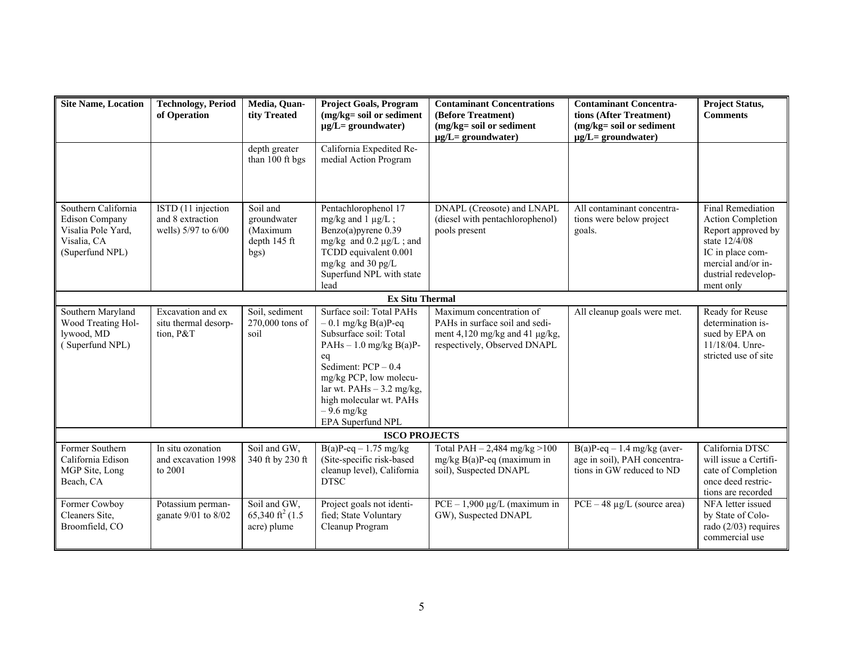| <b>Site Name, Location</b>                                                                           | <b>Technology, Period</b><br>of Operation                     | Media, Quan-<br>tity Treated<br>depth greater               | <b>Project Goals, Program</b><br>(mg/kg= soil or sediment<br>$\mu$ g/L= groundwater)<br>California Expedited Re-                                                                                                                                                | <b>Contaminant Concentrations</b><br>(Before Treatment)<br>(mg/kg= soil or sediment<br>$\mu$ g/L= groundwater)               | <b>Contaminant Concentra-</b><br>tions (After Treatment)<br>(mg/kg= soil or sediment<br>$\mu$ g/L= groundwater) | <b>Project Status,</b><br><b>Comments</b>                                                                                                                          |
|------------------------------------------------------------------------------------------------------|---------------------------------------------------------------|-------------------------------------------------------------|-----------------------------------------------------------------------------------------------------------------------------------------------------------------------------------------------------------------------------------------------------------------|------------------------------------------------------------------------------------------------------------------------------|-----------------------------------------------------------------------------------------------------------------|--------------------------------------------------------------------------------------------------------------------------------------------------------------------|
|                                                                                                      |                                                               | than 100 ft bgs                                             | medial Action Program                                                                                                                                                                                                                                           |                                                                                                                              |                                                                                                                 |                                                                                                                                                                    |
| Southern California<br><b>Edison Company</b><br>Visalia Pole Yard,<br>Visalia, CA<br>(Superfund NPL) | ISTD (11 injection<br>and 8 extraction<br>wells) 5/97 to 6/00 | Soil and<br>groundwater<br>(Maximum<br>depth 145 ft<br>bgs) | Pentachlorophenol 17<br>mg/kg and $1 \mu g/L$ ;<br>Benzo(a)pyrene 0.39<br>mg/kg and $0.2 \mu g/L$ ; and<br>TCDD equivalent 0.001<br>mg/kg and 30 pg/L<br>Superfund NPL with state<br>lead                                                                       | DNAPL (Creosote) and LNAPL<br>(diesel with pentachlorophenol)<br>pools present                                               | All contaminant concentra-<br>tions were below project<br>goals.                                                | <b>Final Remediation</b><br>Action Completion<br>Report approved by<br>state 12/4/08<br>IC in place com-<br>mercial and/or in-<br>dustrial redevelop-<br>ment only |
|                                                                                                      |                                                               |                                                             | <b>Ex Situ Thermal</b>                                                                                                                                                                                                                                          |                                                                                                                              |                                                                                                                 |                                                                                                                                                                    |
| Southern Maryland<br>Wood Treating Hol-<br>lywood, MD<br>(Superfund NPL)                             | Excavation and ex<br>situ thermal desorp-<br>tion, P&T        | Soil, sediment<br>270,000 tons of<br>soil                   | Surface soil: Total PAHs<br>$-0.1$ mg/kg B(a)P-eq<br>Subsurface soil: Total<br>PAHs $-1.0$ mg/kg B(a)P-<br>eq<br>Sediment: $PCP - 0.4$<br>mg/kg PCP, low molecu-<br>lar wt. $PAHs - 3.2$ mg/kg,<br>high molecular wt. PAHs<br>$-9.6$ mg/kg<br>EPA Superfund NPL | Maximum concentration of<br>PAHs in surface soil and sedi-<br>ment 4,120 mg/kg and 41 µg/kg,<br>respectively, Observed DNAPL | All cleanup goals were met.                                                                                     | Ready for Reuse<br>determination is-<br>sued by EPA on<br>11/18/04. Unre-<br>stricted use of site                                                                  |
|                                                                                                      |                                                               |                                                             | <b>ISCO PROJECTS</b>                                                                                                                                                                                                                                            |                                                                                                                              |                                                                                                                 |                                                                                                                                                                    |
| Former Southern<br>California Edison<br>MGP Site, Long<br>Beach, CA                                  | In situ ozonation<br>and excavation 1998<br>to 2001           | Soil and GW,<br>340 ft by 230 ft                            | $B(a)P-eq - 1.75$ mg/kg<br>(Site-specific risk-based<br>cleanup level), California<br><b>DTSC</b>                                                                                                                                                               | Total PAH $- 2,484$ mg/kg $> 100$<br>$mg/kg B(a)P-eq$ (maximum in<br>soil), Suspected DNAPL                                  | $B(a)P-eq - 1.4$ mg/kg (aver-<br>age in soil), PAH concentra-<br>tions in GW reduced to ND                      | California DTSC<br>will issue a Certifi-<br>cate of Completion<br>once deed restric-<br>tions are recorded                                                         |
| Former Cowboy<br>Cleaners Site,<br>Broomfield, CO                                                    | Potassium perman-<br>ganate 9/01 to 8/02                      | Soil and GW,<br>65,340 ft <sup>2</sup> (1.5)<br>acre) plume | Project goals not identi-<br>fied; State Voluntary<br>Cleanup Program                                                                                                                                                                                           | $PCE - 1,900 \mu g/L$ (maximum in<br>GW), Suspected DNAPL                                                                    | $PCE - 48 \mu g/L$ (source area)                                                                                | NFA letter issued<br>by State of Colo-<br>rado $(2/03)$ requires<br>commercial use                                                                                 |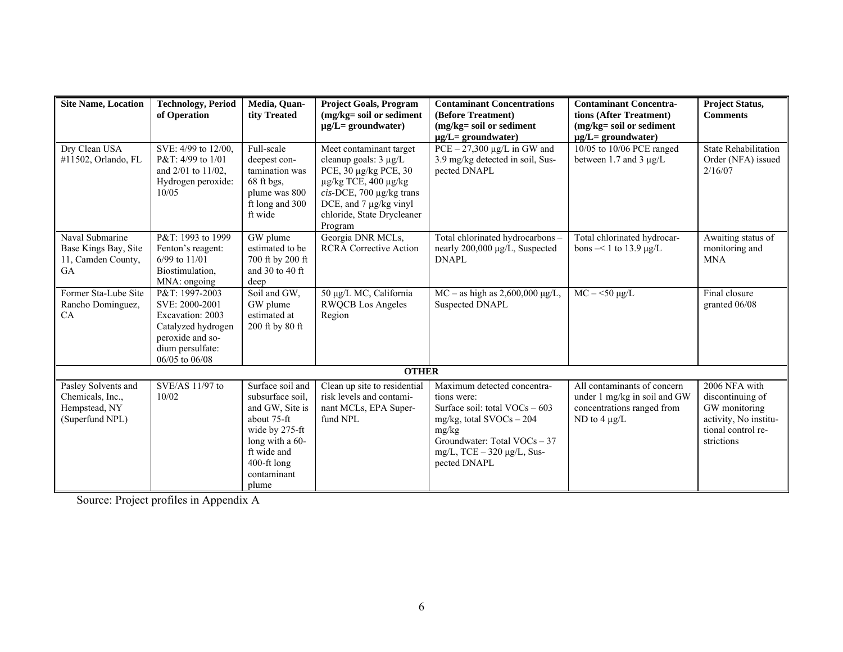| <b>Site Name, Location</b> | <b>Technology</b> , Period      | Media, Ouan-            | <b>Project Goals, Program</b>    | <b>Contaminant Concentrations</b>                   | <b>Contaminant Concentra-</b>                        | <b>Project Status,</b>      |
|----------------------------|---------------------------------|-------------------------|----------------------------------|-----------------------------------------------------|------------------------------------------------------|-----------------------------|
|                            | of Operation                    | tity Treated            | (mg/kg= soil or sediment         | (Before Treatment)                                  | tions (After Treatment)                              | <b>Comments</b>             |
|                            |                                 |                         | $\mu$ g/L= groundwater)          | (mg/kg= soil or sediment<br>$\mu$ g/L= groundwater) | $(mg/kg = soil or sediment)$                         |                             |
| Dry Clean USA              | SVE: 4/99 to 12/00,             | Full-scale              | Meet contaminant target          | $PCE - 27,300 \mu g/L$ in GW and                    | $\mu$ g/L= groundwater)<br>10/05 to 10/06 PCE ranged | <b>State Rehabilitation</b> |
| #11502, Orlando, FL        | P&T: 4/99 to 1/01               | deepest con-            | cleanup goals: $3 \mu g/L$       | 3.9 mg/kg detected in soil, Sus-                    | between 1.7 and 3 µg/L                               | Order (NFA) issued          |
|                            | and 2/01 to 11/02,              | tamination was          | PCE, 30 µg/kg PCE, 30            | pected DNAPL                                        |                                                      | 2/16/07                     |
|                            | Hydrogen peroxide:              | $68$ ft bgs,            | $\mu$ g/kg TCE, 400 $\mu$ g/kg   |                                                     |                                                      |                             |
|                            | 10/05                           | plume was 800           | $cis$ -DCE, 700 $\mu$ g/kg trans |                                                     |                                                      |                             |
|                            |                                 | ft long and 300         | DCE, and 7 µg/kg vinyl           |                                                     |                                                      |                             |
|                            |                                 | ft wide                 | chloride, State Drycleaner       |                                                     |                                                      |                             |
|                            |                                 |                         | Program                          |                                                     |                                                      |                             |
| Naval Submarine            | P&T: 1993 to 1999               | GW plume                | Georgia DNR MCLs,                | Total chlorinated hydrocarbons-                     | Total chlorinated hydrocar-                          | Awaiting status of          |
| Base Kings Bay, Site       | Fenton's reagent:               | estimated to be         | <b>RCRA Corrective Action</b>    | nearly 200,000 µg/L, Suspected                      | bons $-< 1$ to 13.9 $\mu$ g/L                        | monitoring and              |
| 11, Camden County,         | $6/99$ to $11/01$               | 700 ft by 200 ft        |                                  | <b>DNAPL</b>                                        |                                                      | <b>MNA</b>                  |
| <b>GA</b>                  | Biostimulation,<br>MNA: ongoing | and 30 to 40 ft<br>deep |                                  |                                                     |                                                      |                             |
| Former Sta-Lube Site       | P&T: 1997-2003                  | Soil and GW,            | 50 μg/L MC, California           | $MC - as high as 2,600,000 \mu g/L,$                | $MC - 50 \mu g/L$                                    | Final closure               |
| Rancho Dominguez,          | SVE: 2000-2001                  | GW plume                | <b>RWQCB</b> Los Angeles         | Suspected DNAPL                                     |                                                      | granted 06/08               |
| CA                         | Excavation: 2003                | estimated at            | Region                           |                                                     |                                                      |                             |
|                            | Catalyzed hydrogen              | 200 ft by 80 ft         |                                  |                                                     |                                                      |                             |
|                            | peroxide and so-                |                         |                                  |                                                     |                                                      |                             |
|                            | dium persulfate:                |                         |                                  |                                                     |                                                      |                             |
|                            | 06/05 to 06/08                  |                         |                                  |                                                     |                                                      |                             |
|                            |                                 |                         | <b>OTHER</b>                     |                                                     |                                                      |                             |
| Pasley Solvents and        | SVE/AS 11/97 to                 | Surface soil and        | Clean up site to residential     | Maximum detected concentra-                         | All contaminants of concern                          | 2006 NFA with               |
| Chemicals, Inc.,           | 10/02                           | subsurface soil,        | risk levels and contami-         | tions were:                                         | under 1 mg/kg in soil and GW                         | discontinuing of            |
| Hempstead, NY              |                                 | and GW, Site is         | nant MCLs, EPA Super-            | Surface soil: total $VOCs - 603$                    | concentrations ranged from                           | GW monitoring               |
| (Superfund NPL)            |                                 | about 75-ft             | fund NPL                         | mg/kg, total $\text{SVOCs} - 204$                   | ND to $4 \mu g/L$                                    | activity, No institu-       |
|                            |                                 | wide by 275-ft          |                                  | mg/kg                                               |                                                      | tional control re-          |
|                            |                                 | long with a 60-         |                                  | Groundwater: Total VOCs - 37                        |                                                      | strictions                  |
|                            |                                 | ft wide and             |                                  | $mg/L$ , TCE $-320 \mu g/L$ , Sus-                  |                                                      |                             |
|                            |                                 | 400-ft long             |                                  | pected DNAPL                                        |                                                      |                             |
|                            |                                 | contaminant             |                                  |                                                     |                                                      |                             |
|                            |                                 | plume                   |                                  |                                                     |                                                      |                             |

Source: Project profiles in Appendix A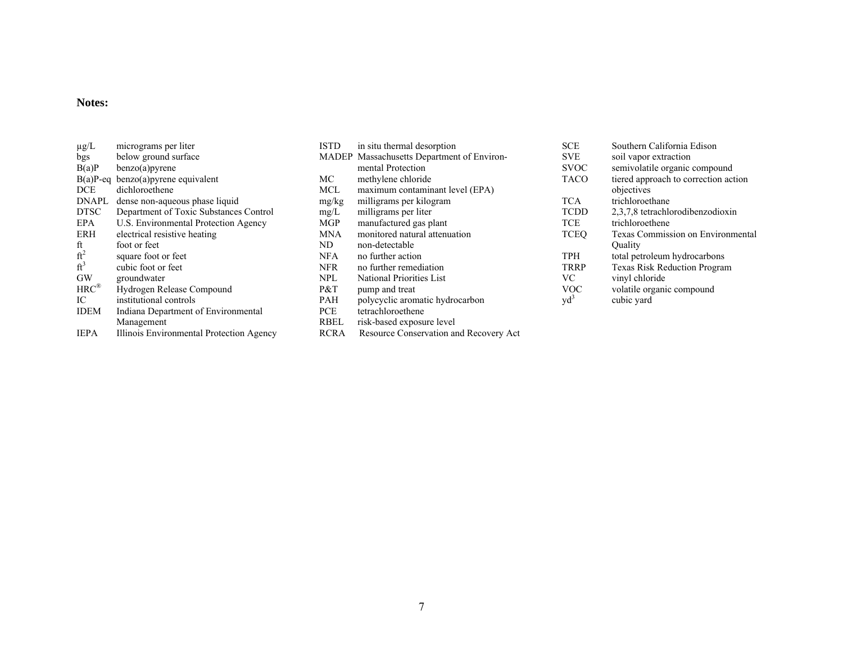#### **Notes:**

|                   | micrograms per liter                     | <b>ISTD</b> | in situ thermal desorption                    | <b>SCE</b>                | Southern California Edison           |
|-------------------|------------------------------------------|-------------|-----------------------------------------------|---------------------------|--------------------------------------|
| $\mu$ g/L         |                                          |             |                                               |                           |                                      |
| bgs               | below ground surface                     |             | MADEP Massachusetts Department of Environ-    | <b>SVE</b>                | soil vapor extraction                |
| B(a)P             | benzo(a)pyrene                           |             | mental Protection                             | <b>SVOC</b>               | semivolatile organic compound        |
| $B(a)P-eq$        | $benzo(a)$ pyrene equivalent             | МC          | methylene chloride                            | <b>TACO</b>               | tiered approach to correction action |
| <b>DCE</b>        | dichloroethene                           | <b>MCL</b>  | maximum contaminant level (EPA)               |                           | objectives                           |
| <b>DNAPL</b>      | dense non-aqueous phase liquid           | mg/kg       | milligrams per kilogram                       | TCA                       | trichloroethane                      |
| <b>DTSC</b>       | Department of Toxic Substances Control   | mg/L        | milligrams per liter                          | <b>TCDD</b>               | 2,3,7,8 tetrachlorodibenzodioxin     |
| EPA               | U.S. Environmental Protection Agency     | <b>MGP</b>  | manufactured gas plant                        | TCE                       | trichloroethene                      |
| ERH               | electrical resistive heating             | <b>MNA</b>  | monitored natural attenuation                 | TCEQ                      | Texas Commission on Environmental    |
| ft                | foot or feet                             | ND          | non-detectable                                |                           | Ouality                              |
| ft <sup>2</sup>   | square foot or feet                      | <b>NFA</b>  | no further action                             | TPH                       | total petroleum hydrocarbons         |
| ft <sup>3</sup>   | cubic foot or feet                       | <b>NFR</b>  | no further remediation                        | <b>TRRP</b>               | <b>Texas Risk Reduction Program</b>  |
| <b>GW</b>         | groundwater                              | <b>NPL</b>  | National Priorities List                      | <b>VC</b>                 | vinyl chloride                       |
| $HRC^{\circledR}$ | Hydrogen Release Compound                | P&T         | pump and treat                                | VOC                       | volatile organic compound            |
| IC                | institutional controls                   | PAH         | polycyclic aromatic hydrocarbon               | $\mathrm{v} \mathrm{d}^3$ | cubic yard                           |
| <b>IDEM</b>       | Indiana Department of Environmental      | PCE         | tetrachloroethene                             |                           |                                      |
|                   | Management                               | <b>RBEL</b> | risk-based exposure level                     |                           |                                      |
| <b>IEPA</b>       | Illinois Environmental Protection Agency | <b>RCRA</b> | <b>Resource Conservation and Recovery Act</b> |                           |                                      |

| <b>SCE</b>  | Southern California Edison               |
|-------------|------------------------------------------|
| <b>SVE</b>  | soil vapor extraction                    |
| <b>SVOC</b> | semivolatile organic compound            |
| <b>TACO</b> | tiered approach to correction action     |
|             | objectives                               |
| <b>TCA</b>  | trichloroethane                          |
| <b>TCDD</b> | 2,3,7,8 tetrachlorodibenzodioxin         |
| <b>TCE</b>  | trichloroethene                          |
| <b>TCEO</b> | <b>Texas Commission on Environmental</b> |
|             | Ouality                                  |
| <b>TPH</b>  | total petroleum hydrocarbons             |
| TRRP        | <b>Texas Risk Reduction Program</b>      |
| VC          | vinyl chloride                           |
| <b>VOC</b>  | volatile organic compound                |
| $vd^3$      | cubic yard                               |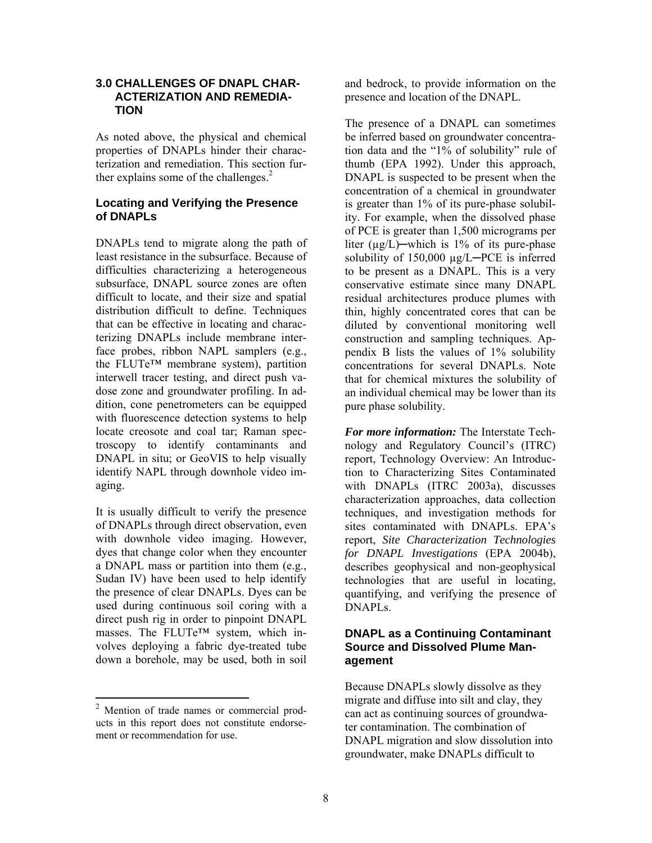#### **3.0 CHALLENGES OF DNAPL CHAR-ACTERIZATION AND REMEDIA-TION**

As noted above, the physical and chemical properties of DNAPLs hinder their characterization and remediation. This section further explains some of the challenges. $<sup>2</sup>$ </sup>

## **Locating and Verifying the Presence of DNAPLs**

DNAPLs tend to migrate along the path of least resistance in the subsurface. Because of difficulties characterizing a heterogeneous subsurface, DNAPL source zones are often difficult to locate, and their size and spatial distribution difficult to define. Techniques that can be effective in locating and characterizing DNAPLs include membrane interface probes, ribbon NAPL samplers (e.g., the FLUTe™ membrane system), partition interwell tracer testing, and direct push vadose zone and groundwater profiling. In addition, cone penetrometers can be equipped with fluorescence detection systems to help locate creosote and coal tar; Raman spectroscopy to identify contaminants and DNAPL in situ; or GeoVIS to help visually identify NAPL through downhole video imaging.

It is usually difficult to verify the presence of DNAPLs through direct observation, even with downhole video imaging. However, dyes that change color when they encounter a DNAPL mass or partition into them (e.g., Sudan IV) have been used to help identify the presence of clear DNAPLs. Dyes can be used during continuous soil coring with a direct push rig in order to pinpoint DNAPL masses. The FLUTe™ system, which involves deploying a fabric dye-treated tube down a borehole, may be used, both in soil

 $\overline{\phantom{a}}$ 

presence and location of the DNAPL.

 diluted by conventional monitoring well **30 CHALLENGES OP DANPLE and bedrock, to provide information random enterpret of DNATL and bedrock, to provide information random enterpret of DNATL in an operator of DNATL in the presence of DNATL in the condition of the** The presence of a DNAPL can sometimes be inferred based on groundwater concentration data and the "1% of solubility" rule of thumb (EPA 1992). Under this approach, DNAPL is suspected to be present when the concentration of a chemical in groundwater is greater than 1% of its pure-phase solubility. For example, when the dissolved phase of PCE is greater than 1,500 micrograms per liter ( $\mu$ g/L)—which is 1% of its pure-phase solubility of 150,000 µg/L─PCE is inferred to be present as a DNAPL. This is a very conservative estimate since many DNAPL residual architectures produce plumes with thin, highly concentrated cores that can be construction and sampling techniques. Appendix B lists the values of 1% solubility concentrations for several DNAPLs. Note that for chemical mixtures the solubility of an individual chemical may be lower than its pure phase solubility.

 sites contaminated with DNAPLs. EPA's *For more information:* The Interstate Technology and Regulatory Council's (ITRC) report, Technology Overview: An Introduction to Characterizing Sites Contaminated with DNAPLs (ITRC 2003a), discusses characterization approaches, data collection techniques, and investigation methods for report, *Site Characterization Technologies for DNAPL Investigations* (EPA 2004b), describes geophysical and non-geophysical technologies that are useful in locating, quantifying, and verifying the presence of DNAPLs.

## **DNAPL as a Continuing Contaminant Source and Dissolved Plume Management**

Because DNAPLs slowly dissolve as they migrate and diffuse into silt and clay, they can act as continuing sources of groundwater contamination. The combination of DNAPL migration and slow dissolution into groundwater, make DNAPLs difficult to

ment or recommendation for use. <sup>2</sup> Mention of trade names or commercial prod ucts in this report does not constitute endorse-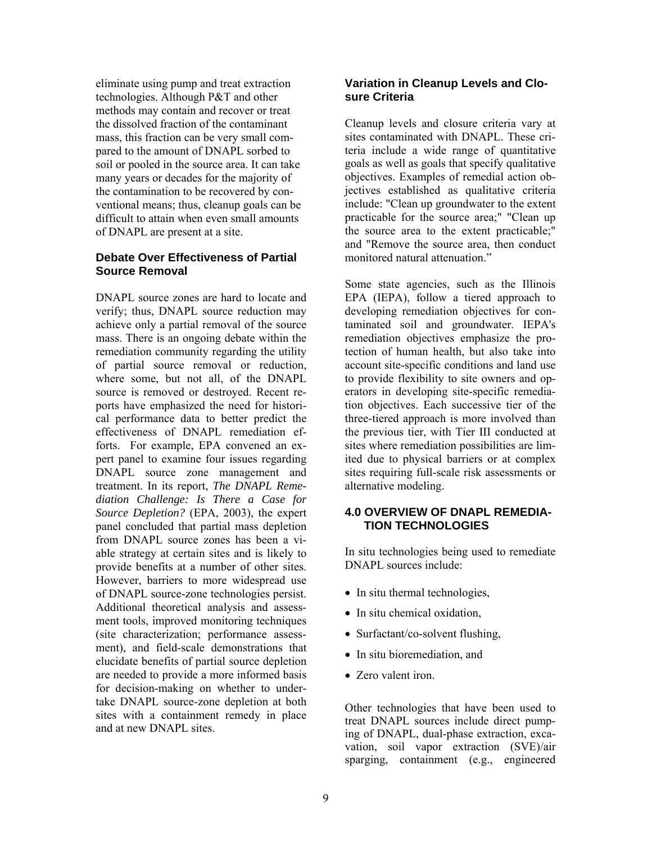eliminate using pump and treat extraction technologies. Although P&T and other methods may contain and recover or treat the dissolved fraction of the contaminant mass, this fraction can be very small compared to the amount of DNAPL sorbed to soil or pooled in the source area. It can take many years or decades for the majority of the contamination to be recovered by conventional means; thus, cleanup goals can be difficult to attain when even small amounts of DNAPL are present at a site.

## **Debate Over Effectiveness of Partial Source Removal**

DNAPL source zones are hard to locate and verify; thus, DNAPL source reduction may achieve only a partial removal of the source mass. There is an ongoing debate within the remediation community regarding the utility of partial source removal or reduction, where some, but not all, of the DNAPL source is removed or destroyed. Recent reports have emphasized the need for historical performance data to better predict the effectiveness of DNAPL remediation efforts. For example, EPA convened an expert panel to examine four issues regarding DNAPL source zone management and treatment. In its report, *The DNAPL Remediation Challenge: Is There a Case for Source Depletion?* (EPA, 2003), the expert panel concluded that partial mass depletion from DNAPL source zones has been a viable strategy at certain sites and is likely to provide benefits at a number of other sites. However, barriers to more widespread use of DNAPL source-zone technologies persist. Additional theoretical analysis and assessment tools, improved monitoring techniques (site characterization; performance assessment), and field-scale demonstrations that elucidate benefits of partial source depletion are needed to provide a more informed basis for decision-making on whether to undertake DNAPL source-zone depletion at both sites with a containment remedy in place and at new DNAPL sites.

## **Variation in Cleanup Levels and Closure Criteria**

Cleanup levels and closure criteria vary at sites contaminated with DNAPL. These criteria include a wide range of quantitative goals as well as goals that specify qualitative objectives. Examples of remedial action objectives established as qualitative criteria include: "Clean up groundwater to the extent practicable for the source area;" "Clean up the source area to the extent practicable;" and "Remove the source area, then conduct monitored natural attenuation."

Some state agencies, such as the Illinois EPA (IEPA), follow a tiered approach to developing remediation objectives for contaminated soil and groundwater. IEPA's remediation objectives emphasize the protection of human health, but also take into account site-specific conditions and land use to provide flexibility to site owners and operators in developing site-specific remediation objectives. Each successive tier of the three-tiered approach is more involved than the previous tier, with Tier III conducted at sites where remediation possibilities are limited due to physical barriers or at complex sites requiring full-scale risk assessments or alternative modeling.

## **4.0 OVERVIEW OF DNAPL REMEDIA-TION TECHNOLOGIES**

In situ technologies being used to remediate DNAPL sources include:

- In situ thermal technologies,
- In situ chemical oxidation,
- Surfactant/co-solvent flushing,
- In situ bioremediation, and
- Zero valent iron.

Other technologies that have been used to treat DNAPL sources include direct pumping of DNAPL, dual-phase extraction, excavation, soil vapor extraction (SVE)/air sparging, containment (e.g., engineered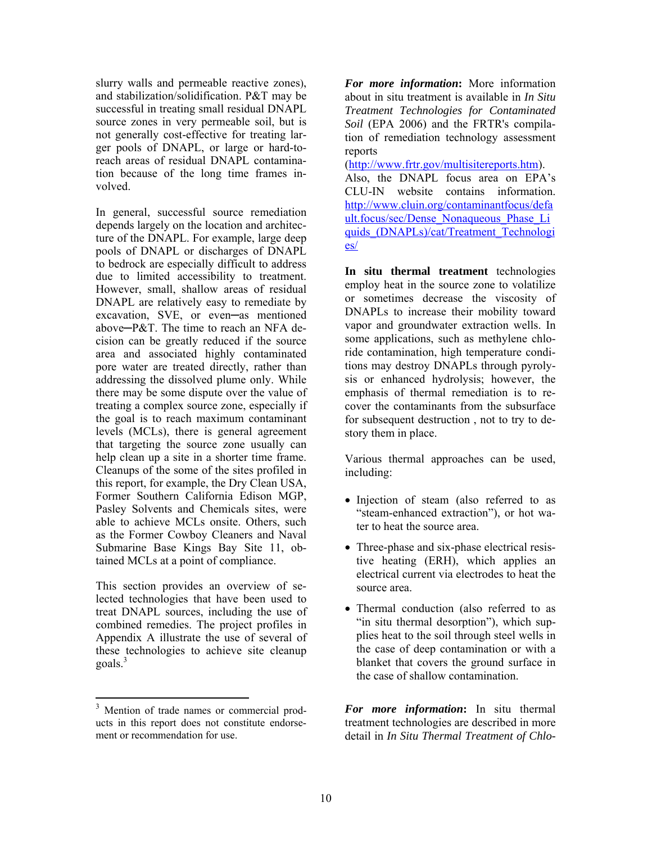slurry walls and permeable reactive zones), and stabilization/solidification. P&T may be successful in treating small residual DNAPL source zones in very permeable soil, but is not generally cost-effective for treating larger pools of DNAPL, or large or hard-toreach areas of residual DNAPL contamination because of the long time frames involved.

In general, successful source remediation depends largely on the location and architecture of the DNAPL. For example, large deep pools of DNAPL or discharges of DNAPL to bedrock are especially difficult to address due to limited accessibility to treatment. However, small, shallow areas of residual DNAPL are relatively easy to remediate by excavation, SVE, or even─as mentioned above─P&T. The time to reach an NFA decision can be greatly reduced if the source area and associated highly contaminated pore water are treated directly, rather than addressing the dissolved plume only. While there may be some dispute over the value of treating a complex source zone, especially if the goal is to reach maximum contaminant levels (MCLs), there is general agreement that targeting the source zone usually can help clean up a site in a shorter time frame. Cleanups of the some of the sites profiled in this report, for example, the Dry Clean USA, Former Southern California Edison MGP, Pasley Solvents and Chemicals sites, were able to achieve MCLs onsite. Others, such as the Former Cowboy Cleaners and Naval Submarine Base Kings Bay Site 11, obtained MCLs at a point of compliance. show walk and permutation for recommendation for the more information: Notice information<br>states and states and states and states and states and states in the<br>constraints are the states and the states are the states and th

This section provides an overview of selected technologies that have been used to treat DNAPL sources, including the use of combined remedies. The project profiles in Appendix A illustrate the use of several of these technologies to achieve site cleanup goals.<sup>3</sup>

1

about in situ treatment is available in *In Situ Treatment Technologies for Contaminated Soil* (EPA 2006) and the FRTR's compilation of remediation technology assessment reports

([http://www.frtr.gov/multisitereports.htm\).](http://www.frtr.gov/multisitereports.htm)  Also, the DNAPL focus area on EPA's CLU-IN website contains information. http://www.cluin.org/contaminantfocus/defa ult.focus/sec/Dense\_Nonaqueous\_Phase\_Li quids\_(DNAPLs)/cat/Treatment\_Technologi es/

 DNAPLs to increase their mobility toward **In situ thermal treatment** technologies employ heat in the source zone to volatilize or sometimes decrease the viscosity of vapor and groundwater extraction wells. In some applications, such as methylene chloride contamination, high temperature conditions may destroy DNAPLs through pyrolysis or enhanced hydrolysis; however, the emphasis of thermal remediation is to recover the contaminants from the subsurface for subsequent destruction , not to try to destory them in place.

Various thermal approaches can be used, including:

- Injection of steam (also referred to as "steam-enhanced extraction"), or hot water to heat the source area.
- Three-phase and six-phase electrical resistive heating (ERH), which applies an electrical current via electrodes to heat the source area.
- Thermal conduction (also referred to as "in situ thermal desorption"), which supplies heat to the soil through steel wells in the case of deep contamination or with a blanket that covers the ground surface in the case of shallow contamination.

*For more information***:** In situ thermal treatment technologies are described in more detail in *In Situ Thermal Treatment of Chlo-*

ment or recommendation for use. <sup>3</sup> Mention of trade names or commercial products in this report does not constitute endorse-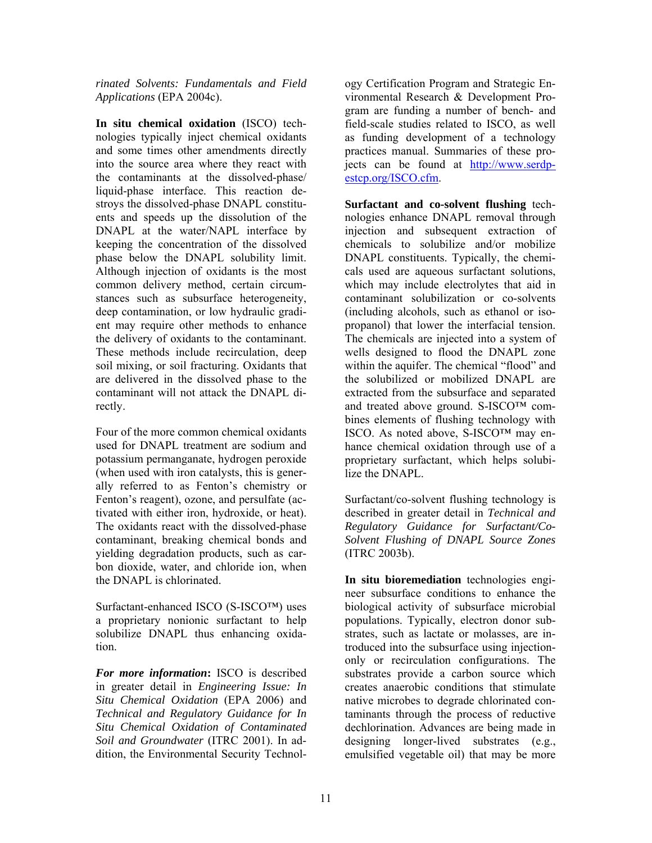*Applications* (EPA 2004c). *rinated Solvents: Fundamentals and Field* 

**In situ chemical oxidation** (ISCO) technologies typically inject chemical oxidants and some times other amendments directly into the source area where they react with the contaminants at the dissolved-phase/ liquid-phase interface. This reaction destroys the dissolved-phase DNAPL constituents and speeds up the dissolution of the DNAPL at the water/NAPL interface by keeping the concentration of the dissolved phase below the DNAPL solubility limit. Although injection of oxidants is the most common delivery method, certain circumstances such as subsurface heterogeneity, deep contamination, or low hydraulic gradient may require other methods to enhance the delivery of oxidants to the contaminant. These methods include recirculation, deep soil mixing, or soil fracturing. Oxidants that are delivered in the dissolved phase to the contaminant will not attack the DNAPL directly.

Four of the more common chemical oxidants used for DNAPL treatment are sodium and potassium permanganate, hydrogen peroxide (when used with iron catalysts, this is generally referred to as Fenton's chemistry or Fenton's reagent), ozone, and persulfate (activated with either iron, hydroxide, or heat). The oxidants react with the dissolved-phase contaminant, breaking chemical bonds and yielding degradation products, such as carbon dioxide, water, and chloride ion, when the DNAPL is chlorinated.

Surfactant-enhanced ISCO (S-ISCO™) uses a proprietary nonionic surfactant to help solubilize DNAPL thus enhancing oxidation.

*For more information***:** ISCO is described in greater detail in *Engineering Issue: In Situ Chemical Oxidation* (EPA 2006) and *Technical and Regulatory Guidance for In Situ Chemical Oxidation of Contaminated Soil and Groundwater* (ITRC 2001). In addition, the Environmental Security Technol-

ogy Certification Program and Strategic Environmental Research & Development Program are funding a number of bench- and field-scale studies related to ISCO, as well as funding development of a technology practices manual. Summaries of these projects can be found at http://www.serdpestcp.org/ISCO.cfm.

**Surfactant and co-solvent flushing** technologies enhance DNAPL removal through injection and subsequent extraction of chemicals to solubilize and/or mobilize DNAPL constituents. Typically, the chemicals used are aqueous surfactant solutions, which may include electrolytes that aid in contaminant solubilization or co-solvents (including alcohols, such as ethanol or isopropanol) that lower the interfacial tension. The chemicals are injected into a system of wells designed to flood the DNAPL zone within the aquifer. The chemical "flood" and the solubilized or mobilized DNAPL are extracted from the subsurface and separated and treated above ground. S-ISCO™ combines elements of flushing technology with ISCO. As noted above, S-ISCO™ may enhance chemical oxidation through use of a proprietary surfactant, which helps solubilize the DNAPL.

Surfactant/co-solvent flushing technology is described in greater detail in *Technical and Regulatory Guidance for Surfactant/Co-Solvent Flushing of DNAPL Source Zones*  (ITRC 2003b).

**In situ bioremediation** technologies engineer subsurface conditions to enhance the biological activity of subsurface microbial populations. Typically, electron donor substrates, such as lactate or molasses, are introduced into the subsurface using injectiononly or recirculation configurations. The substrates provide a carbon source which creates anaerobic conditions that stimulate native microbes to degrade chlorinated contaminants through the process of reductive dechlorination. Advances are being made in designing longer-lived substrates (e.g., emulsified vegetable oil) that may be more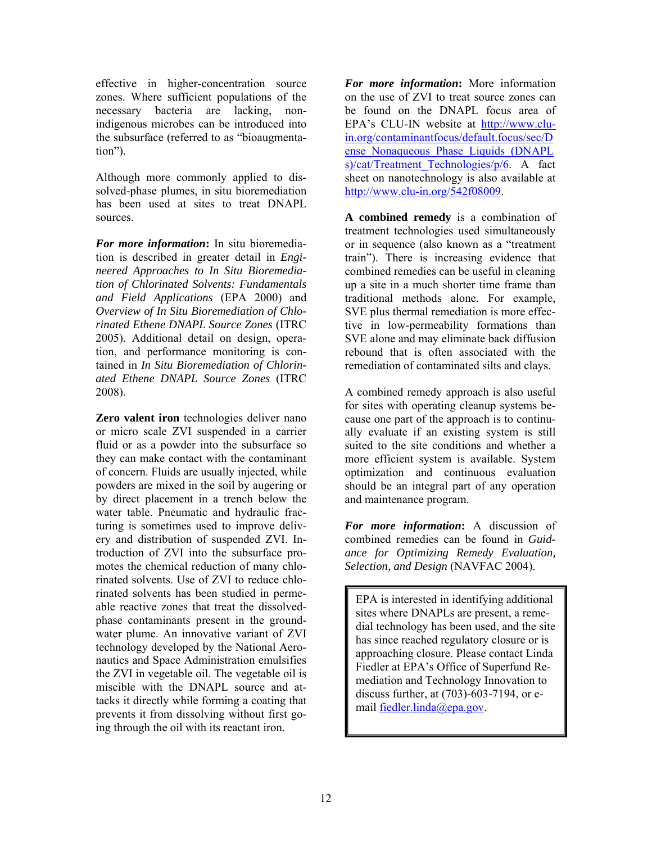effective in higher-concentration source zones. Where sufficient populations of the necessary bacteria are lacking, nonindigenous microbes can be introduced into the subsurface (referred to as "bioaugmentation").

Although more commonly applied to dissolved-phase plumes, in situ bioremediation has been used at sites to treat DNAPL sources.

 2008). *For more information***:** In situ bioremediation is described in greater detail in *Engineered Approaches to In Situ Bioremediation of Chlorinated Solvents: Fundamentals and Field Applications* (EPA 2000) and *Overview of In Situ Bioremediation of Chlorinated Ethene DNAPL Source Zones* (ITRC 2005). Additional detail on design, operation, and performance monitoring is contained in *In Situ Bioremediation of Chlorinated Ethene DNAPL Source Zones* (ITRC

**Zero valent iron** technologies deliver nano or micro scale ZVI suspended in a carrier fluid or as a powder into the subsurface so they can make contact with the contaminant of concern. Fluids are usually injected, while powders are mixed in the soil by augering or by direct placement in a trench below the water table. Pneumatic and hydraulic fracturing is sometimes used to improve delivery and distribution of suspended ZVI. Introduction of ZVI into the subsurface promotes the chemical reduction of many chlorinated solvents. Use of ZVI to reduce chlorinated solvents has been studied in permeable reactive zones that treat the dissolvedphase contaminants present in the groundwater plume. An innovative variant of ZVI technology developed by the National Aeronautics and Space Administration emulsifies the ZVI in vegetable oil. The vegetable oil is miscible with the DNAPL source and attacks it directly while forming a coating that prevents it from dissolving without first going through the oil with its reactant iron.

*For more information***:** More information on the use of ZVI to treat source zones can be found on the DNAPL focus area of EPA's CLU-IN website at http://www.cluin.org/contaminantfocus/default.focus/sec/D ense\_Nonaqueous\_Phase\_Liquids\_(DNAPL s)/cat/Treatment Technologies/p/6. A fact sheet on nanotechnology is also available at http://www.clu-in.org/542f08009.

**A combined remedy** is a combination of treatment technologies used simultaneously or in sequence (also known as a "treatment train"). There is increasing evidence that combined remedies can be useful in cleaning up a site in a much shorter time frame than traditional methods alone. For example, SVE plus thermal remediation is more effective in low-permeability formations than SVE alone and may eliminate back diffusion rebound that is often associated with the remediation of contaminated silts and clays.

A combined remedy approach is also useful for sites with operating cleanup systems because one part of the approach is to continually evaluate if an existing system is still suited to the site conditions and whether a more efficient system is available. System optimization and continuous evaluation should be an integral part of any operation and maintenance program.

*For more information***:** A discussion of combined remedies can be found in *Guidance for Optimizing Remedy Evaluation, Selection, and Design* (NAVFAC 2004).

EPA is interested in identifying additional sites where DNAPLs are present, a remedial technology has been used, and the site has since reached regulatory closure or is approaching closure. Please contact Linda Fiedler at EPA's Office of Superfund Remediation and Technology Innovation to discuss further, at (703)-603-7194, or email fiedler.linda@epa.gov.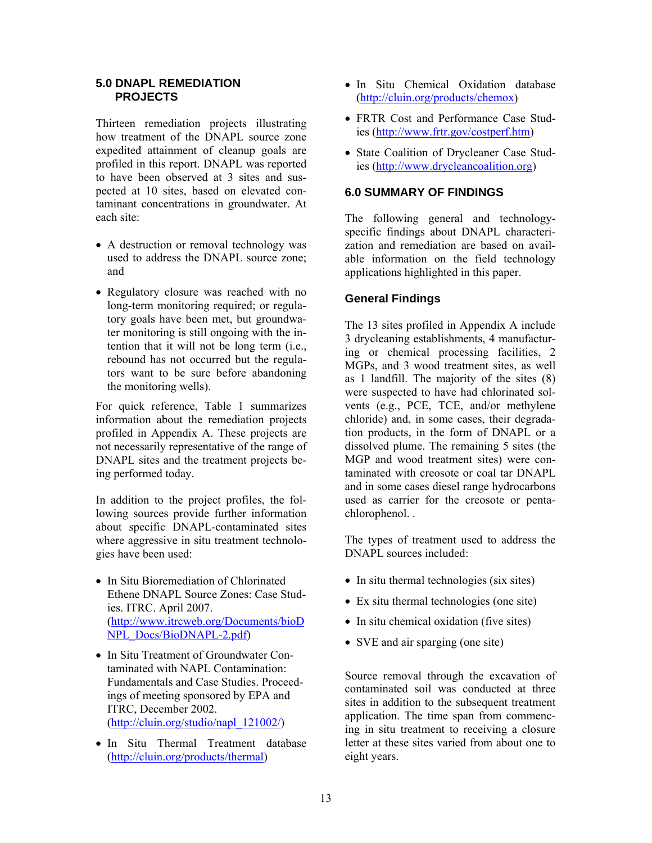## **PROJECTS 5.0 DNAPL REMEDIATION**

Thirteen remediation projects illustrating how treatment of the DNAPL source zone expedited attainment of cleanup goals are profiled in this report. DNAPL was reported to have been observed at 3 sites and suspected at 10 sites, based on elevated contaminant concentrations in groundwater. At each site:

- A destruction or removal technology was used to address the DNAPL source zone; and
- Regulatory closure was reached with no long-term monitoring required; or regulatory goals have been met, but groundwater monitoring is still ongoing with the intention that it will not be long term (i.e., rebound has not occurred but the regulators want to be sure before abandoning the monitoring wells).

ing performed today. For quick reference, Table 1 summarizes information about the remediation projects profiled in Appendix A. These projects are not necessarily representative of the range of DNAPL sites and the treatment projects be-

In addition to the project profiles, the following sources provide further information about specific DNAPL-contaminated sites where aggressive in situ treatment technologies have been used:

- In Situ Bioremediation of Chlorinated Ethene DNAPL Source Zones: Case Studies. ITRC. April 2007. (http://www.itrcweb.org/Documents/bioD NPL\_Docs/BioDNAPL-2.pdf)
- In Situ Treatment of Groundwater Contaminated with NAPL Contamination: Fundamentals and Case Studies. Proceedings of meeting sponsored by EPA and ITRC, December 2002. [\(http://cluin.org/studio/napl\\_121002/\)](http://cluin.org/studio/napl_121002/)
- In Situ Thermal Treatment database (http://cluin.org/products/thermal)
- In Situ Chemical Oxidation database (http://cluin.org/products/chemox)
- FRTR Cost and Performance Case Studies (http://www.frtr.gov/costperf.htm)
- State Coalition of Drycleaner Case Studies (http://www.drycleancoalition.org)

## **6.0 SUMMARY OF FINDINGS**

The following general and technologyspecific findings about DNAPL characterization and remediation are based on available information on the field technology applications highlighted in this paper.

## **General Findings**

The 13 sites profiled in Appendix A include 3 drycleaning establishments, 4 manufacturing or chemical processing facilities, 2 MGPs, and 3 wood treatment sites, as well as 1 landfill. The majority of the sites (8) were suspected to have had chlorinated solvents (e.g., PCE, TCE, and/or methylene chloride) and, in some cases, their degradation products, in the form of DNAPL or a dissolved plume. The remaining 5 sites (the MGP and wood treatment sites) were contaminated with creosote or coal tar DNAPL and in some cases diesel range hydrocarbons used as carrier for the creosote or pentachlorophenol. .

The types of treatment used to address the DNAPL sources included:

- In situ thermal technologies (six sites)
- Ex situ thermal technologies (one site)
- In situ chemical oxidation (five sites)
- SVE and air sparging (one site)

Source removal through the excavation of contaminated soil was conducted at three sites in addition to the subsequent treatment application. The time span from commencing in situ treatment to receiving a closure letter at these sites varied from about one to eight years.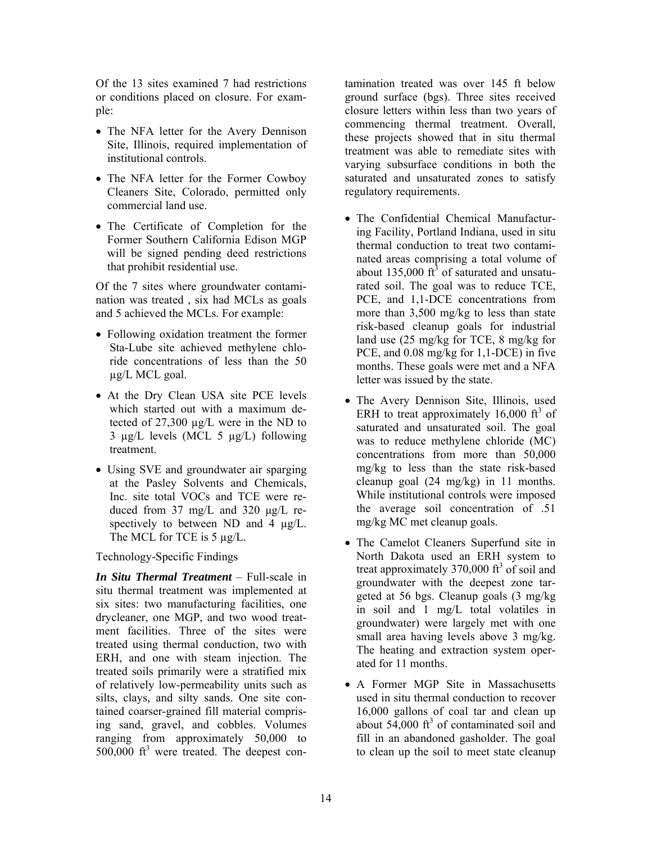Of the 13 sites examined 7 had restrictions or conditions placed on closure. For example:

- The NFA letter for the Avery Dennison Site, Illinois, required implementation of institutional controls.
- The NFA letter for the Former Cowboy Cleaners Site, Colorado, permitted only commercial land use.
- The Certificate of Completion for the Former Southern California Edison MGP will be signed pending deed restrictions that prohibit residential use.

Of the 7 sites where groundwater contamination was treated , six had MCLs as goals and 5 achieved the MCLs. For example:

- Following oxidation treatment the former Sta-Lube site achieved methylene chloride concentrations of less than the 50 µg/L MCL goal.
- At the Dry Clean USA site PCE levels which started out with a maximum detected of 27,300 µg/L were in the ND to 3 µg/L levels (MCL 5 µg/L) following treatment.
- Using SVE and groundwater air sparging at the Pasley Solvents and Chemicals, Inc. site total VOCs and TCE were reduced from 37 mg/L and 320 µg/L respectively to between ND and 4  $\mu$ g/L. The MCL for TCE is 5  $\mu$ g/L.

Technology-Specific Findings

*In Situ Thermal Treatment* – Full-scale in situ thermal treatment was implemented at six sites: two manufacturing facilities, one drycleaner, one MGP, and two wood treatment facilities. Three of the sites were treated using thermal conduction, two with ERH, and one with steam injection. The treated soils primarily were a stratified mix of relatively low-permeability units such as silts, clays, and silty sands. One site contained coarser-grained fill material comprising sand, gravel, and cobbles. Volumes ranging from approximately 50,000 to  $500,000$  ft<sup>3</sup> were treated. The deepest contamination treated was over 145 ft below ground surface (bgs). Three sites received closure letters within less than two years of commencing thermal treatment. Overall, these projects showed that in situ thermal treatment was able to remediate sites with varying subsurface conditions in both the saturated and unsaturated zones to satisfy regulatory requirements.

- The Confidential Chemical Manufacturing Facility, Portland Indiana, used in situ thermal conduction to treat two contaminated areas comprising a total volume of about 135,000  $\text{ft}^3$  of saturated and unsatu rated soil. The goal was to reduce TCE, PCE, and 1,1-DCE concentrations from more than 3,500 mg/kg to less than state risk-based cleanup goals for industrial land use (25 mg/kg for TCE, 8 mg/kg for PCE, and 0.08 mg/kg for 1,1-DCE) in five months. These goals were met and a NFA letter was issued by the state.
- The Avery Dennison Site, Illinois, used ERH to treat approximately  $16,000$  ft<sup>3</sup> of saturated and unsaturated soil. The goal was to reduce methylene chloride (MC) concentrations from more than 50,000 mg/kg to less than the state risk-based cleanup goal (24 mg/kg) in 11 months. While institutional controls were imposed the average soil concentration of .51 mg/kg MC met cleanup goals.
- The Camelot Cleaners Superfund site in North Dakota used an ERH system to treat approximately  $370,000$  ft<sup>3</sup> of soil and groundwater with the deepest zone targeted at 56 bgs. Cleanup goals (3 mg/kg in soil and 1 mg/L total volatiles in groundwater) were largely met with one small area having levels above 3 mg/kg. The heating and extraction system operated for 11 months.
- A Former MGP Site in Massachusetts used in situ thermal conduction to recover 16,000 gallons of coal tar and clean up about  $54,000$  ft<sup>3</sup> of contaminated soil and fill in an abandoned gasholder. The goal to clean up the soil to meet state cleanup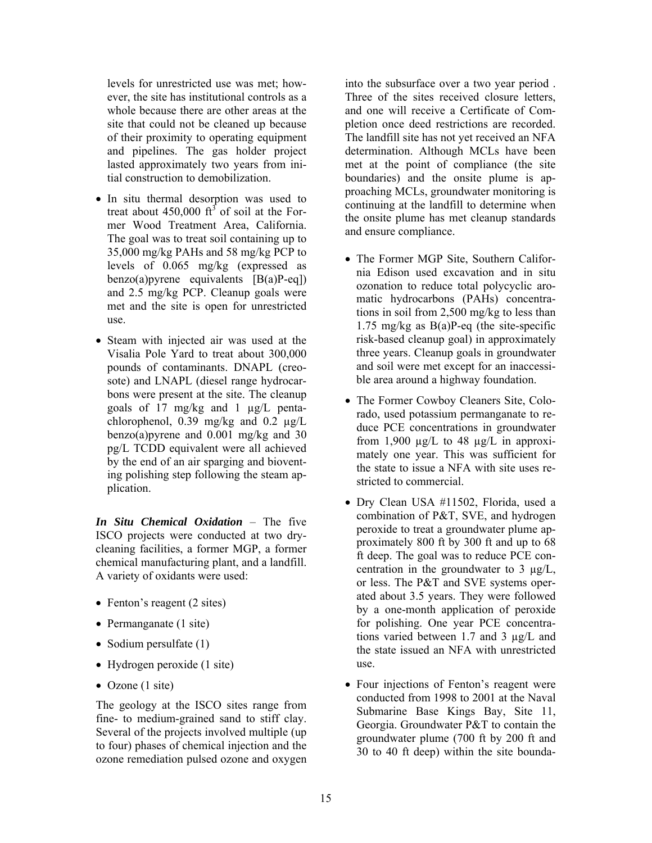levels for unrestricted use was met; however, the site has institutional controls as a whole because there are other areas at the site that could not be cleaned up because of their proximity to operating equipment and pipelines. The gas holder project lasted approximately two years from initial construction to demobilization.

- In situ thermal desorption was used to treat about 450,000  $\text{ft}^3$  of soil at the For mer Wood Treatment Area, California. The goal was to treat soil containing up to 35,000 mg/kg PAHs and 58 mg/kg PCP to levels of 0.065 mg/kg (expressed as benzo(a) pyrene equivalents  $[B(a)P-eq]$ and 2.5 mg/kg PCP. Cleanup goals were met and the site is open for unrestricted use.
- Steam with injected air was used at the Visalia Pole Yard to treat about 300,000 pounds of contaminants. DNAPL (creosote) and LNAPL (diesel range hydrocarbons were present at the site. The cleanup goals of 17 mg/kg and 1 µg/L pentachlorophenol, 0.39 mg/kg and 0.2 µg/L benzo(a)pyrene and 0.001 mg/kg and 30 pg/L TCDD equivalent were all achieved by the end of an air sparging and bioventing polishing step following the steam application.

*In Situ Chemical Oxidation* – The five ISCO projects were conducted at two drycleaning facilities, a former MGP, a former chemical manufacturing plant, and a landfill. A variety of oxidants were used:

- Fenton's reagent (2 sites)
- Permanganate (1 site)
- Sodium persulfate (1)
- Hydrogen peroxide (1 site)
- Ozone  $(1 \text{ site})$

The geology at the ISCO sites range from fine- to medium-grained sand to stiff clay. Several of the projects involved multiple (up to four) phases of chemical injection and the ozone remediation pulsed ozone and oxygen

into the subsurface over a two year period . Three of the sites received closure letters, and one will receive a Certificate of Completion once deed restrictions are recorded. The landfill site has not yet received an NFA determination. Although MCLs have been met at the point of compliance (the site boundaries) and the onsite plume is approaching MCLs, groundwater monitoring is continuing at the landfill to determine when the onsite plume has met cleanup standards and ensure compliance.

- The Former MGP Site, Southern California Edison used excavation and in situ ozonation to reduce total polycyclic aromatic hydrocarbons (PAHs) concentrations in soil from 2,500 mg/kg to less than 1.75 mg/kg as B(a)P-eq (the site-specific risk-based cleanup goal) in approximately three years. Cleanup goals in groundwater and soil were met except for an inaccessible area around a highway foundation.
- The Former Cowboy Cleaners Site, Colorado, used potassium permanganate to reduce PCE concentrations in groundwater from 1,900  $\mu$ g/L to 48  $\mu$ g/L in approximately one year. This was sufficient for the state to issue a NFA with site uses restricted to commercial.
- Dry Clean USA #11502, Florida, used a combination of P&T, SVE, and hydrogen peroxide to treat a groundwater plume approximately 800 ft by 300 ft and up to 68 ft deep. The goal was to reduce PCE concentration in the groundwater to 3 µg/L, or less. The P&T and SVE systems operated about 3.5 years. They were followed by a one-month application of peroxide for polishing. One year PCE concentrations varied between 1.7 and 3 µg/L and the state issued an NFA with unrestricted use.
- Four injections of Fenton's reagent were conducted from 1998 to 2001 at the Naval Submarine Base Kings Bay, Site 11, Georgia. Groundwater P&T to contain the groundwater plume (700 ft by 200 ft and 30 to 40 ft deep) within the site bounda-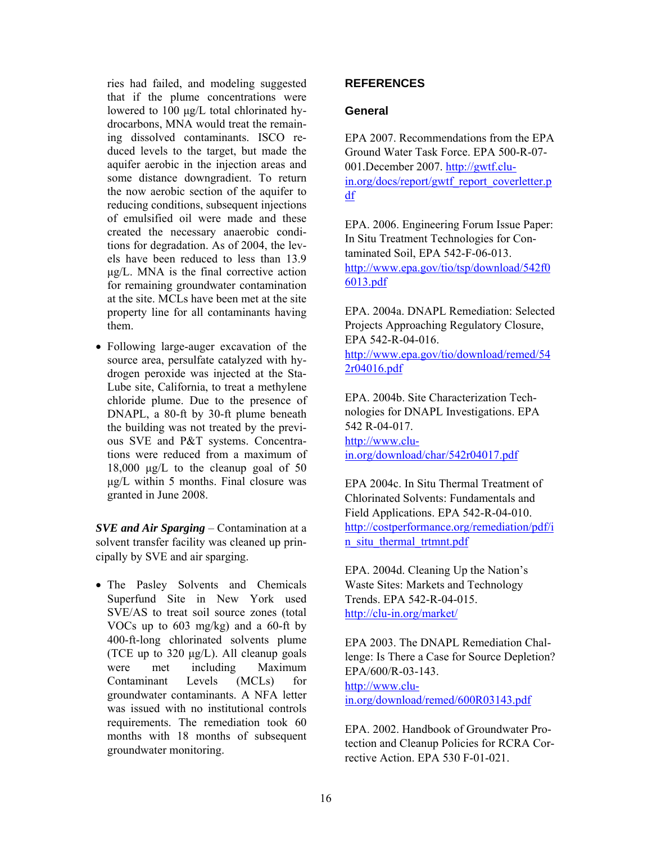ries had failed, and modeling suggested that if the plume concentrations were lowered to 100 µg/L total chlorinated hydrocarbons, MNA would treat the remaining dissolved contaminants. ISCO reduced levels to the target, but made the aquifer aerobic in the injection areas and some distance downgradient. To return the now aerobic section of the aquifer to reducing conditions, subsequent injections of emulsified oil were made and these created the necessary anaerobic conditions for degradation. As of 2004, the levels have been reduced to less than 13.9 µg/L. MNA is the final corrective action for remaining groundwater contamination at the site. MCLs have been met at the site property line for all contaminants having them.

 tions were reduced from a maximum of • Following large-auger excavation of the source area, persulfate catalyzed with hydrogen peroxide was injected at the Sta-Lube site, California, to treat a methylene chloride plume. Due to the presence of DNAPL, a 80-ft by 30-ft plume beneath the building was not treated by the previous SVE and P&T systems. Concentra-18,000 µg/L to the cleanup goal of 50 µg/L within 5 months. Final closure was granted in June 2008.

*SVE and Air Sparging* – Contamination at a solvent transfer facility was cleaned up principally by SVE and air sparging.

• The Pasley Solvents and Chemicals Superfund Site in New York used SVE/AS to treat soil source zones (total VOCs up to 603 mg/kg) and a 60-ft by 400-ft-long chlorinated solvents plume (TCE up to  $320 \mu g/L$ ). All cleanup goals were met including Maximum Contaminant Levels (MCLs) for groundwater contaminants. A NFA letter was issued with no institutional controls requirements. The remediation took 60 months with 18 months of subsequent groundwater monitoring.

## **REFERENCES**

#### **General**

 $df$ EPA 2007. Recommendations from the EPA Ground Water Task Force. EPA 500-R-07 001.December 2007. http://gwtf.cluin.org/docs/report/gwtf\_report\_coverletter.p

EPA. 2006. Engineering Forum Issue Paper: In Situ Treatment Technologies for Contaminated Soil, EPA 542-F-06-013. http://www.epa.gov/tio/tsp/download/542f0 6013.pdf

EPA. 2004a. DNAPL Remediation: Selected Projects Approaching Regulatory Closure, EPA 542-R-04-016. http://www.epa.gov/tio/download/remed/54

2r04016.pdf

EPA. 2004b. Site Characterization Technologies for DNAPL Investigations. EPA 542 R-04-017. http://www.cluin.org/download/char/542r04017.pdf

n situ thermal trtmnt.pdf EPA 2004c. In Situ Thermal Treatment of Chlorinated Solvents: Fundamentals and Field Applications. EPA 542-R-04-010. http://costperformance.org/remediation/pdf/i

EPA. 2004d. Cleaning Up the Nation's Waste Sites: Markets and Technology Trends. EPA 542-R-04-015. http://clu-in.org/market/

EPA/600/R-03-143.<br><u>http://www.clu-</u> in.org/download/remed/600R03143.pdf EPA 2003. The DNAPL Remediation Challenge: Is There a Case for Source Depletion?

EPA. 2002. Handbook of Groundwater Protection and Cleanup Policies for RCRA Corrective Action. EPA 530 F-01-021.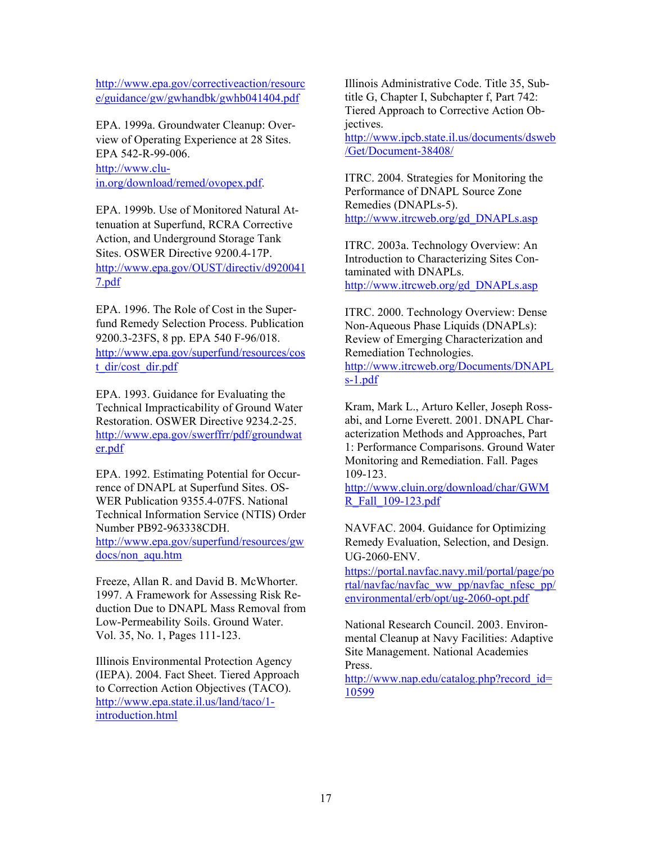http://www.epa.gov/correctiveaction/resourc e/guidance/gw/gwhandbk/gwhb041404.pdf

EPA 542-R-99-006.<br><u>http://www.clu-</u> EPA. 1999a. Groundwater Cleanup: Overview of Operating Experience at 28 Sites. in.org/download/remed/ovopex.pdf.

EPA. 1999b. Use of Monitored Natural Attenuation at Superfund, RCRA Corrective Action, and Underground Storage Tank Sites. OSWER Directive 9200.4-17P. http://www.epa.gov/OUST/directiv/d920041 7.pdf

EPA. 1996. The Role of Cost in the Superfund Remedy Selection Process. Publication 9200.3-23FS, 8 pp. EPA 540 F-96/018. http://www.epa.gov/superfund/resources/cos t\_dir/cost\_dir.pdf

EPA. 1993. Guidance for Evaluating the Technical Impracticability of Ground Water Restoration. OSWER Directive 9234.2-25. http://www.epa.gov/swerffrr/pdf/groundwat er.pdf

EPA. 1992. Estimating Potential for Occurrence of DNAPL at Superfund Sites. OS-WER Publication 9355.4-07FS. National Technical Information Service (NTIS) Order Number PB92-963338CDH. http://www.epa.gov/superfund/resources/gw docs/non\_aqu.htm

Freeze, Allan R. and David B. McWhorter. 1997. A Framework for Assessing Risk Reduction Due to DNAPL Mass Removal from Low-Permeability Soils. Ground Water. Vol. 35, No. 1, Pages 111-123.

Illinois Environmental Protection Agency (IEPA). 2004. Fact Sheet. Tiered Approach to Correction Action Objectives (TACO). http://www.epa.state.il.us/land/taco/1 introduction.html

Illinois Administrative Code. Title 35, Subtitle G, Chapter I, Subchapter f, Part 742: Tiered Approach to Corrective Action Objectives.

http://www.ipcb.state.il.us/documents/dsweb /Get/Document-38408/

ITRC. 2004. Strategies for Monitoring the Performance of DNAPL Source Zone Remedies (DNAPLs-5). http://www.itrcweb.org/gd\_DNAPLs.asp

ITRC. 2003a. Technology Overview: An Introduction to Characterizing Sites Contaminated with DNAPLs. http://www.itrcweb.org/gd\_DNAPLs.asp

 $s-1.pdf$ ITRC. 2000. Technology Overview: Dense Non-Aqueous Phase Liquids (DNAPLs): Review of Emerging Characterization and Remediation Technologies. http://www.itrcweb.org/Documents/DNAPL

Kram, Mark L., Arturo Keller, Joseph Rossabi, and Lorne Everett. 2001. DNAPL Characterization Methods and Approaches, Part 1: Performance Comparisons. Ground Water Monitoring and Remediation. Fall. Pages 109-123.

http://www.cluin.org/download/char/GWM R\_Fall\_109-123.pdf

NAVFAC. 2004. Guidance for Optimizing Remedy Evaluation, Selection, and Design. UG-2060-ENV.

https://portal.navfac.navy.mil/portal/page/po rtal/navfac/navfac\_ww\_pp/navfac\_nfesc\_pp/ environmental/erb/opt/ug-2060-opt.pdf

National Research Council. 2003. Environmental Cleanup at Navy Facilities: Adaptive Site Management. National Academies Press.

http://www.nap.edu/catalog.php?record\_id= 10599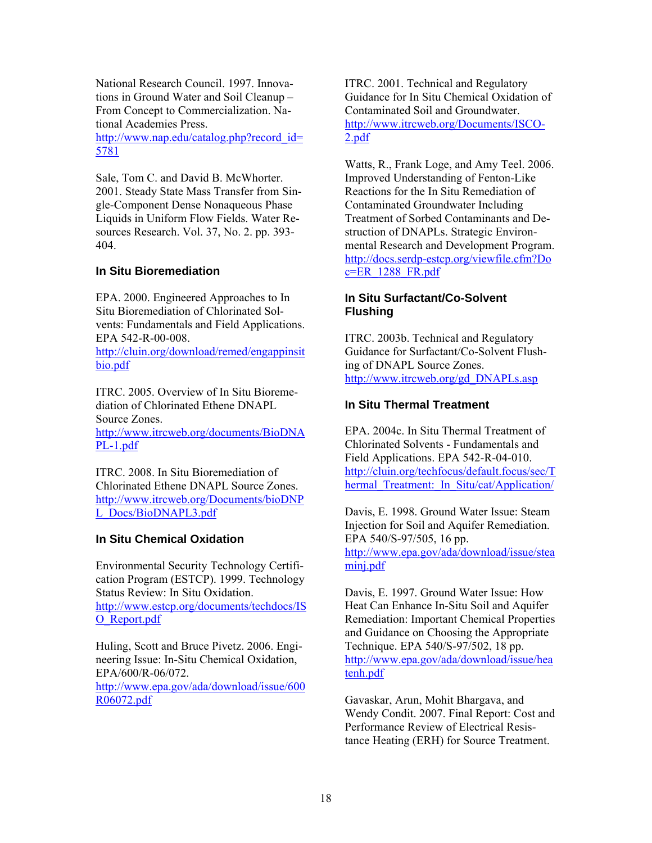National Research Council. 1997. Innovations in Ground Water and Soil Cleanup – From Concept to Commercialization. National Academies Press.

5781 http://www.nap.edu/catalog.php?record\_id=

Sale, Tom C. and David B. McWhorter. 2001. Steady State Mass Transfer from Single-Component Dense Nonaqueous Phase Liquids in Uniform Flow Fields. Water Resources Research. Vol. 37, No. 2. pp. 393 404.

## **In Situ Bioremediation**

EPA. 2000. Engineered Approaches to In Situ Bioremediation of Chlorinated Solvents: Fundamentals and Field Applications. EPA 542-R-00-008.

http://cluin.org/download/remed/engappinsit bio.pdf

ITRC. 2005. Overview of In Situ Bioremediation of Chlorinated Ethene DNAPL Source Zones. http://www.itrcweb.org/documents/BioDNA

PL-1.pdf

 L\_Docs/BioDNAPL3.pdf ITRC. 2008. In Situ Bioremediation of Chlorinated Ethene DNAPL Source Zones. http://www.itrcweb.org/Documents/bioDNP

## **In Situ Chemical Oxidation**

Environmental Security Technology Certification Program (ESTCP). 1999. Technology Status Review: In Situ Oxidation. http://www.estcp.org/documents/techdocs/IS O\_Report.pdf

Huling, Scott and Bruce Pivetz. 2006. Engineering Issue: In-Situ Chemical Oxidation, EPA/600/R-06/072. http://www.epa.gov/ada/download/issue/600 R06072.pdf

ITRC. 2001. Technical and Regulatory Guidance for In Situ Chemical Oxidation of Contaminated Soil and Groundwater. http://www.itrcweb.org/Documents/ISCO-2.pdf

Watts, R., Frank Loge, and Amy Teel. 2006. Improved Understanding of Fenton-Like Reactions for the In Situ Remediation of Contaminated Groundwater Including Treatment of Sorbed Contaminants and Destruction of DNAPLs. Strategic Environmental Research and Development Program. http://docs.serdp-estcp.org/viewfile.cfm?Do  $c=ER$  1288  $FR.pdf$ 

## **In Situ Surfactant/Co-Solvent Flushing**

ITRC. 2003b. Technical and Regulatory Guidance for Surfactant/Co-Solvent Flushing of DNAPL Source Zones. http://www.itrcweb.org/gd\_DNAPLs.asp

## **In Situ Thermal Treatment**

EPA. 2004c. In Situ Thermal Treatment of Chlorinated Solvents - Fundamentals and Field Applications. EPA 542-R-04-010. http://cluin.org/techfocus/default.focus/sec/T hermal Treatment: In Situ/cat/Application/

Davis, E. 1998. Ground Water Issue: Steam Injection for Soil and Aquifer Remediation. EPA 540/S-97/505, 16 pp. http://www.epa.gov/ada/download/issue/stea minj.pdf

Davis, E. 1997. Ground Water Issue: How Heat Can Enhance In-Situ Soil and Aquifer Remediation: Important Chemical Properties and Guidance on Choosing the Appropriate Technique. EPA 540/S-97/502, 18 pp. http://www.epa.gov/ada/download/issue/hea tenh.pdf

Gavaskar, Arun, Mohit Bhargava, and Wendy Condit. 2007. Final Report: Cost and Performance Review of Electrical Resistance Heating (ERH) for Source Treatment.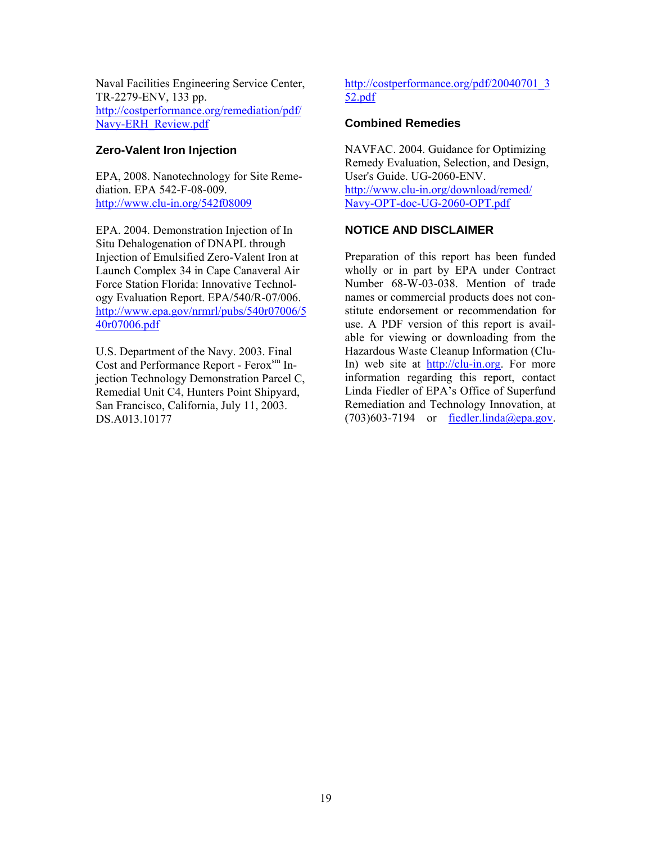Naval Facilities Engineering Service Center, TR-2279-ENV, 133 pp. http://costperformance.org/remediation/pdf/ Navy-ERH\_Review.pdf

## **Zero-Valent Iron Injection**

EPA, 2008. Nanotechnology for Site Remediation. EPA 542-F-08-009. http://www.clu-in.org/542f08009

40r07006.pdf EPA. 2004. Demonstration Injection of In Situ Dehalogenation of DNAPL through Injection of Emulsified Zero-Valent Iron at Launch Complex 34 in Cape Canaveral Air Force Station Florida: Innovative Technology Evaluation Report. EPA/540/R-07/006. http://www.epa.gov/nrmrl/pubs/540r07006/5

U.S. Department of the Navy. 2003. Final Cost and Performance Report - Ferox<sup>sm</sup> Injection Technology Demonstration Parcel C, Remedial Unit C4, Hunters Point Shipyard, San Francisco, California, July 11, 2003. DS.A013.10177

http://costperformance.org/pdf/20040701\_3 52.pdf

## **Combined Remedies**

 Navy-OPT-doc-UG-2060-OPT.pdf NAVFAC. 2004. Guidance for Optimizing Remedy Evaluation, Selection, and Design, User's Guide. UG-2060-ENV. http://www.clu-in.org/download/remed/

## **NOTICE AND DISCLAIMER**

Preparation of this report has been funded wholly or in part by EPA under Contract Number 68-W-03-038. Mention of trade names or commercial products does not constitute endorsement or recommendation for use. A PDF version of this report is available for viewing or downloading from the Hazardous Waste Cleanup Information (Clu-In) web site at http://clu-in.org. For more information regarding this report, contact Linda Fiedler of EPA's Office of Superfund Remediation and Technology Innovation, at  $(703)603-7194$  or fiedler.linda@epa.gov.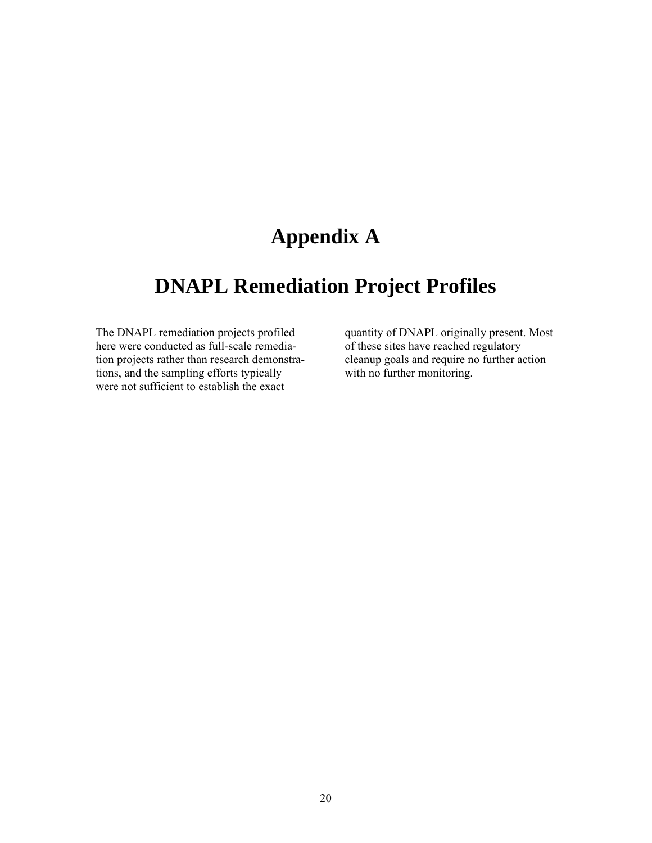## **Appendix A**

## **DNAPL Remediation Project Profiles**

here were conducted as full-scale remedia-<br>tion projects rather than research demonstra-<br>cleanup goals and require no further action tion projects rather than research demonstra-<br>tions, and the sampling efforts typically with no further monitoring. tions, and the sampling efforts typically were not sufficient to establish the exact

The DNAPL remediation projects profiled quantity of DNAPL originally present. Most here were conducted as full-scale remedia- of these sites have reached regulatory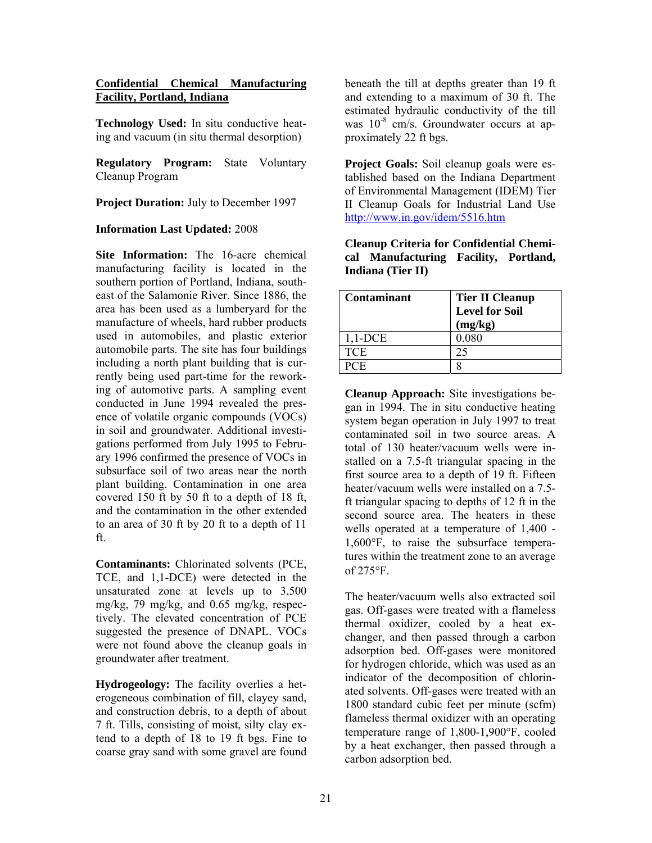#### **Confidential Chemical Manufacturing Facility, Portland, Indiana**

**Technology Used:** In situ conductive heating and vacuum (in situ thermal desorption)

 Cleanup Program **Regulatory Program:** State Voluntary

**Project Duration:** July to December 1997

## **Information Last Updated:** 2008

**Site Information:** The 16-acre chemical manufacturing facility is located in the southern portion of Portland, Indiana, southeast of the Salamonie River. Since 1886, the area has been used as a lumberyard for the manufacture of wheels, hard rubber products used in automobiles, and plastic exterior automobile parts. The site has four buildings including a north plant building that is currently being used part-time for the reworking of automotive parts. A sampling event conducted in June 1994 revealed the presence of volatile organic compounds (VOCs) in soil and groundwater. Additional investigations performed from July 1995 to February 1996 confirmed the presence of VOCs in subsurface soil of two areas near the north plant building. Contamination in one area covered 150 ft by 50 ft to a depth of 18 ft, and the contamination in the other extended to an area of 30 ft by 20 ft to a depth of 11 ft.

**Contaminants:** Chlorinated solvents (PCE, TCE, and 1,1-DCE) were detected in the unsaturated zone at levels up to 3,500 mg/kg, 79 mg/kg, and 0.65 mg/kg, respectively. The elevated concentration of PCE suggested the presence of DNAPL. VOCs were not found above the cleanup goals in groundwater after treatment.

**Hydrogeology:** The facility overlies a heterogeneous combination of fill, clayey sand, and construction debris, to a depth of about 7 ft. Tills, consisting of moist, silty clay extend to a depth of 18 to 19 ft bgs. Fine to coarse gray sand with some gravel are found

beneath the till at depths greater than 19 ft and extending to a maximum of 30 ft. The estimated hydraulic conductivity of the till was  $10^{-8}$  cm/s. Groundwater occurs at approximately 22 ft bgs.

**Project Goals:** Soil cleanup goals were established based on the Indiana Department of Environmental Management (IDEM) Tier II Cleanup Goals for Industrial Land Use http://www.in.gov/idem/5516.htm

| <b>Cleanup Criteria for Confidential Chemi-</b> |  |
|-------------------------------------------------|--|
| cal Manufacturing Facility, Portland,           |  |
| Indiana (Tier II)                               |  |

| <b>Contaminant</b> | <b>Tier II Cleanup</b> |
|--------------------|------------------------|
|                    | <b>Level for Soil</b>  |
|                    | (mg/kg)                |
| $1,1$ -DCE         | 0.080                  |
| <b>TCE</b>         | 25                     |
| 2CE                |                        |

of  $275^{\circ}$ F. **Cleanup Approach:** Site investigations began in 1994. The in situ conductive heating system began operation in July 1997 to treat contaminated soil in two source areas. A total of 130 heater/vacuum wells were installed on a 7.5-ft triangular spacing in the first source area to a depth of 19 ft. Fifteen heater/vacuum wells were installed on a 7.5 ft triangular spacing to depths of 12 ft in the second source area. The heaters in these wells operated at a temperature of 1,400 - 1,600°F, to raise the subsurface temperatures within the treatment zone to an average

The heater/vacuum wells also extracted soil gas. Off-gases were treated with a flameless thermal oxidizer, cooled by a heat exchanger, and then passed through a carbon adsorption bed. Off-gases were monitored for hydrogen chloride, which was used as an indicator of the decomposition of chlorinated solvents. Off-gases were treated with an 1800 standard cubic feet per minute (scfm) flameless thermal oxidizer with an operating temperature range of 1,800-1,900°F, cooled by a heat exchanger, then passed through a carbon adsorption bed.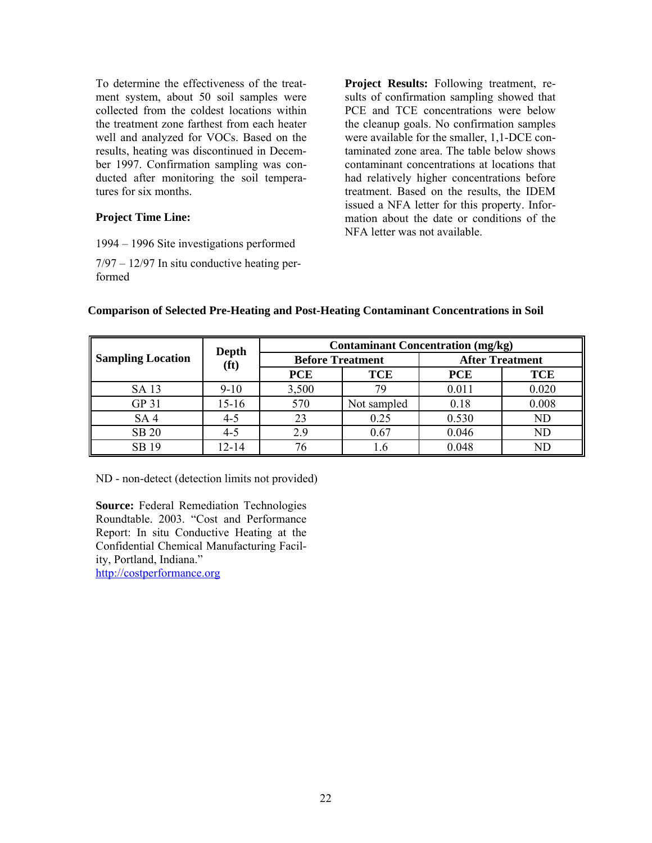the treatment zone farthest from each heater To determine the effectiveness of the treatment system, about 50 soil samples were collected from the coldest locations within well and analyzed for VOCs. Based on the results, heating was discontinued in December 1997. Confirmation sampling was conducted after monitoring the soil temperatures for six months.

## **Project Time Line:**

- 1994 1996 Site investigations performed
- 7/97 12/97 In situ conductive heating performed

**Project Results:** Following treatment, results of confirmation sampling showed that PCE and TCE concentrations were below the cleanup goals. No confirmation samples were available for the smaller, 1,1-DCE contaminated zone area. The table below shows contaminant concentrations at locations that had relatively higher concentrations before treatment. Based on the results, the IDEM issued a NFA letter for this property. Information about the date or conditions of the NFA letter was not available.

|                          | Depth             | <b>Contaminant Concentration (mg/kg)</b> |             |                        |            |
|--------------------------|-------------------|------------------------------------------|-------------|------------------------|------------|
| <b>Sampling Location</b> | (f <sup>t</sup> ) | <b>Before Treatment</b>                  |             | <b>After Treatment</b> |            |
|                          |                   | <b>PCE</b>                               | <b>TCE</b>  | <b>PCE</b>             | <b>TCE</b> |
| SA 13                    | $9-10$            | 3,500                                    | 79          | 0.011                  | 0.020      |
| GP 31                    | 15-16             | 570                                      | Not sampled | 0.18                   | 0.008      |
| SA <sub>4</sub>          | $4 - 5$           | 23                                       | 0.25        | 0.530                  | <b>ND</b>  |
| <b>SB 20</b>             | $4 - 5$           | 2.9                                      | 0.67        | 0.046                  | ND         |
| SB 19                    | 12-14             |                                          | l.6         | 0.048                  | ΝD         |

#### **Comparison of Selected Pre-Heating and Post-Heating Contaminant Concentrations in Soil**

ND - non-detect (detection limits not provided)

**Source:** Federal Remediation Technologies Roundtable. 2003. "Cost and Performance Report: In situ Conductive Heating at the Confidential Chemical Manufacturing Facility, Portland, Indiana." http://costperformance.org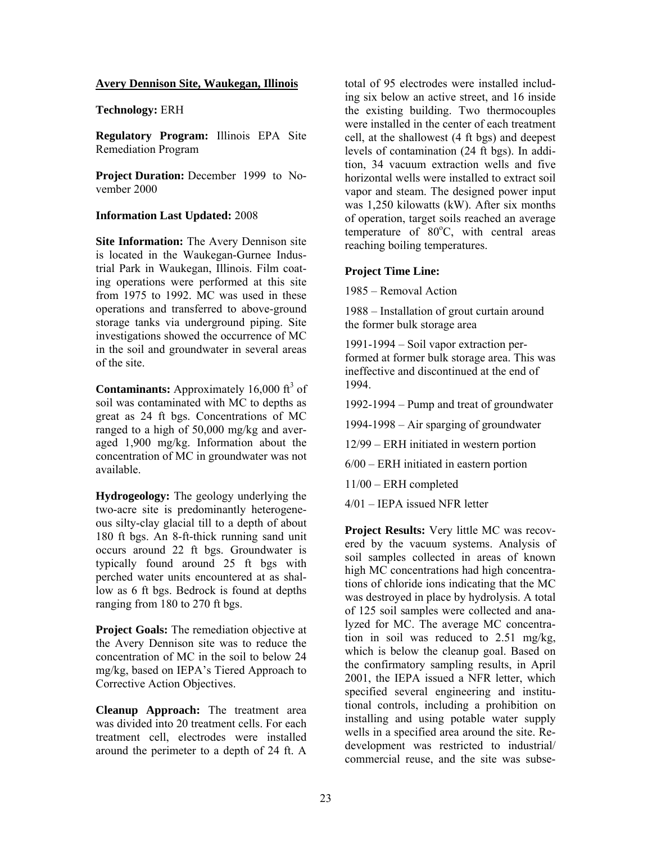#### **Avery Dennison Site, Waukegan, Illinois**

**Technology:** ERH

**Regulatory Program:** Illinois EPA Site Remediation Program

 **Project Duration:** December 1999 to November 2000

#### **Information Last Updated:** 2008

**Site Information:** The Avery Dennison site is located in the Waukegan-Gurnee Industrial Park in Waukegan, Illinois. Film coating operations were performed at this site from 1975 to 1992. MC was used in these operations and transferred to above-ground storage tanks via underground piping. Site investigations showed the occurrence of MC in the soil and groundwater in several areas of the site.

**Contaminants:** Approximately  $16,000 \text{ ft}^3 \text{ of }$ soil was contaminated with MC to depths as great as 24 ft bgs. Concentrations of MC ranged to a high of 50,000 mg/kg and averaged 1,900 mg/kg. Information about the concentration of MC in groundwater was not available.

**Hydrogeology:** The geology underlying the two-acre site is predominantly heterogeneous silty-clay glacial till to a depth of about 180 ft bgs. An 8-ft-thick running sand unit occurs around 22 ft bgs. Groundwater is typically found around 25 ft bgs with perched water units encountered at as shallow as 6 ft bgs. Bedrock is found at depths ranging from 180 to 270 ft bgs.

**Project Goals:** The remediation objective at the Avery Dennison site was to reduce the concentration of MC in the soil to below 24 mg/kg, based on IEPA's Tiered Approach to Corrective Action Objectives.

**Cleanup Approach:** The treatment area was divided into 20 treatment cells. For each treatment cell, electrodes were installed around the perimeter to a depth of 24 ft. A

total of 95 electrodes were installed including six below an active street, and 16 inside the existing building. Two thermocouples were installed in the center of each treatment cell, at the shallowest (4 ft bgs) and deepest levels of contamination (24 ft bgs). In addition, 34 vacuum extraction wells and five horizontal wells were installed to extract soil vapor and steam. The designed power input was 1,250 kilowatts (kW). After six months of operation, target soils reached an average temperature of 80°C, with central areas reaching boiling temperatures.

#### **Project Time Line:**

1985 – Removal Action

1988 – Installation of grout curtain around the former bulk storage area

1991-1994 – Soil vapor extraction performed at former bulk storage area. This was ineffective and discontinued at the end of 1994.

1992-1994 – Pump and treat of groundwater

1994-1998 – Air sparging of groundwater

12/99 – ERH initiated in western portion

6/00 – ERH initiated in eastern portion

11/00 – ERH completed

4/01 – IEPA issued NFR letter

**Project Results:** Very little MC was recovered by the vacuum systems. Analysis of soil samples collected in areas of known high MC concentrations had high concentrations of chloride ions indicating that the MC was destroyed in place by hydrolysis. A total of 125 soil samples were collected and analyzed for MC. The average MC concentration in soil was reduced to 2.51 mg/kg, which is below the cleanup goal. Based on the confirmatory sampling results, in April 2001, the IEPA issued a NFR letter, which specified several engineering and institutional controls, including a prohibition on installing and using potable water supply wells in a specified area around the site. Redevelopment was restricted to industrial/ commercial reuse, and the site was subse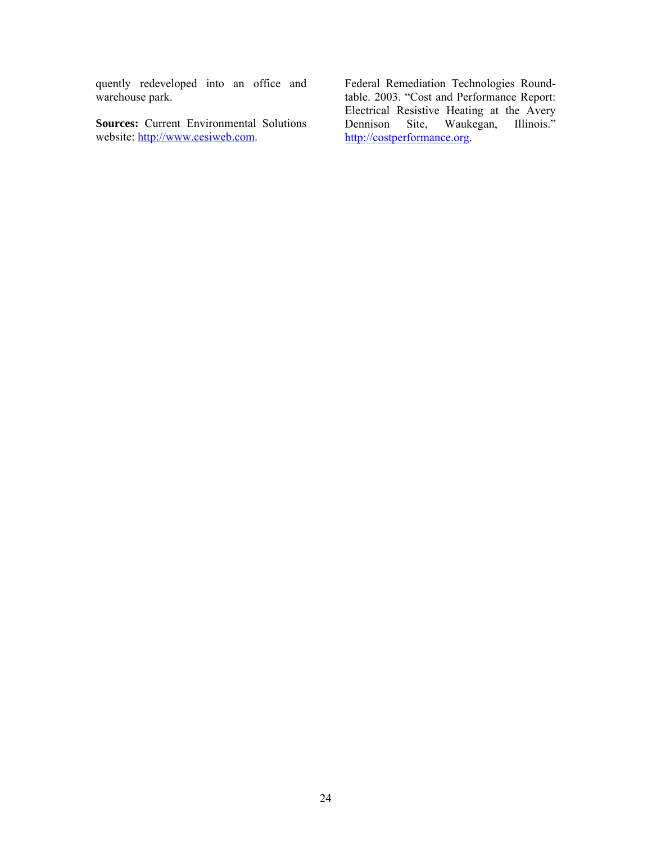quently redeveloped into an office and warehouse park.

**Sources:** Current Environmental Solutions website: http://www.cesiweb.com.

Federal Remediation Technologies Roundtable. 2003. "Cost and Performance Report: Electrical Resistive Heating at the Avery<br>Dennison Site, Waukegan, Illinois." Waukegan, http://costperformance.org.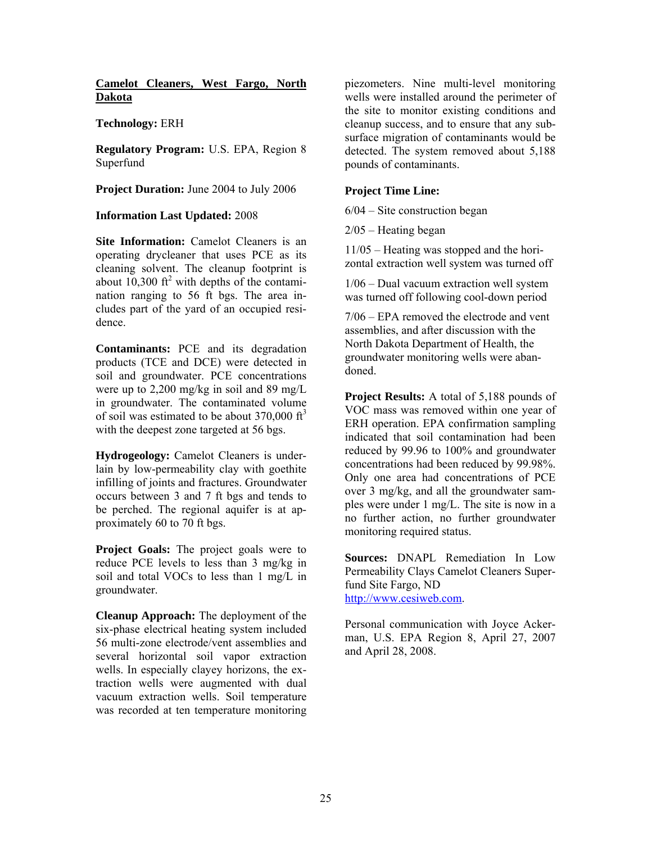### **Camelot Cleaners, West Fargo, North Dakota**

### **Technology:** ERH

**Regulatory Program:** U.S. EPA, Region 8 Superfund

**Project Duration:** June 2004 to July 2006

#### **Information Last Updated:** 2008

**Site Information:** Camelot Cleaners is an operating drycleaner that uses PCE as its cleaning solvent. The cleanup footprint is about  $10,300$  ft<sup>2</sup> with depths of the contami nation ranging to 56 ft bgs. The area includes part of the yard of an occupied residence.

**Contaminants:** PCE and its degradation products (TCE and DCE) were detected in soil and groundwater. PCE concentrations were up to 2,200 mg/kg in soil and 89 mg/L in groundwater. The contaminated volume of soil was estimated to be about  $370,000 \text{ ft}^3$ with the deepest zone targeted at 56 bgs.

**Hydrogeology:** Camelot Cleaners is underlain by low-permeability clay with goethite infilling of joints and fractures. Groundwater occurs between 3 and 7 ft bgs and tends to be perched. The regional aquifer is at approximately 60 to 70 ft bgs.

**Project Goals:** The project goals were to reduce PCE levels to less than 3 mg/kg in soil and total VOCs to less than 1 mg/L in groundwater.

**Cleanup Approach:** The deployment of the six-phase electrical heating system included 56 multi-zone electrode/vent assemblies and several horizontal soil vapor extraction wells. In especially clayey horizons, the extraction wells were augmented with dual vacuum extraction wells. Soil temperature was recorded at ten temperature monitoring

piezometers. Nine multi-level monitoring wells were installed around the perimeter of the site to monitor existing conditions and cleanup success, and to ensure that any subsurface migration of contaminants would be detected. The system removed about 5,188 pounds of contaminants.

## **Project Time Line:**

6/04 – Site construction began

2/05 – Heating began

11/05 – Heating was stopped and the horizontal extraction well system was turned off

1/06 – Dual vacuum extraction well system was turned off following cool-down period

7/06 – EPA removed the electrode and vent assemblies, and after discussion with the North Dakota Department of Health, the groundwater monitoring wells were abandoned.

**Project Results:** A total of 5,188 pounds of VOC mass was removed within one year of ERH operation. EPA confirmation sampling indicated that soil contamination had been reduced by 99.96 to 100% and groundwater concentrations had been reduced by 99.98%. Only one area had concentrations of PCE over 3 mg/kg, and all the groundwater samples were under 1 mg/L. The site is now in a no further action, no further groundwater monitoring required status.

**Sources:** DNAPL Remediation In Low Permeability Clays Camelot Cleaners Superfund Site Fargo, ND http://www.cesiweb.com.

Personal communication with Joyce Ackerman, U.S. EPA Region 8, April 27, 2007 and April 28, 2008.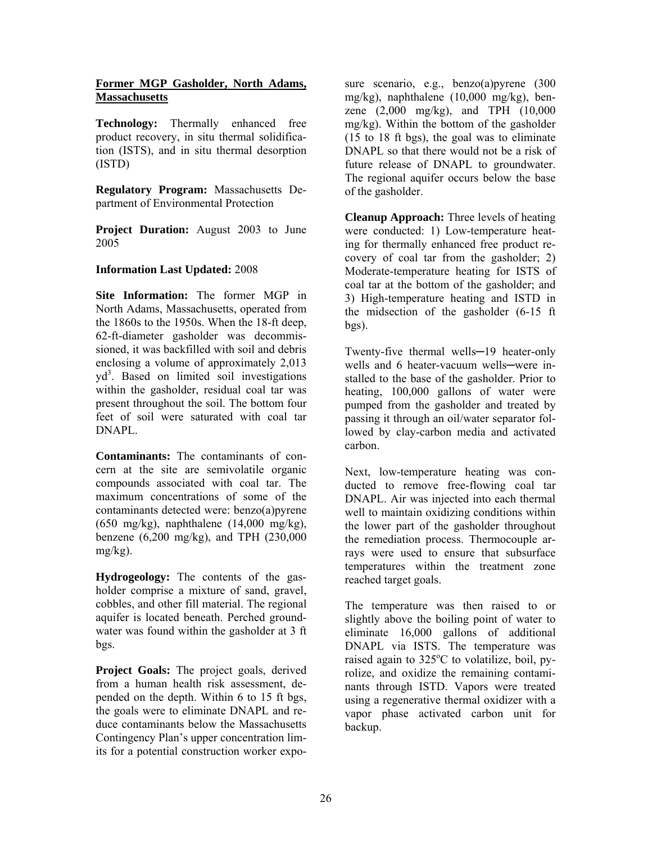#### **Former MGP Gasholder, North Adams, Massachusetts**

**Technology:** Thermally enhanced free product recovery, in situ thermal solidification (ISTS), and in situ thermal desorption (ISTD)

**Regulatory Program:** Massachusetts Department of Environmental Protection

**Project Duration:** August 2003 to June 2005

## **Information Last Updated:** 2008

**Site Information:** The former MGP in North Adams, Massachusetts, operated from the 1860s to the 1950s. When the 18-ft deep, 62-ft-diameter gasholder was decommissioned, it was backfilled with soil and debris enclosing a volume of approximately 2,013 yd<sup>3</sup>. Based on limited soil investigations within the gasholder, residual coal tar was present throughout the soil. The bottom four feet of soil were saturated with coal tar DNAPL.

**Contaminants:** The contaminants of concern at the site are semivolatile organic compounds associated with coal tar. The maximum concentrations of some of the contaminants detected were: benzo(a)pyrene (650 mg/kg), naphthalene (14,000 mg/kg), benzene (6,200 mg/kg), and TPH (230,000 mg/kg).

**Hydrogeology:** The contents of the gasholder comprise a mixture of sand, gravel, cobbles, and other fill material. The regional aquifer is located beneath. Perched groundwater was found within the gasholder at 3 ft bgs.

**Project Goals:** The project goals, derived from a human health risk assessment, depended on the depth. Within 6 to 15 ft bgs, the goals were to eliminate DNAPL and reduce contaminants below the Massachusetts Contingency Plan's upper concentration limits for a potential construction worker expo-

sure scenario, e.g., benzo(a)pyrene (300 mg/kg), naphthalene (10,000 mg/kg), benzene (2,000 mg/kg), and TPH (10,000 mg/kg). Within the bottom of the gasholder (15 to 18 ft bgs), the goal was to eliminate DNAPL so that there would not be a risk of future release of DNAPL to groundwater. The regional aquifer occurs below the base of the gasholder.

**Cleanup Approach:** Three levels of heating were conducted: 1) Low-temperature heating for thermally enhanced free product recovery of coal tar from the gasholder; 2) Moderate-temperature heating for ISTS of coal tar at the bottom of the gasholder; and 3) High-temperature heating and ISTD in the midsection of the gasholder (6-15 ft bgs).

Twenty-five thermal wells-19 heater-only wells and 6 heater-vacuum wells—were installed to the base of the gasholder. Prior to heating, 100,000 gallons of water were pumped from the gasholder and treated by passing it through an oil/water separator followed by clay-carbon media and activated carbon.

Next, low-temperature heating was conducted to remove free-flowing coal tar DNAPL. Air was injected into each thermal well to maintain oxidizing conditions within the lower part of the gasholder throughout the remediation process. Thermocouple arrays were used to ensure that subsurface temperatures within the treatment zone reached target goals.

The temperature was then raised to or slightly above the boiling point of water to eliminate 16,000 gallons of additional DNAPL via ISTS. The temperature was raised again to  $325^{\circ}$ C to volatilize, boil, py rolize, and oxidize the remaining contaminants through ISTD. Vapors were treated using a regenerative thermal oxidizer with a vapor phase activated carbon unit for backup.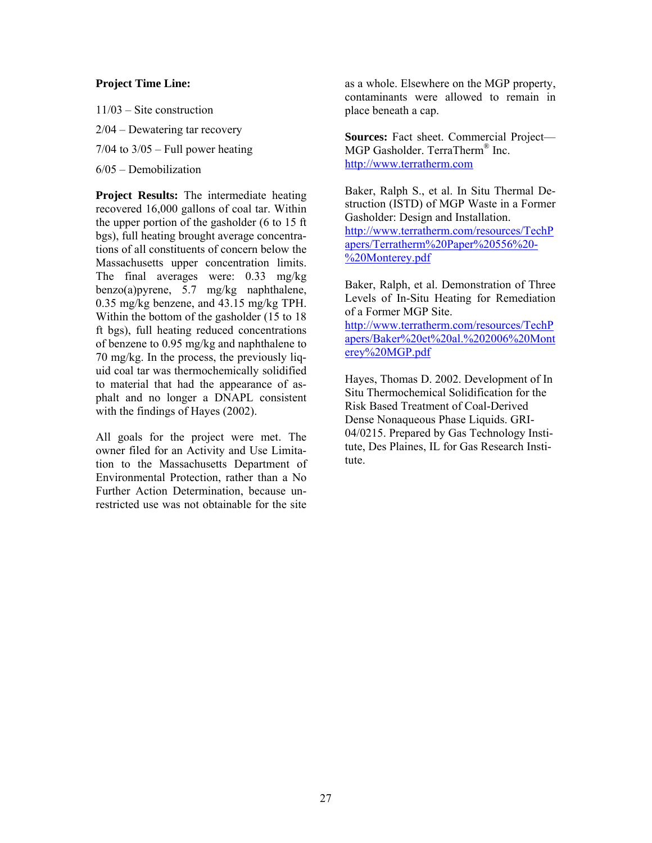#### **Project Time Line:**

11/03 – Site construction 2/04 – Dewatering tar recovery  $7/04$  to  $3/05$  – Full power heating 6/05 – Demobilization

with the findings of Hayes (2002). **Project Results:** The intermediate heating recovered 16,000 gallons of coal tar. Within the upper portion of the gasholder (6 to 15 ft bgs), full heating brought average concentrations of all constituents of concern below the Massachusetts upper concentration limits. The final averages were: 0.33 mg/kg benzo(a)pyrene, 5.7 mg/kg naphthalene, 0.35 mg/kg benzene, and 43.15 mg/kg TPH. Within the bottom of the gasholder (15 to 18 ft bgs), full heating reduced concentrations of benzene to 0.95 mg/kg and naphthalene to 70 mg/kg. In the process, the previously liquid coal tar was thermochemically solidified to material that had the appearance of asphalt and no longer a DNAPL consistent

All goals for the project were met. The owner filed for an Activity and Use Limitation to the Massachusetts Department of Environmental Protection, rather than a No Further Action Determination, because unrestricted use was not obtainable for the site

as a whole. Elsewhere on the MGP property, contaminants were allowed to remain in place beneath a cap.

**Sources:** Fact sheet. Commercial Project— MGP Gasholder. TerraTherm® Inc. http://www.terratherm.com

Baker, Ralph S., et al. In Situ Thermal Destruction (ISTD) of MGP Waste in a Former Gasholder: Design and Installation. http://www.terratherm.com/resources/TechP apers/Terratherm%20Paper%20556%20 %20Monterey.pdf

Baker, Ralph, et al. Demonstration of Three Levels of In-Situ Heating for Remediation of a Former MGP Site.

http://www.terratherm.com/resources/TechP apers/Baker%20et%20al.%202006%20Mont erey%20MGP.pdf

Hayes, Thomas D. 2002. Development of In Situ Thermochemical Solidification for the Risk Based Treatment of Coal-Derived Dense Nonaqueous Phase Liquids. GRI-04/0215. Prepared by Gas Technology Institute, Des Plaines, IL for Gas Research Institute.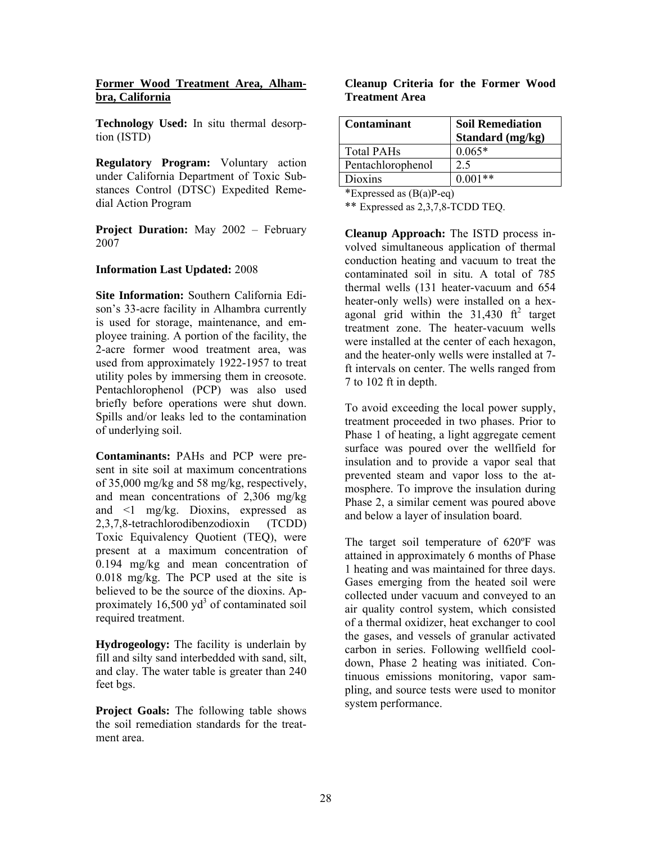#### **Former Wood Treatment Area, Alhambra, California**

**Technology Used:** In situ thermal desorption (ISTD)

 dial Action Program **Regulatory Program:** Voluntary action under California Department of Toxic Substances Control (DTSC) Expedited Reme-

**Project Duration:** May 2002 – February 2007

#### **Information Last Updated:** 2008

**Site Information:** Southern California Edison's 33-acre facility in Alhambra currently is used for storage, maintenance, and employee training. A portion of the facility, the 2-acre former wood treatment area, was used from approximately 1922-1957 to treat utility poles by immersing them in creosote. Pentachlorophenol (PCP) was also used briefly before operations were shut down. Spills and/or leaks led to the contamination of underlying soil.

**Contaminants:** PAHs and PCP were present in site soil at maximum concentrations of 35,000 mg/kg and 58 mg/kg, respectively, and mean concentrations of 2,306 mg/kg and <1 mg/kg. Dioxins, expressed as 2,3,7,8-tetrachlorodibenzodioxin (TCDD) Toxic Equivalency Quotient (TEQ), were present at a maximum concentration of 0.194 mg/kg and mean concentration of 0.018 mg/kg. The PCP used at the site is believed to be the source of the dioxins. Approximately  $16,500$  yd<sup>3</sup> of contaminated soil required treatment.

**Hydrogeology:** The facility is underlain by fill and silty sand interbedded with sand, silt, and clay. The water table is greater than 240 feet bgs.

**Project Goals:** The following table shows the soil remediation standards for the treatment area.

#### **Cleanup Criteria for the Former Wood Treatment Area**

| Contaminant       | <b>Soil Remediation</b><br>Standard (mg/kg) |
|-------------------|---------------------------------------------|
| <b>Total PAHs</b> | $0.065*$                                    |
| Pentachlorophenol | 2.5                                         |
| Dioxins           | $0.001**$                                   |

\*Expressed as  $(B(a)P-eq)$ 

\*\* Expressed as 2,3,7,8-TCDD TEQ.

**Cleanup Approach:** The ISTD process involved simultaneous application of thermal conduction heating and vacuum to treat the contaminated soil in situ. A total of 785 thermal wells (131 heater-vacuum and 654 heater-only wells) were installed on a hexagonal grid within the  $31,430$  ft<sup>2</sup> target treatment zone. The heater-vacuum wells were installed at the center of each hexagon. and the heater-only wells were installed at 7 ft intervals on center. The wells ranged from 7 to 102 ft in depth.

To avoid exceeding the local power supply, treatment proceeded in two phases. Prior to Phase 1 of heating, a light aggregate cement surface was poured over the wellfield for insulation and to provide a vapor seal that prevented steam and vapor loss to the atmosphere. To improve the insulation during Phase 2, a similar cement was poured above and below a layer of insulation board.

The target soil temperature of 620ºF was attained in approximately 6 months of Phase 1 heating and was maintained for three days. Gases emerging from the heated soil were collected under vacuum and conveyed to an air quality control system, which consisted of a thermal oxidizer, heat exchanger to cool the gases, and vessels of granular activated carbon in series. Following wellfield cooldown, Phase 2 heating was initiated. Continuous emissions monitoring, vapor sampling, and source tests were used to monitor system performance.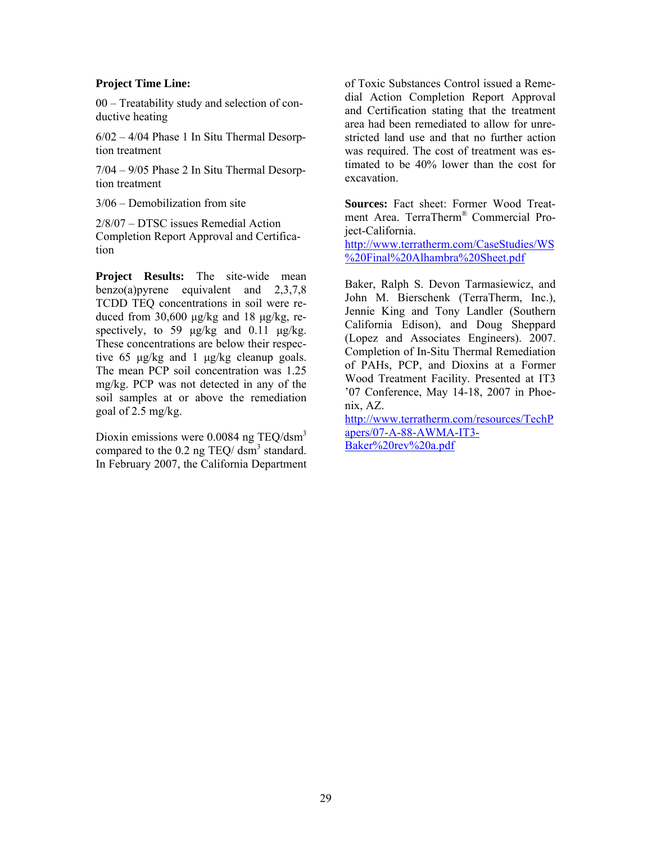#### **Project Time Line:**

00 – Treatability study and selection of conductive heating

6/02 – 4/04 Phase 1 In Situ Thermal Desorption treatment

7/04 – 9/05 Phase 2 In Situ Thermal Desorption treatment

3/06 – Demobilization from site

2/8/07 – DTSC issues Remedial Action Completion Report Approval and Certification

**Project Results:** The site-wide mean benzo(a)pyrene equivalent and 2,3,7,8 TCDD TEQ concentrations in soil were reduced from  $30,600 \mu g/kg$  and  $18 \mu g/kg$ , respectively, to 59  $\mu$ g/kg and 0.11  $\mu$ g/kg. These concentrations are below their respective 65 µg/kg and 1 µg/kg cleanup goals. The mean PCP soil concentration was 1.25 mg/kg. PCP was not detected in any of the soil samples at or above the remediation goal of 2.5 mg/kg.

Dioxin emissions were 0.0084 ng TEQ/dsm3 compared to the  $0.2$  ng TEQ/ dsm<sup>3</sup> standard. In February 2007, the California Department of Toxic Substances Control issued a Remedial Action Completion Report Approval and Certification stating that the treatment area had been remediated to allow for unrestricted land use and that no further action was required. The cost of treatment was estimated to be 40% lower than the cost for excavation.

**Sources:** Fact sheet: Former Wood Treatment Area. TerraTherm® Commercial Project-California.

%20Final%20Alhambra%20Sheet.pdf http://www.terratherm.com/CaseStudies/WS

Baker, Ralph S. Devon Tarmasiewicz, and John M. Bierschenk (TerraTherm, Inc.), Jennie King and Tony Landler (Southern California Edison), and Doug Sheppard (Lopez and Associates Engineers). 2007. Completion of In-Situ Thermal Remediation of PAHs, PCP, and Dioxins at a Former Wood Treatment Facility. Presented at IT3 '07 Conference, May 14-18, 2007 in Phoenix, AZ. http://www.terratherm.com/resources/TechP

apers/07-A-88-AWMA-IT3 Baker%20rev%20a.pdf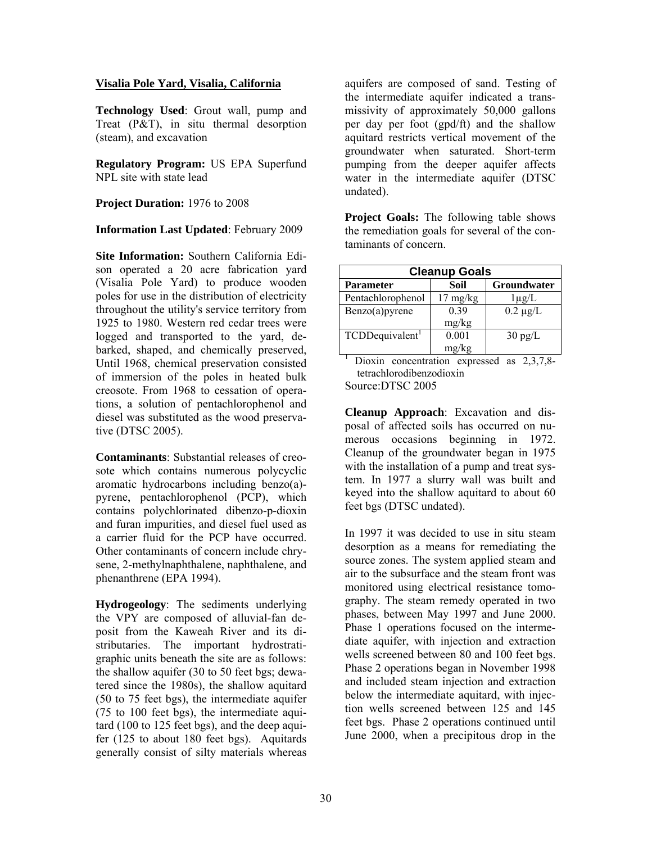#### **Visalia Pole Yard, Visalia, California**

**Technology Used**: Grout wall, pump and Treat (P&T), in situ thermal desorption (steam), and excavation

**Regulatory Program:** US EPA Superfund NPL site with state lead

**Project Duration:** 1976 to 2008

**Information Last Updated**: February 2009

**Site Information:** Southern California Edison operated a 20 acre fabrication yard (Visalia Pole Yard) to produce wooden poles for use in the distribution of electricity throughout the utility's service territory from 1925 to 1980. Western red cedar trees were logged and transported to the yard, debarked, shaped, and chemically preserved, Until 1968, chemical preservation consisted of immersion of the poles in heated bulk creosote. From 1968 to cessation of operations, a solution of pentachlorophenol and diesel was substituted as the wood preservative (DTSC 2005).

**Contaminants**: Substantial releases of creosote which contains numerous polycyclic aromatic hydrocarbons including benzo(a) pyrene, pentachlorophenol (PCP), which contains polychlorinated dibenzo-p-dioxin and furan impurities, and diesel fuel used as a carrier fluid for the PCP have occurred. Other contaminants of concern include chrysene, 2-methylnaphthalene, naphthalene, and phenanthrene (EPA 1994).

**Hydrogeology**: The sediments underlying the VPY are composed of alluvial-fan deposit from the Kaweah River and its distributaries. The important hydrostratigraphic units beneath the site are as follows: the shallow aquifer (30 to 50 feet bgs; dewatered since the 1980s), the shallow aquitard (50 to 75 feet bgs), the intermediate aquifer (75 to 100 feet bgs), the intermediate aquitard (100 to 125 feet bgs), and the deep aquifer (125 to about 180 feet bgs). Aquitards generally consist of silty materials whereas

aquifers are composed of sand. Testing of the intermediate aquifer indicated a transmissivity of approximately 50,000 gallons per day per foot (gpd/ft) and the shallow aquitard restricts vertical movement of the groundwater when saturated. Short-term pumping from the deeper aquifer affects water in the intermediate aquifer (DTSC undated).

**Project Goals:** The following table shows the remediation goals for several of the contaminants of concern.

| <b>Cleanup Goals</b>        |                    |                   |  |  |  |
|-----------------------------|--------------------|-------------------|--|--|--|
| Parameter                   | Soil               | Groundwater       |  |  |  |
| Pentachlorophenol           | $17 \text{ mg/kg}$ | $1\mu$ g/L        |  |  |  |
| $Benzo(a)$ pyrene           | 0.39               | $0.2 \mu g/L$     |  |  |  |
|                             | mg/kg              |                   |  |  |  |
| TCDDequivalent <sup>1</sup> | 0.001              | $30 \text{ pg/L}$ |  |  |  |
|                             | mg/kg              |                   |  |  |  |

Dioxin concentration expressed as 2,3,7,8tetrachlorodibenzodioxin

Source:DTSC 2005

**Cleanup Approach**: Excavation and disposal of affected soils has occurred on numerous occasions beginning in 1972. Cleanup of the groundwater began in 1975 with the installation of a pump and treat system. In 1977 a slurry wall was built and keyed into the shallow aquitard to about 60 feet bgs (DTSC undated).

 tion wells screened between 125 and 145 In 1997 it was decided to use in situ steam desorption as a means for remediating the source zones. The system applied steam and air to the subsurface and the steam front was monitored using electrical resistance tomography. The steam remedy operated in two phases, between May 1997 and June 2000. Phase 1 operations focused on the intermediate aquifer, with injection and extraction wells screened between 80 and 100 feet bgs. Phase 2 operations began in November 1998 and included steam injection and extraction below the intermediate aquitard, with injecfeet bgs. Phase 2 operations continued until June 2000, when a precipitous drop in the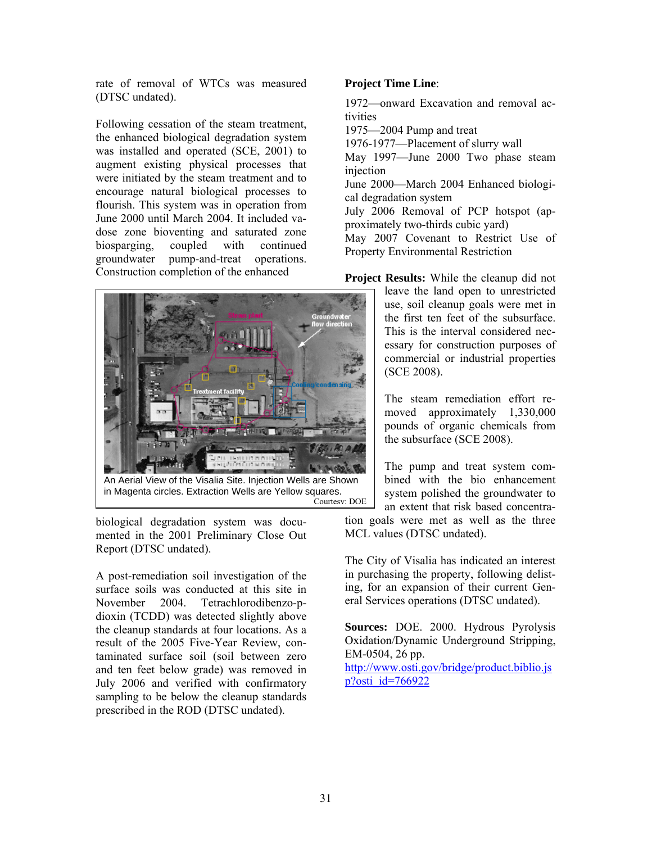rate of removal of WTCs was measured (DTSC undated).

Following cessation of the steam treatment, the enhanced biological degradation system was installed and operated (SCE, 2001) to augment existing physical processes that were initiated by the steam treatment and to encourage natural biological processes to flourish. This system was in operation from June 2000 until March 2004. It included vadose zone bioventing and saturated zone biosparging, coupled with continued groundwater pump-and-treat operations. Construction completion of the enhanced



An Aerial View of the Visalia Site. Injection Wells are Shown in Magenta circles. Extraction Wells are Yellow squares. Courtesy: DOE

biological degradation system was documented in the 2001 Preliminary Close Out Report (DTSC undated).

A post-remediation soil investigation of the surface soils was conducted at this site in November 2004. Tetrachlorodibenzo-pdioxin (TCDD) was detected slightly above the cleanup standards at four locations. As a result of the 2005 Five-Year Review, contaminated surface soil (soil between zero and ten feet below grade) was removed in July 2006 and verified with confirmatory sampling to be below the cleanup standards prescribed in the ROD (DTSC undated).

### **Project Time Line**:

1972—onward Excavation and removal activities

1975—2004 Pump and treat

1976-1977—Placement of slurry wall

May 1997—June 2000 Two phase steam injection

June 2000—March 2004 Enhanced biological degradation system

July 2006 Removal of PCP hotspot (approximately two-thirds cubic yard)

May 2007 Covenant to Restrict Use of Property Environmental Restriction

**Project Results:** While the cleanup did not

 (SCE 2008). leave the land open to unrestricted use, soil cleanup goals were met in the first ten feet of the subsurface. This is the interval considered necessary for construction purposes of commercial or industrial properties

 moved approximately 1,330,000 The steam remediation effort repounds of organic chemicals from the subsurface (SCE 2008).

The pump and treat system combined with the bio enhancement system polished the groundwater to an extent that risk based concentra-

tion goals were met as well as the three MCL values (DTSC undated).

The City of Visalia has indicated an interest in purchasing the property, following delisting, for an expansion of their current General Services operations (DTSC undated).

**Sources:** DOE. 2000. Hydrous Pyrolysis Oxidation/Dynamic Underground Stripping, EM-0504, 26 pp.

http://www.osti.gov/bridge/product.biblio.js p?osti\_id=766922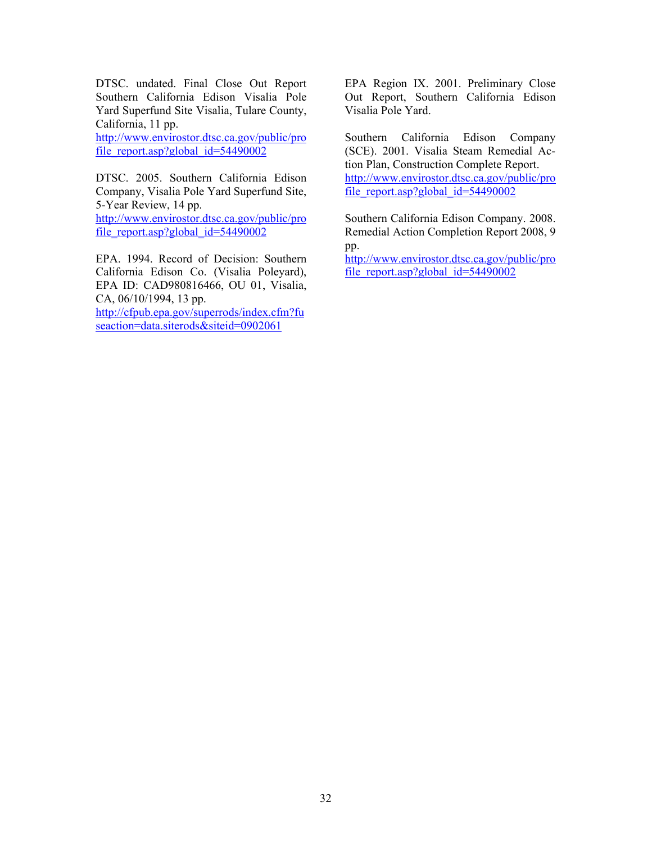DTSC. undated. Final Close Out Report Southern California Edison Visalia Pole Yard Superfund Site Visalia, Tulare County, California, 11 pp.

http://www.envirostor.dtsc.ca.gov/public/pro file\_report.asp?global\_id=54490002

DTSC. 2005. Southern California Edison Company, Visalia Pole Yard Superfund Site, 5-Year Review, 14 pp.

http://www.envirostor.dtsc.ca.gov/public/pro file\_report.asp?global\_id=54490002

EPA. 1994. Record of Decision: Southern California Edison Co. (Visalia Poleyard), EPA ID: CAD980816466, OU 01, Visalia, CA, 06/10/1994, 13 pp.

http://cfpub.epa.gov/superrods/index.cfm?fu seaction=data.siterods&siteid=0902061

EPA Region IX. 2001. Preliminary Close Out Report, Southern California Edison Visalia Pole Yard.

Southern California Edison Company (SCE). 2001. Visalia Steam Remedial Action Plan, Construction Complete Report. http://www.envirostor.dtsc.ca.gov/public/pro file\_report.asp?global\_ $id=54490002$ 

Southern California Edison Company. 2008. Remedial Action Completion Report 2008, 9 pp.

http://www.envirostor.dtsc.ca.gov/public/pro file\_report.asp?global\_id=54490002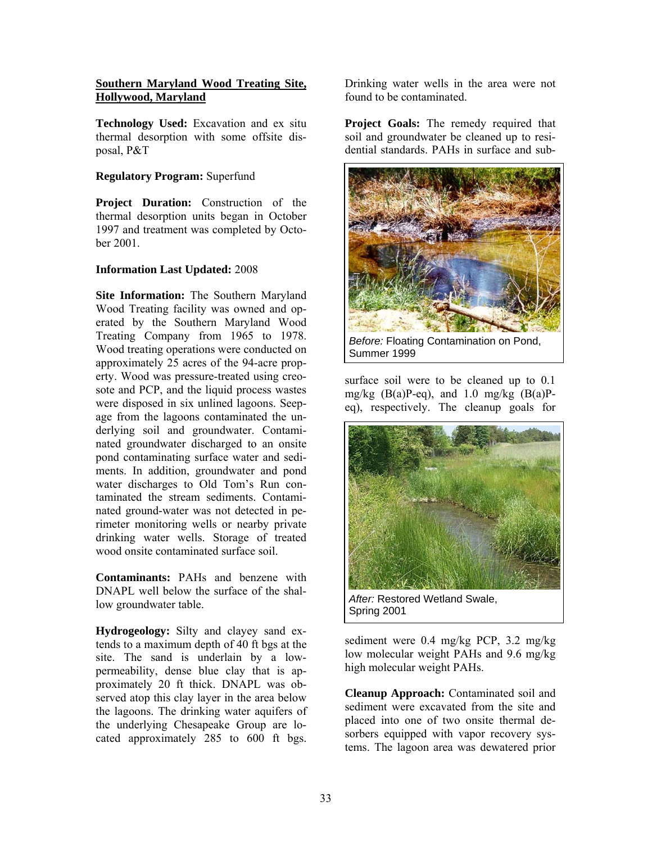#### **Southern Maryland Wood Treating Site, Hollywood, Maryland**

**Technology Used:** Excavation and ex situ thermal desorption with some offsite disposal, P&T

### **Regulatory Program:** Superfund

**Project Duration:** Construction of the thermal desorption units began in October 1997 and treatment was completed by October 2001.

## **Information Last Updated:** 2008

**Site Information:** The Southern Maryland Wood Treating facility was owned and operated by the Southern Maryland Wood Treating Company from 1965 to 1978. Wood treating operations were conducted on approximately 25 acres of the 94-acre property. Wood was pressure-treated using creosote and PCP, and the liquid process wastes were disposed in six unlined lagoons. Seepage from the lagoons contaminated the underlying soil and groundwater. Contaminated groundwater discharged to an onsite pond contaminating surface water and sediments. In addition, groundwater and pond water discharges to Old Tom's Run contaminated the stream sediments. Contaminated ground-water was not detected in perimeter monitoring wells or nearby private drinking water wells. Storage of treated wood onsite contaminated surface soil.

**Contaminants:** PAHs and benzene with DNAPL well below the surface of the shallow groundwater table.

**Hydrogeology:** Silty and clayey sand extends to a maximum depth of 40 ft bgs at the site. The sand is underlain by a lowpermeability, dense blue clay that is approximately 20 ft thick. DNAPL was observed atop this clay layer in the area below the lagoons. The drinking water aquifers of the underlying Chesapeake Group are located approximately 285 to 600 ft bgs.

Drinking water wells in the area were not found to be contaminated.

**Project Goals:** The remedy required that soil and groundwater be cleaned up to residential standards. PAHs in surface and sub-



*Before:* Floating Contamination on Pond, Summer 1999

surface soil were to be cleaned up to 0.1 mg/kg  $(B(a)P-eq)$ , and 1.0 mg/kg  $(B(a)P-eq)$ eq), respectively. The cleanup goals for



Spring 2001

sediment were 0.4 mg/kg PCP, 3.2 mg/kg low molecular weight PAHs and 9.6 mg/kg high molecular weight PAHs.

**Cleanup Approach:** Contaminated soil and sediment were excavated from the site and placed into one of two onsite thermal desorbers equipped with vapor recovery systems. The lagoon area was dewatered prior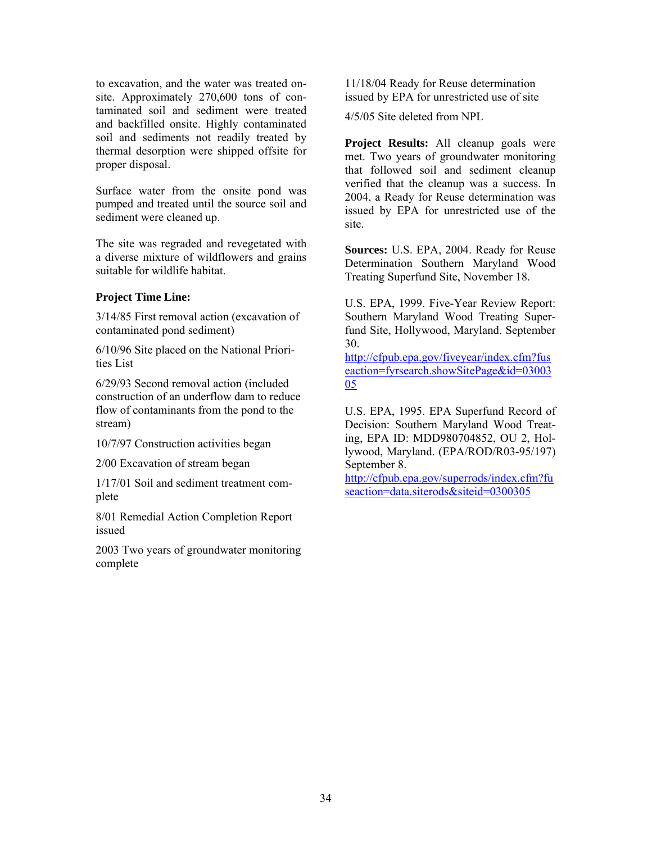to excavation, and the water was treated onsite. Approximately 270,600 tons of contaminated soil and sediment were treated and backfilled onsite. Highly contaminated soil and sediments not readily treated by thermal desorption were shipped offsite for proper disposal.

Surface water from the onsite pond was pumped and treated until the source soil and sediment were cleaned up.

The site was regraded and revegetated with a diverse mixture of wildflowers and grains suitable for wildlife habitat.

#### **Project Time Line:**

3/14/85 First removal action (excavation of contaminated pond sediment)

6/10/96 Site placed on the National Priorities List

6/29/93 Second removal action (included construction of an underflow dam to reduce flow of contaminants from the pond to the stream)

10/7/97 Construction activities began

2/00 Excavation of stream began

1/17/01 Soil and sediment treatment complete

8/01 Remedial Action Completion Report issued

2003 Two years of groundwater monitoring complete

11/18/04 Ready for Reuse determination issued by EPA for unrestricted use of site

4/5/05 Site deleted from NPL

**Project Results:** All cleanup goals were met. Two years of groundwater monitoring that followed soil and sediment cleanup verified that the cleanup was a success. In 2004, a Ready for Reuse determination was issued by EPA for unrestricted use of the site.

**Sources:** U.S. EPA, 2004. Ready for Reuse Determination Southern Maryland Wood Treating Superfund Site, November 18.

U.S. EPA, 1999. Five-Year Review Report: Southern Maryland Wood Treating Superfund Site, Hollywood, Maryland. September 30.

http://cfpub.epa.gov/fiveyear/index.cfm?fus eaction=fyrsearch.showSitePage&id=03003 05

U.S. EPA, 1995. EPA Superfund Record of Decision: Southern Maryland Wood Treating, EPA ID: MDD980704852, OU 2, Hollywood, Maryland. (EPA/ROD/R03-95/197) September 8.

http://cfpub.epa.gov/superrods/index.cfm?fu seaction=data.siterods&siteid=0300305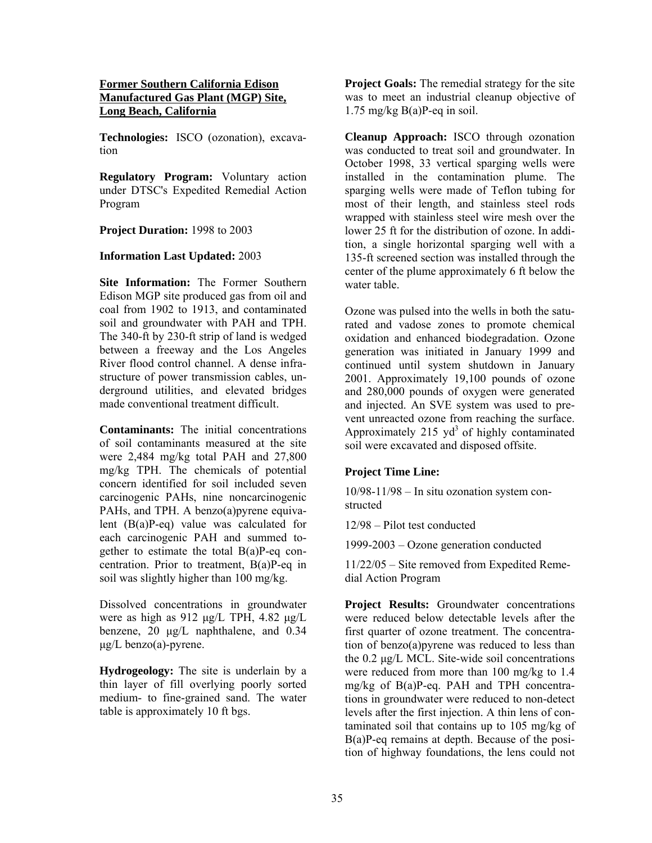### **Former Southern California Edison Manufactured Gas Plant (MGP) Site, Long Beach, California**

**Technologies:** ISCO (ozonation), excavation

**Regulatory Program:** Voluntary action under DTSC's Expedited Remedial Action Program

## **Project Duration:** 1998 to 2003

#### **Information Last Updated:** 2003

**Site Information:** The Former Southern Edison MGP site produced gas from oil and coal from 1902 to 1913, and contaminated soil and groundwater with PAH and TPH. The 340-ft by 230-ft strip of land is wedged between a freeway and the Los Angeles River flood control channel. A dense infrastructure of power transmission cables, underground utilities, and elevated bridges made conventional treatment difficult.

**Contaminants:** The initial concentrations of soil contaminants measured at the site were 2,484 mg/kg total PAH and 27,800 mg/kg TPH. The chemicals of potential concern identified for soil included seven carcinogenic PAHs, nine noncarcinogenic PAHs, and TPH. A benzo(a)pyrene equivalent (B(a)P-eq) value was calculated for each carcinogenic PAH and summed together to estimate the total B(a)P-eq concentration. Prior to treatment, B(a)P-eq in soil was slightly higher than 100 mg/kg.

Dissolved concentrations in groundwater were as high as 912 µg/L TPH, 4.82 µg/L benzene, 20 µg/L naphthalene, and 0.34 µg/L benzo(a)-pyrene.

**Hydrogeology:** The site is underlain by a thin layer of fill overlying poorly sorted medium- to fine-grained sand. The water table is approximately 10 ft bgs.

**Project Goals:** The remedial strategy for the site was to meet an industrial cleanup objective of 1.75 mg/kg  $B(a)P$ -eq in soil.

**Cleanup Approach:** ISCO through ozonation was conducted to treat soil and groundwater. In October 1998, 33 vertical sparging wells were installed in the contamination plume. The sparging wells were made of Teflon tubing for most of their length, and stainless steel rods wrapped with stainless steel wire mesh over the lower 25 ft for the distribution of ozone. In addition, a single horizontal sparging well with a 135-ft screened section was installed through the center of the plume approximately 6 ft below the water table.

Ozone was pulsed into the wells in both the saturated and vadose zones to promote chemical oxidation and enhanced biodegradation. Ozone generation was initiated in January 1999 and continued until system shutdown in January 2001. Approximately 19,100 pounds of ozone and 280,000 pounds of oxygen were generated and injected. An SVE system was used to prevent unreacted ozone from reaching the surface. Approximately 215  $yd^3$  of highly contaminated soil were excavated and disposed offsite.

#### **Project Time Line:**

10/98-11/98 – In situ ozonation system constructed

12/98 – Pilot test conducted

1999-2003 – Ozone generation conducted

11/22/05 – Site removed from Expedited Remedial Action Program

**Project Results:** Groundwater concentrations were reduced below detectable levels after the first quarter of ozone treatment. The concentration of benzo(a)pyrene was reduced to less than the 0.2 µg/L MCL. Site-wide soil concentrations were reduced from more than 100 mg/kg to 1.4 mg/kg of B(a)P-eq. PAH and TPH concentrations in groundwater were reduced to non-detect levels after the first injection. A thin lens of contaminated soil that contains up to 105 mg/kg of B(a)P-eq remains at depth. Because of the position of highway foundations, the lens could not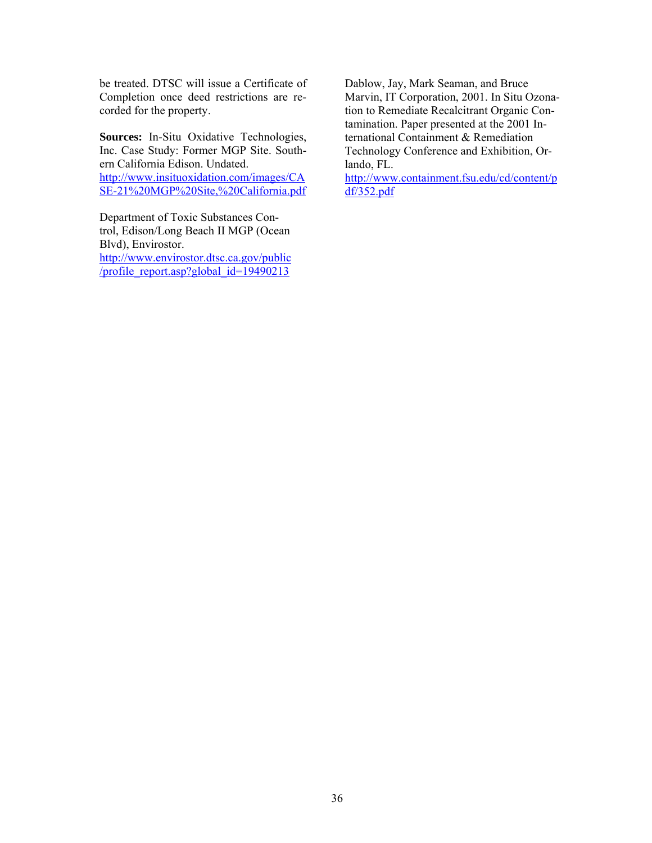be treated. DTSC will issue a Certificate of Completion once deed restrictions are recorded for the property.

**Sources:** In-Situ Oxidative Technologies, Inc. Case Study: Former MGP Site. Southern California Edison. Undated. http://www.insituoxidation.com/images/CA SE-21%20MGP%20Site,%20California.pdf

Department of Toxic Substances Control, Edison/Long Beach II MGP (Ocean Blvd), Envirostor.

http://www.envirostor.dtsc.ca.gov/public /profile\_report.asp?global\_id=19490213

Dablow, Jay, Mark Seaman, and Bruce Marvin, IT Corporation, 2001. In Situ Ozonation to Remediate Recalcitrant Organic Contamination. Paper presented at the 2001 International Containment & Remediation Technology Conference and Exhibition, Orlando, FL.

http://www.containment.fsu.edu/cd/content/p  $d\widehat{f}/352$ .pdf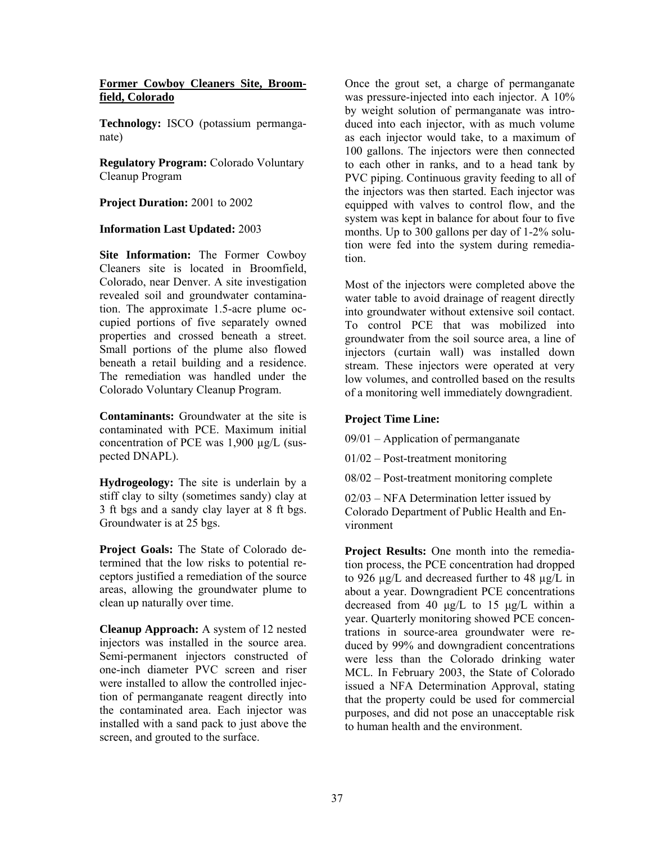#### **Former Cowboy Cleaners Site, Broomfield, Colorado**

**Technology:** ISCO (potassium permanganate)

 Cleanup Program **Regulatory Program:** Colorado Voluntary

#### **Project Duration:** 2001 to 2002

#### **Information Last Updated:** 2003

**Site Information:** The Former Cowboy Cleaners site is located in Broomfield, Colorado, near Denver. A site investigation revealed soil and groundwater contamination. The approximate 1.5-acre plume occupied portions of five separately owned properties and crossed beneath a street. Small portions of the plume also flowed beneath a retail building and a residence. The remediation was handled under the Colorado Voluntary Cleanup Program.

**Contaminants:** Groundwater at the site is contaminated with PCE. Maximum initial concentration of PCE was 1,900 µg/L (suspected DNAPL).

 3 ft bgs and a sandy clay layer at 8 ft bgs. **Hydrogeology:** The site is underlain by a stiff clay to silty (sometimes sandy) clay at Groundwater is at 25 bgs.

**Project Goals:** The State of Colorado determined that the low risks to potential receptors justified a remediation of the source areas, allowing the groundwater plume to clean up naturally over time.

**Cleanup Approach:** A system of 12 nested injectors was installed in the source area. Semi-permanent injectors constructed of one-inch diameter PVC screen and riser were installed to allow the controlled injection of permanganate reagent directly into the contaminated area. Each injector was installed with a sand pack to just above the screen, and grouted to the surface.

Once the grout set, a charge of permanganate was pressure-injected into each injector. A 10% by weight solution of permanganate was introduced into each injector, with as much volume as each injector would take, to a maximum of 100 gallons. The injectors were then connected to each other in ranks, and to a head tank by PVC piping. Continuous gravity feeding to all of the injectors was then started. Each injector was equipped with valves to control flow, and the system was kept in balance for about four to five months. Up to 300 gallons per day of 1-2% solution were fed into the system during remediation.

Most of the injectors were completed above the water table to avoid drainage of reagent directly into groundwater without extensive soil contact. To control PCE that was mobilized into groundwater from the soil source area, a line of injectors (curtain wall) was installed down stream. These injectors were operated at very low volumes, and controlled based on the results of a monitoring well immediately downgradient.

#### **Project Time Line:**

09/01 – Application of permanganate

01/02 – Post-treatment monitoring

08/02 – Post-treatment monitoring complete

02/03 – NFA Determination letter issued by Colorado Department of Public Health and Environment

**Project Results:** One month into the remediation process, the PCE concentration had dropped to 926 µg/L and decreased further to 48 µg/L in about a year. Downgradient PCE concentrations decreased from 40  $\mu$ g/L to 15  $\mu$ g/L within a year. Quarterly monitoring showed PCE concentrations in source-area groundwater were reduced by 99% and downgradient concentrations were less than the Colorado drinking water MCL. In February 2003, the State of Colorado issued a NFA Determination Approval, stating that the property could be used for commercial purposes, and did not pose an unacceptable risk to human health and the environment.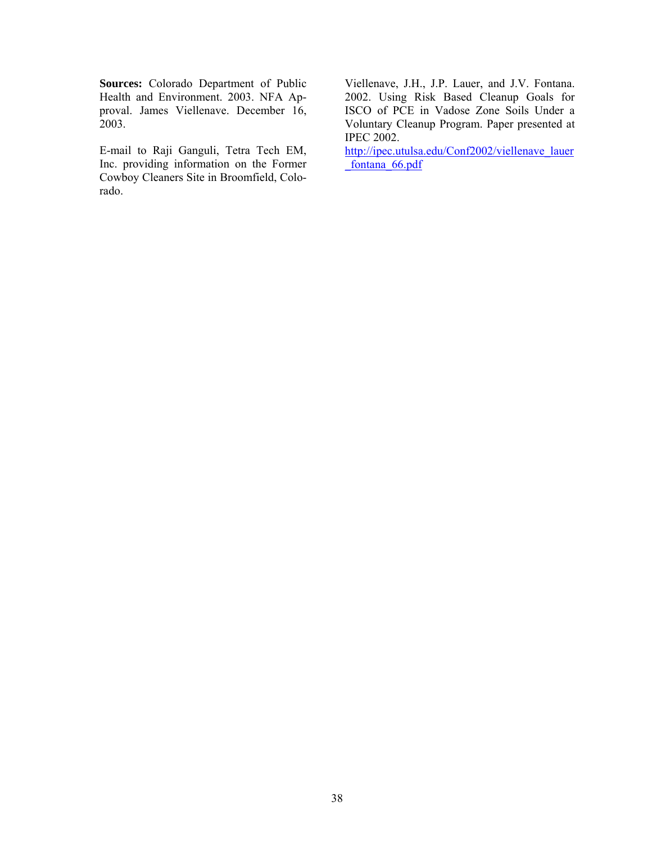**Sources:** Colorado Department of Public Health and Environment. 2003. NFA Approval. James Viellenave. December 16, 2003.

E-mail to Raji Ganguli, Tetra Tech EM, Inc. providing information on the Former Cowboy Cleaners Site in Broomfield, Colorado.

**IPEC 2002.** Viellenave, J.H., J.P. Lauer, and J.V. Fontana. 2002. Using Risk Based Cleanup Goals for ISCO of PCE in Vadose Zone Soils Under a Voluntary Cleanup Program. Paper presented at

http://ipec.utulsa.edu/Conf2002/viellenave\_lauer fontana 66.pdf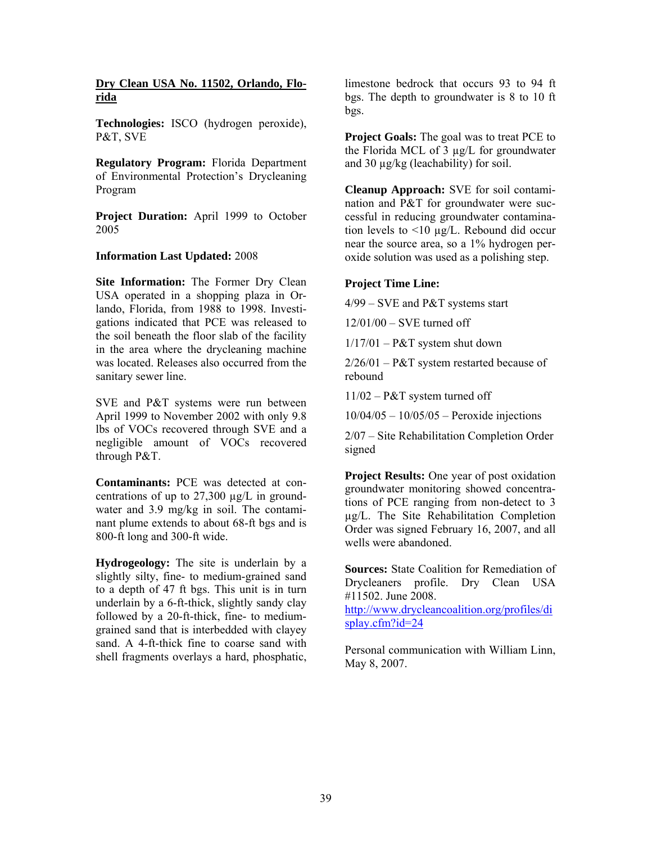#### **Dry Clean USA No. 11502, Orlando, Florida**

**Technologies:** ISCO (hydrogen peroxide), P&T, SVE

**Regulatory Program:** Florida Department of Environmental Protection's Drycleaning Program

**Project Duration:** April 1999 to October 2005

#### **Information Last Updated:** 2008

 **Site Information:** The Former Dry Clean USA operated in a shopping plaza in Orlando, Florida, from 1988 to 1998. Investigations indicated that PCE was released to the soil beneath the floor slab of the facility in the area where the drycleaning machine was located. Releases also occurred from the sanitary sewer line.

SVE and P&T systems were run between April 1999 to November 2002 with only 9.8 lbs of VOCs recovered through SVE and a negligible amount of VOCs recovered through P&T.

**Contaminants:** PCE was detected at concentrations of up to  $27,300 \mu g/L$  in groundwater and 3.9 mg/kg in soil. The contaminant plume extends to about 68-ft bgs and is 800-ft long and 300-ft wide.

**Hydrogeology:** The site is underlain by a slightly silty, fine- to medium-grained sand to a depth of 47 ft bgs. This unit is in turn underlain by a 6-ft-thick, slightly sandy clay followed by a 20-ft-thick, fine- to mediumgrained sand that is interbedded with clayey sand. A 4-ft-thick fine to coarse sand with shell fragments overlays a hard, phosphatic,

limestone bedrock that occurs 93 to 94 ft bgs. The depth to groundwater is 8 to 10 ft bgs.

**Project Goals:** The goal was to treat PCE to the Florida MCL of 3 µg/L for groundwater and 30 µg/kg (leachability) for soil.

**Cleanup Approach:** SVE for soil contamination and P&T for groundwater were successful in reducing groundwater contamination levels to <10 µg/L. Rebound did occur near the source area, so a 1% hydrogen peroxide solution was used as a polishing step.

#### **Project Time Line:**

4/99 – SVE and P&T systems start

12/01/00 – SVE turned off

 $1/17/01 - P&T$  system shut down

 $2/26/01 - P & T$  system restarted because of rebound

11/02 – P&T system turned off

10/04/05 – 10/05/05 – Peroxide injections

2/07 – Site Rehabilitation Completion Order signed

**Project Results:** One year of post oxidation groundwater monitoring showed concentrations of PCE ranging from non-detect to 3 µg/L. The Site Rehabilitation Completion Order was signed February 16, 2007, and all wells were abandoned.

**Sources:** State Coalition for Remediation of Drycleaners profile. Dry Clean USA #11502. June 2008. http://www.drycleancoalition.org/profiles/di splay.cfm?id=24

Personal communication with William Linn, May 8, 2007.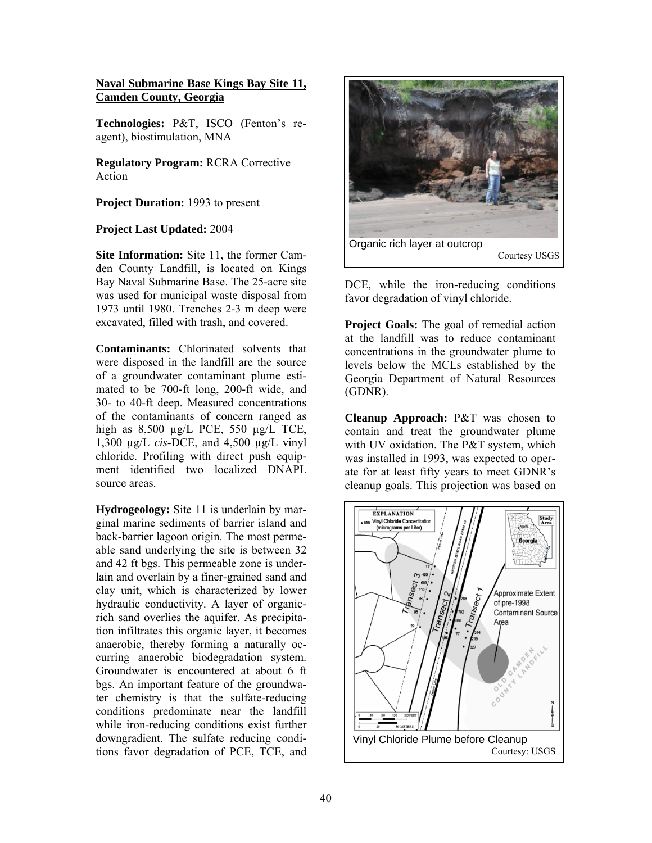#### **Naval Submarine Base Kings Bay Site 11, Camden County, Georgia**

**Technologies:** P&T, ISCO (Fenton's reagent), biostimulation, MNA

**Regulatory Program:** RCRA Corrective Action

**Project Duration:** 1993 to present

#### **Project Last Updated:** 2004

**Site Information:** Site 11, the former Camden County Landfill, is located on Kings Bay Naval Submarine Base. The 25-acre site was used for municipal waste disposal from 1973 until 1980. Trenches 2-3 m deep were excavated, filled with trash, and covered.

**Contaminants:** Chlorinated solvents that were disposed in the landfill are the source of a groundwater contaminant plume estimated to be 700-ft long, 200-ft wide, and 30- to 40-ft deep. Measured concentrations of the contaminants of concern ranged as high as 8,500 µg/L PCE, 550 µg/L TCE, 1,300 µg/L *cis*-DCE, and 4,500 µg/L vinyl chloride. Profiling with direct push equipment identified two localized DNAPL source areas.

**Hydrogeology:** Site 11 is underlain by marginal marine sediments of barrier island and back-barrier lagoon origin. The most permeable sand underlying the site is between 32 and 42 ft bgs. This permeable zone is underlain and overlain by a finer-grained sand and clay unit, which is characterized by lower hydraulic conductivity. A layer of organicrich sand overlies the aquifer. As precipitation infiltrates this organic layer, it becomes anaerobic, thereby forming a naturally occurring anaerobic biodegradation system. Groundwater is encountered at about 6 ft bgs. An important feature of the groundwater chemistry is that the sulfate-reducing conditions predominate near the landfill while iron-reducing conditions exist further downgradient. The sulfate reducing conditions favor degradation of PCE, TCE, and



DCE, while the iron-reducing conditions favor degradation of vinyl chloride.

**Project Goals:** The goal of remedial action at the landfill was to reduce contaminant concentrations in the groundwater plume to levels below the MCLs established by the Georgia Department of Natural Resources (GDNR).

**Cleanup Approach:** P&T was chosen to contain and treat the groundwater plume with UV oxidation. The P&T system, which was installed in 1993, was expected to operate for at least fifty years to meet GDNR's cleanup goals. This projection was based on

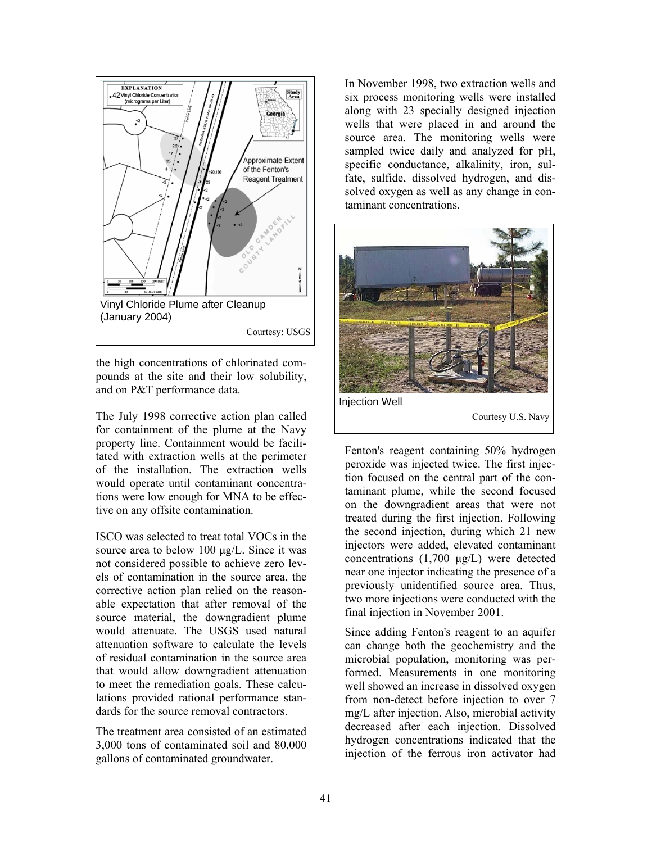

the high concentrations of chlorinated compounds at the site and their low solubility, and on P&T performance data.

The July 1998 corrective action plan called for containment of the plume at the Navy property line. Containment would be facilitated with extraction wells at the perimeter of the installation. The extraction wells would operate until contaminant concentrations were low enough for MNA to be effective on any offsite contamination.

ISCO was selected to treat total VOCs in the source area to below 100  $\mu$ g/L. Since it was not considered possible to achieve zero levels of contamination in the source area, the corrective action plan relied on the reasonable expectation that after removal of the source material, the downgradient plume would attenuate. The USGS used natural attenuation software to calculate the levels of residual contamination in the source area that would allow downgradient attenuation to meet the remediation goals. These calculations provided rational performance standards for the source removal contractors.

The treatment area consisted of an estimated 3,000 tons of contaminated soil and 80,000 gallons of contaminated groundwater.

In November 1998, two extraction wells and six process monitoring wells were installed along with 23 specially designed injection wells that were placed in and around the source area. The monitoring wells were sampled twice daily and analyzed for pH, specific conductance, alkalinity, iron, sulfate, sulfide, dissolved hydrogen, and dissolved oxygen as well as any change in contaminant concentrations.



Fenton's reagent containing 50% hydrogen peroxide was injected twice. The first injection focused on the central part of the contaminant plume, while the second focused on the downgradient areas that were not treated during the first injection. Following the second injection, during which 21 new injectors were added, elevated contaminant concentrations (1,700 µg/L) were detected near one injector indicating the presence of a previously unidentified source area. Thus, two more injections were conducted with the final injection in November 2001.

Since adding Fenton's reagent to an aquifer can change both the geochemistry and the microbial population, monitoring was performed. Measurements in one monitoring well showed an increase in dissolved oxygen from non-detect before injection to over 7 mg/L after injection. Also, microbial activity decreased after each injection. Dissolved hydrogen concentrations indicated that the injection of the ferrous iron activator had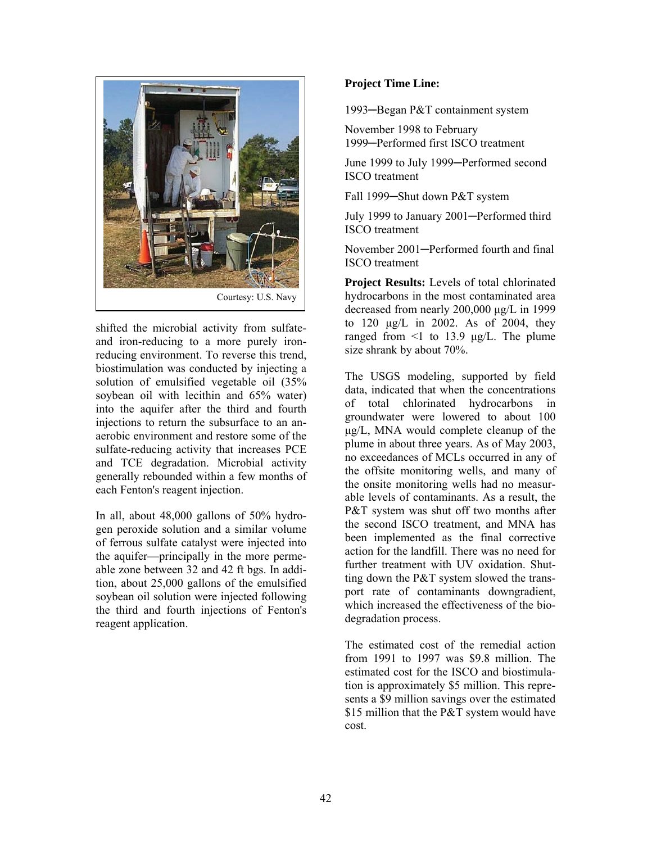

shifted the microbial activity from sulfateand iron-reducing to a more purely ironreducing environment. To reverse this trend, biostimulation was conducted by injecting a solution of emulsified vegetable oil (35% soybean oil with lecithin and 65% water) into the aquifer after the third and fourth injections to return the subsurface to an anaerobic environment and restore some of the sulfate-reducing activity that increases PCE and TCE degradation. Microbial activity generally rebounded within a few months of each Fenton's reagent injection.

In all, about 48,000 gallons of 50% hydrogen peroxide solution and a similar volume of ferrous sulfate catalyst were injected into the aquifer—principally in the more permeable zone between 32 and 42 ft bgs. In addition, about 25,000 gallons of the emulsified soybean oil solution were injected following the third and fourth injections of Fenton's reagent application.

## **Project Time Line:**

1993─Began P&T containment system

November 1998 to February 1999─Performed first ISCO treatment

June 1999 to July 1999─Performed second ISCO treatment

Fall 1999─Shut down P&T system

July 1999 to January 2001─Performed third ISCO treatment

November 2001─Performed fourth and final ISCO treatment

**Project Results:** Levels of total chlorinated hydrocarbons in the most contaminated area decreased from nearly 200,000 µg/L in 1999 to 120 µg/L in 2002. As of 2004, they ranged from  $\leq 1$  to 13.9  $\mu$ g/L. The plume size shrank by about 70%.

The USGS modeling, supported by field data, indicated that when the concentrations of total chlorinated hydrocarbons in groundwater were lowered to about 100 µg/L, MNA would complete cleanup of the plume in about three years. As of May 2003, no exceedances of MCLs occurred in any of the offsite monitoring wells, and many of the onsite monitoring wells had no measurable levels of contaminants. As a result, the P&T system was shut off two months after the second ISCO treatment, and MNA has been implemented as the final corrective action for the landfill. There was no need for further treatment with UV oxidation. Shutting down the P&T system slowed the transport rate of contaminants downgradient, which increased the effectiveness of the biodegradation process.

The estimated cost of the remedial action from 1991 to 1997 was \$9.8 million. The estimated cost for the ISCO and biostimulation is approximately \$5 million. This represents a \$9 million savings over the estimated \$15 million that the P&T system would have cost.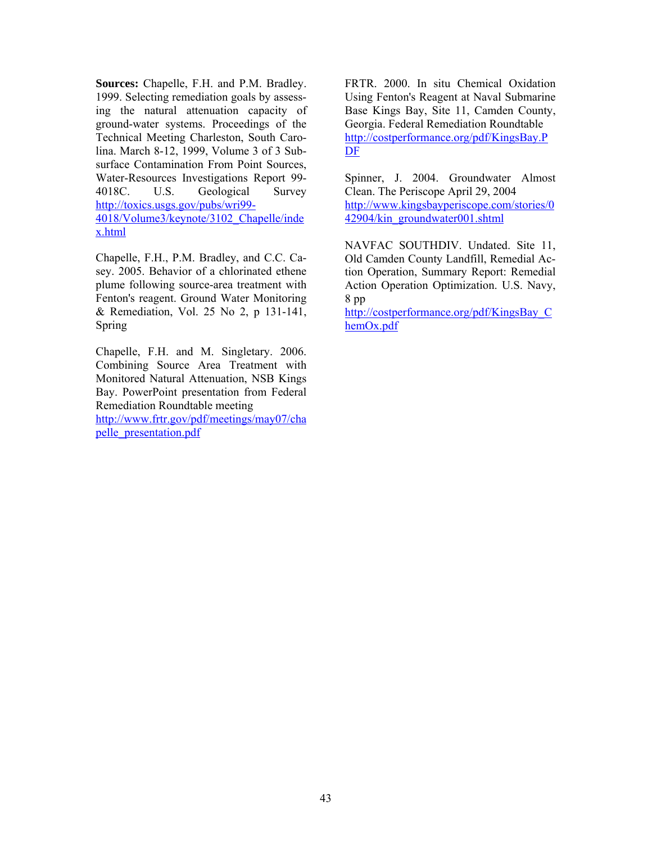**Sources:** Chapelle, F.H. and P.M. Bradley. 1999. Selecting remediation goals by assessing the natural attenuation capacity of ground-water systems. Proceedings of the Technical Meeting Charleston, South Carolina. March 8-12, 1999, Volume 3 of 3 Subsurface Contamination From Point Sources, Water-Resources Investigations Report 99 4018C. U.S. Geological Survey http://toxics.usgs.gov/pubs/wri99 4018/Volume3/keynote/3102\_Chapelle/inde x.html

Chapelle, F.H., P.M. Bradley, and C.C. Casey. 2005. Behavior of a chlorinated ethene plume following source-area treatment with Fenton's reagent. Ground Water Monitoring & Remediation, Vol. 25 No 2, p 131-141, Spring

Chapelle, F.H. and M. Singletary. 2006. Combining Source Area Treatment with Monitored Natural Attenuation, NSB Kings Bay. PowerPoint presentation from Federal Remediation Roundtable meeting

http://www.frtr.gov/pdf/meetings/may07/cha pelle\_presentation.pdf

FRTR. 2000. In situ Chemical Oxidation Using Fenton's Reagent at Naval Submarine Base Kings Bay, Site 11, Camden County, Georgia. Federal Remediation Roundtable http://costperformance.org/pdf/KingsBay.P DF

Spinner, J. 2004. Groundwater Almost Clean. The Periscope April 29, 2004 http://www.kingsbayperiscope.com/stories/0 42904/kin\_groundwater001.shtml

NAVFAC SOUTHDIV. Undated. Site 11, Old Camden County Landfill, Remedial Action Operation, Summary Report: Remedial Action Operation Optimization. U.S. Navy, 8 pp

http://costperformance.org/pdf/KingsBay\_C hemOx.pdf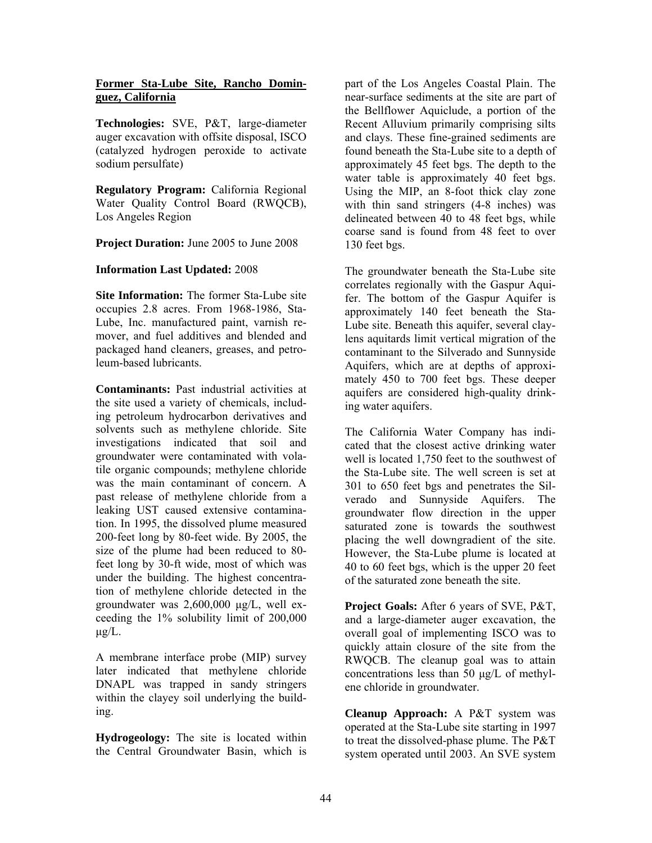#### **Former Sta-Lube Site, Rancho Dominguez, California**

**Technologies:** SVE, P&T, large-diameter auger excavation with offsite disposal, ISCO (catalyzed hydrogen peroxide to activate sodium persulfate)

**Regulatory Program:** California Regional Water Quality Control Board (RWQCB), Los Angeles Region

**Project Duration:** June 2005 to June 2008

## **Information Last Updated:** 2008

**Site Information:** The former Sta-Lube site occupies 2.8 acres. From 1968-1986, Sta-Lube, Inc. manufactured paint, varnish remover, and fuel additives and blended and packaged hand cleaners, greases, and petroleum-based lubricants.

**Contaminants:** Past industrial activities at the site used a variety of chemicals, including petroleum hydrocarbon derivatives and solvents such as methylene chloride. Site investigations indicated that soil and groundwater were contaminated with volatile organic compounds; methylene chloride was the main contaminant of concern. A past release of methylene chloride from a leaking UST caused extensive contamination. In 1995, the dissolved plume measured 200-feet long by 80-feet wide. By 2005, the size of the plume had been reduced to 80 feet long by 30-ft wide, most of which was under the building. The highest concentration of methylene chloride detected in the groundwater was 2,600,000 µg/L, well exceeding the 1% solubility limit of 200,000  $\mu$ g/L.

A membrane interface probe (MIP) survey later indicated that methylene chloride DNAPL was trapped in sandy stringers within the clayey soil underlying the building.

**Hydrogeology:** The site is located within the Central Groundwater Basin, which is

part of the Los Angeles Coastal Plain. The near-surface sediments at the site are part of the Bellflower Aquiclude, a portion of the Recent Alluvium primarily comprising silts and clays. These fine-grained sediments are found beneath the Sta-Lube site to a depth of approximately 45 feet bgs. The depth to the water table is approximately 40 feet bgs. Using the MIP, an 8-foot thick clay zone with thin sand stringers  $(4-8$  inches) was delineated between 40 to 48 feet bgs, while coarse sand is found from 48 feet to over 130 feet bgs.

The groundwater beneath the Sta-Lube site correlates regionally with the Gaspur Aquifer. The bottom of the Gaspur Aquifer is approximately 140 feet beneath the Sta-Lube site. Beneath this aquifer, several claylens aquitards limit vertical migration of the contaminant to the Silverado and Sunnyside Aquifers, which are at depths of approximately 450 to 700 feet bgs. These deeper aquifers are considered high-quality drinking water aquifers.

The California Water Company has indicated that the closest active drinking water well is located 1,750 feet to the southwest of the Sta-Lube site. The well screen is set at 301 to 650 feet bgs and penetrates the Silverado and Sunnyside Aquifers. The groundwater flow direction in the upper saturated zone is towards the southwest placing the well downgradient of the site. However, the Sta-Lube plume is located at 40 to 60 feet bgs, which is the upper 20 feet of the saturated zone beneath the site.

**Project Goals:** After 6 years of SVE, P&T, and a large-diameter auger excavation, the overall goal of implementing ISCO was to quickly attain closure of the site from the RWQCB. The cleanup goal was to attain concentrations less than 50 µg/L of methylene chloride in groundwater.

**Cleanup Approach:** A P&T system was operated at the Sta-Lube site starting in 1997 to treat the dissolved-phase plume. The P&T system operated until 2003. An SVE system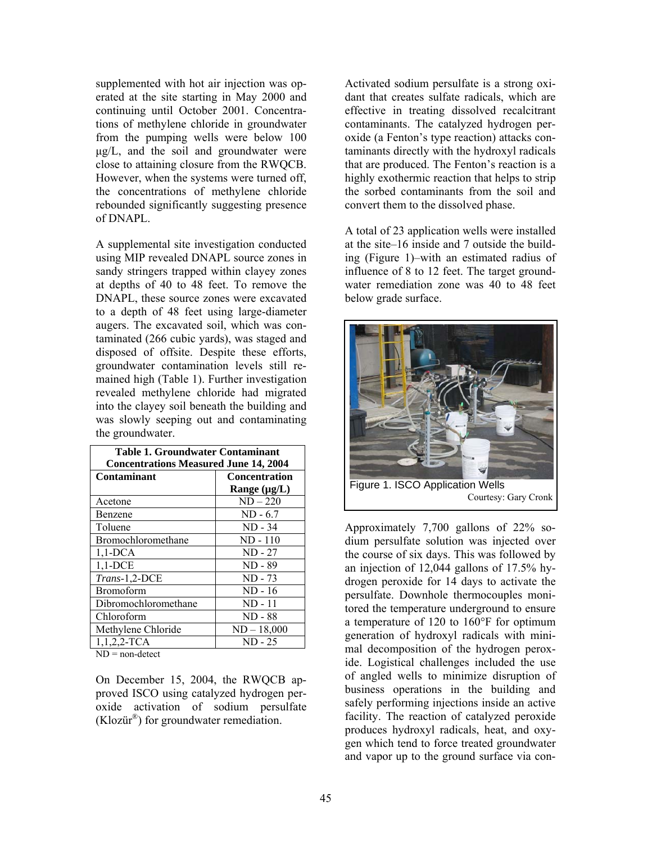supplemented with hot air injection was operated at the site starting in May 2000 and continuing until October 2001. Concentrations of methylene chloride in groundwater from the pumping wells were below 100 µg/L, and the soil and groundwater were close to attaining closure from the RWQCB. However, when the systems were turned off, the concentrations of methylene chloride rebounded significantly suggesting presence of DNAPL.

A supplemental site investigation conducted using MIP revealed DNAPL source zones in sandy stringers trapped within clayey zones at depths of 40 to 48 feet. To remove the DNAPL, these source zones were excavated to a depth of 48 feet using large-diameter augers. The excavated soil, which was contaminated (266 cubic yards), was staged and disposed of offsite. Despite these efforts, groundwater contamination levels still remained high (Table 1). Further investigation revealed methylene chloride had migrated into the clayey soil beneath the building and was slowly seeping out and contaminating the groundwater.

| <b>Table 1. Groundwater Contaminant</b>      |                      |  |  |  |
|----------------------------------------------|----------------------|--|--|--|
| <b>Concentrations Measured June 14, 2004</b> |                      |  |  |  |
| Contaminant                                  | <b>Concentration</b> |  |  |  |
|                                              | Range $(\mu g/L)$    |  |  |  |
| Acetone                                      | $ND-220$             |  |  |  |
| Benzene                                      | $ND - 6.7$           |  |  |  |
| Toluene                                      | $ND - 34$            |  |  |  |
| Bromochloromethane                           | ND - 110             |  |  |  |
| $1,1$ -DCA                                   | $ND - 27$            |  |  |  |
| $1,1$ -DCE                                   | $ND - 89$            |  |  |  |
| Trans-1,2-DCE                                | $ND - 73$            |  |  |  |
| Bromoform                                    | $ND - 16$            |  |  |  |
| Dibromochloromethane                         | $ND - 11$            |  |  |  |
| Chloroform                                   | ND - 88              |  |  |  |
| Methylene Chloride                           | $ND - 18,000$        |  |  |  |
| $1,1,2,2$ -TCA                               | ND - 25              |  |  |  |

 $ND = non-detect$ 

On December 15, 2004, the RWQCB approved ISCO using catalyzed hydrogen peroxide activation of sodium persulfate  $(Kloz\ddot{u}^{\circ})$  for groundwater remediation.

Activated sodium persulfate is a strong oxidant that creates sulfate radicals, which are effective in treating dissolved recalcitrant contaminants. The catalyzed hydrogen peroxide (a Fenton's type reaction) attacks contaminants directly with the hydroxyl radicals that are produced. The Fenton's reaction is a highly exothermic reaction that helps to strip the sorbed contaminants from the soil and convert them to the dissolved phase.

A total of 23 application wells were installed at the site–16 inside and 7 outside the building (Figure 1)–with an estimated radius of influence of 8 to 12 feet. The target groundwater remediation zone was 40 to 48 feet below grade surface.



Figure 1. ISCO Application Wells Courtesy: Gary Cronk

Approximately 7,700 gallons of 22% sodium persulfate solution was injected over the course of six days. This was followed by an injection of 12,044 gallons of 17.5% hydrogen peroxide for 14 days to activate the persulfate. Downhole thermocouples monitored the temperature underground to ensure a temperature of 120 to 160°F for optimum generation of hydroxyl radicals with minimal decomposition of the hydrogen peroxide. Logistical challenges included the use of angled wells to minimize disruption of business operations in the building and safely performing injections inside an active facility. The reaction of catalyzed peroxide produces hydroxyl radicals, heat, and oxygen which tend to force treated groundwater and vapor up to the ground surface via con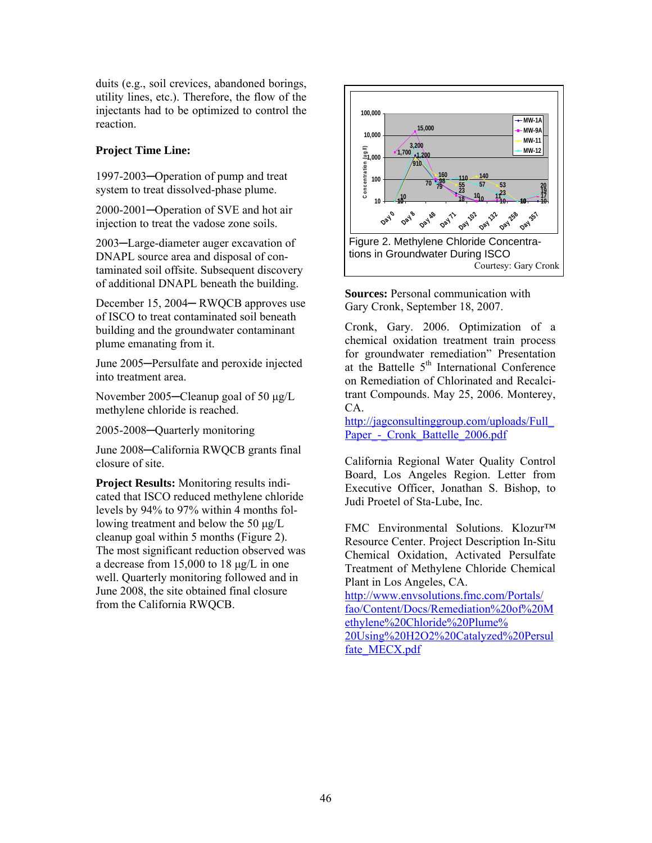duits (e.g., soil crevices, abandoned borings, utility lines, etc.). Therefore, the flow of the injectants had to be optimized to control the reaction.

## **Project Time Line:**

1997-2003─Operation of pump and treat system to treat dissolved-phase plume.

2000-2001─Operation of SVE and hot air injection to treat the vadose zone soils.

2003─Large-diameter auger excavation of DNAPL source area and disposal of contaminated soil offsite. Subsequent discovery of additional DNAPL beneath the building.

December 15, 2004─ RWQCB approves use of ISCO to treat contaminated soil beneath building and the groundwater contaminant plume emanating from it.

June 2005─Persulfate and peroxide injected into treatment area.

November 2005─Cleanup goal of 50 µg/L methylene chloride is reached.

2005-2008─Quarterly monitoring

June 2008─California RWQCB grants final closure of site.

**Project Results:** Monitoring results indicated that ISCO reduced methylene chloride levels by 94% to 97% within 4 months following treatment and below the 50 µg/L cleanup goal within 5 months (Figure 2). The most significant reduction observed was a decrease from 15,000 to 18 µg/L in one well. Quarterly monitoring followed and in June 2008, the site obtained final closure from the California RWQCB.



**Sources:** Personal communication with Gary Cronk, September 18, 2007.

Cronk, Gary. 2006. Optimization of a chemical oxidation treatment train process for groundwater remediation" Presentation at the Battelle  $5<sup>th</sup>$  International Conference on Remediation of Chlorinated and Recalcitrant Compounds. May 25, 2006. Monterey, CA.

[http://jagconsultinggroup.com/uploads/Full\\_](http://jagconsultinggroup.com/uploads/Full_)  Paper - Cronk Battelle 2006.pdf

California Regional Water Quality Control Board, Los Angeles Region. Letter from Executive Officer, Jonathan S. Bishop, to Judi Proetel of Sta-Lube, Inc.

FMC Environmental Solutions. Klozur™ Resource Center. Project Description In-Situ Chemical Oxidation, Activated Persulfate Treatment of Methylene Chloride Chemical Plant in Los Angeles, CA.

http://www.envsolutions.fmc.com/Portals/ fao/Content/Docs/Remediation%20of%20M ethylene%20Chloride%20Plume% 20Using%20H2O2%20Catalyzed%20Persul fate\_MECX.pdf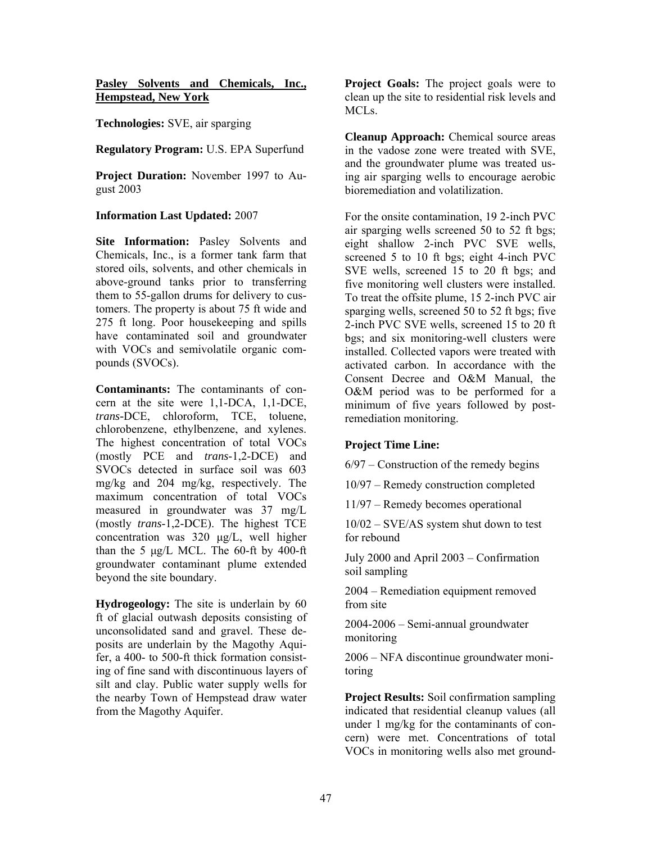### **Pasley Solvents and Chemicals, Inc., Hempstead, New York**

**Technologies:** SVE, air sparging

#### **Regulatory Program:** U.S. EPA Superfund

**Project Duration:** November 1997 to August 2003

#### **Information Last Updated:** 2007

**Site Information:** Pasley Solvents and Chemicals, Inc., is a former tank farm that stored oils, solvents, and other chemicals in above-ground tanks prior to transferring them to 55-gallon drums for delivery to customers. The property is about 75 ft wide and 275 ft long. Poor housekeeping and spills have contaminated soil and groundwater with VOCs and semivolatile organic compounds (SVOCs).

than the 5  $\mu$ g/L MCL. The 60-ft by 400-ft **Contaminants:** The contaminants of concern at the site were 1,1-DCA, 1,1-DCE, *trans-*DCE, chloroform, TCE, toluene, chlorobenzene, ethylbenzene, and xylenes. The highest concentration of total VOCs (mostly PCE and *trans*-1,2-DCE) and SVOCs detected in surface soil was 603 mg/kg and 204 mg/kg, respectively. The maximum concentration of total VOCs measured in groundwater was 37 mg/L (mostly *trans*-1,2-DCE). The highest TCE concentration was 320 µg/L, well higher groundwater contaminant plume extended beyond the site boundary.

**Hydrogeology:** The site is underlain by 60 ft of glacial outwash deposits consisting of unconsolidated sand and gravel. These deposits are underlain by the Magothy Aquifer, a 400- to 500-ft thick formation consisting of fine sand with discontinuous layers of silt and clay. Public water supply wells for the nearby Town of Hempstead draw water from the Magothy Aquifer.

**Project Goals:** The project goals were to clean up the site to residential risk levels and MCLs.

**Cleanup Approach:** Chemical source areas in the vadose zone were treated with SVE, and the groundwater plume was treated using air sparging wells to encourage aerobic bioremediation and volatilization.

For the onsite contamination, 19 2-inch PVC air sparging wells screened 50 to 52 ft bgs; eight shallow 2-inch PVC SVE wells, screened 5 to 10 ft bgs; eight 4-inch PVC SVE wells, screened 15 to 20 ft bgs; and five monitoring well clusters were installed. To treat the offsite plume, 15 2-inch PVC air sparging wells, screened 50 to 52 ft bgs; five 2-inch PVC SVE wells, screened 15 to 20 ft bgs; and six monitoring-well clusters were installed. Collected vapors were treated with activated carbon. In accordance with the Consent Decree and O&M Manual, the O&M period was to be performed for a minimum of five years followed by postremediation monitoring.

## **Project Time Line:**

6/97 – Construction of the remedy begins

10/97 – Remedy construction completed

11/97 – Remedy becomes operational

10/02 – SVE/AS system shut down to test for rebound

July 2000 and April 2003 – Confirmation soil sampling

2004 – Remediation equipment removed from site

2004-2006 – Semi-annual groundwater monitoring

2006 – NFA discontinue groundwater monitoring

**Project Results:** Soil confirmation sampling indicated that residential cleanup values (all under 1 mg/kg for the contaminants of concern) were met. Concentrations of total VOCs in monitoring wells also met ground-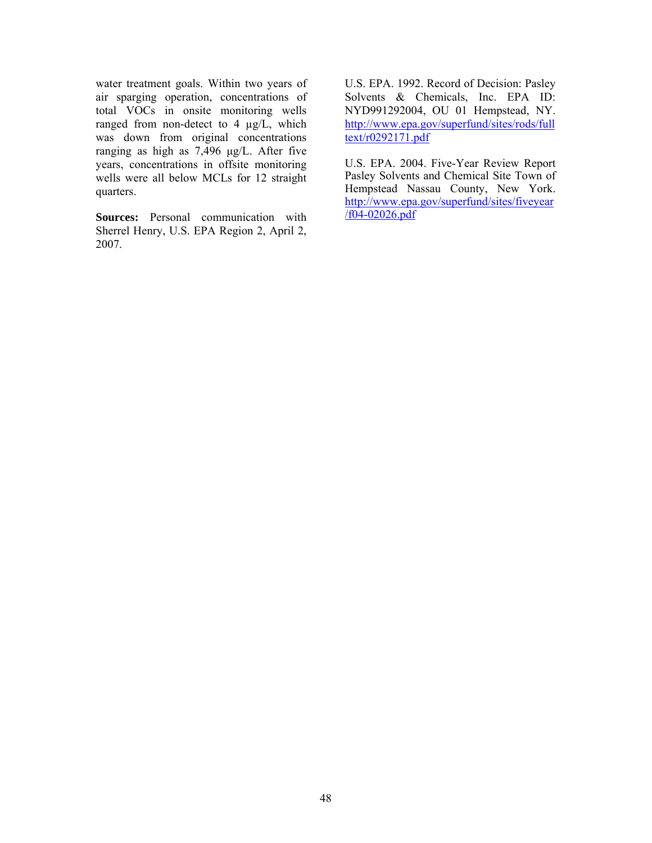water treatment goals. Within two years of air sparging operation, concentrations of total VOCs in onsite monitoring wells ranged from non-detect to 4  $\mu$ g/L, which was down from original concentrations ranging as high as 7,496 µg/L. After five years, concentrations in offsite monitoring wells were all below MCLs for 12 straight quarters.

**Sources:** Personal communication with Sherrel Henry, U.S. EPA Region 2, April 2, 2007.

U.S. EPA. 1992. Record of Decision: Pasley Solvents & Chemicals, Inc. EPA ID: NYD991292004, OU 01 Hempstead, NY. http://www.epa.gov/superfund/sites/rods/full text/r0292171.pdf

U.S. EPA. 2004. Five-Year Review Report Pasley Solvents and Chemical Site Town of Hempstead Nassau County, New York. http://www.epa.gov/superfund/sites/fiveyear /f04-02026.pdf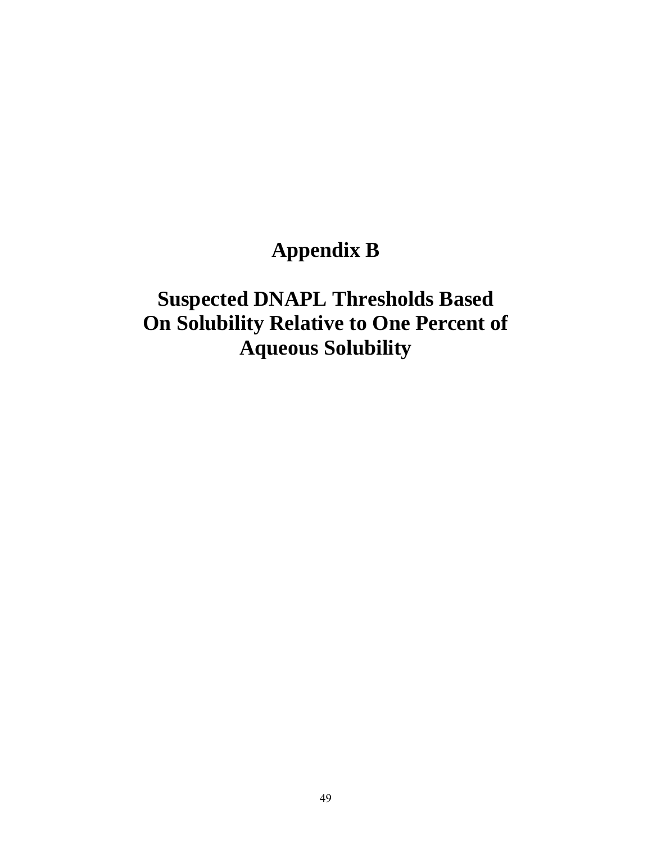## **Appendix B**

## **Suspected DNAPL Thresholds Based On Solubility Relative to One Percent of Aqueous Solubility**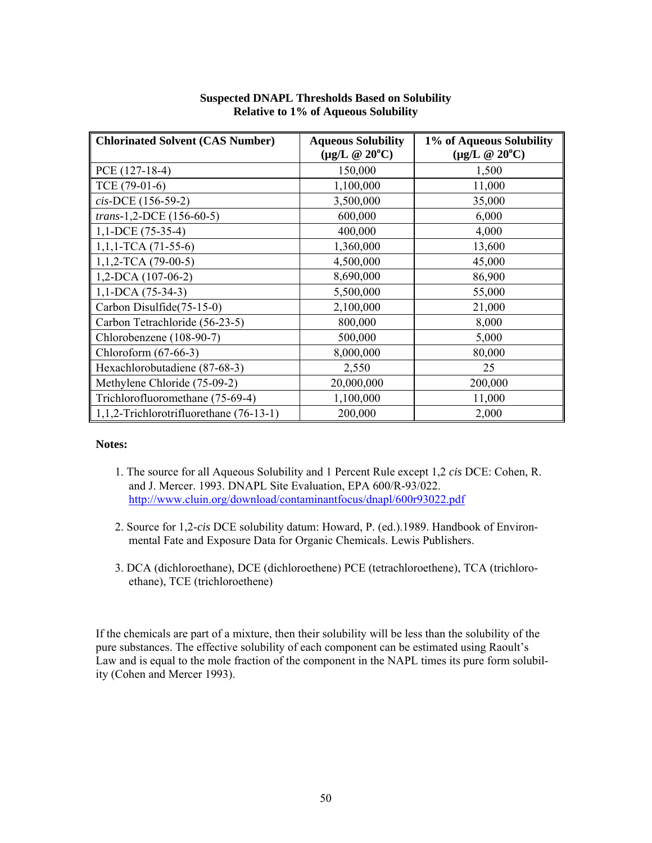| <b>Chlorinated Solvent (CAS Number)</b> | <b>Aqueous Solubility</b>   | 1% of Aqueous Solubility    |
|-----------------------------------------|-----------------------------|-----------------------------|
|                                         | $(\mu g/L \ @ 20^{\circ}C)$ | $(\mu g/L \ @ 20^{\circ}C)$ |
| $PCE(127-18-4)$                         | 150,000                     | 1,500                       |
| TCE (79-01-6)                           | 1,100,000                   | 11,000                      |
| cis-DCE (156-59-2)                      | 3,500,000                   | 35,000                      |
| trans-1,2-DCE (156-60-5)                | 600,000                     | 6,000                       |
| $1,1$ -DCE (75-35-4)                    | 400,000                     | 4,000                       |
| $1,1,1$ -TCA (71-55-6)                  | 1,360,000                   | 13,600                      |
| $1,1,2$ -TCA (79-00-5)                  | 4,500,000                   | 45,000                      |
| $1,2$ -DCA $(107-06-2)$                 | 8,690,000                   | 86,900                      |
| $1,1$ -DCA (75-34-3)                    | 5,500,000                   | 55,000                      |
| Carbon Disulfide(75-15-0)               | 2,100,000                   | 21,000                      |
| Carbon Tetrachloride (56-23-5)          | 800,000                     | 8,000                       |
| Chlorobenzene (108-90-7)                | 500,000                     | 5,000                       |
| Chloroform (67-66-3)                    | 8,000,000                   | 80,000                      |
| Hexachlorobutadiene (87-68-3)           | 2,550                       | 25                          |
| Methylene Chloride (75-09-2)            | 20,000,000                  | 200,000                     |
| Trichlorofluoromethane (75-69-4)        | 1,100,000                   | 11,000                      |
| 1,1,2-Trichlorotrifluorethane (76-13-1) | 200,000                     | 2,000                       |

### **Suspected DNAPL Thresholds Based on Solubility Relative to 1% of Aqueous Solubility**

#### **Notes:**

- 1. The source for all Aqueous Solubility and 1 Percent Rule except 1,2 *cis* DCE: Cohen, R. and J. Mercer. 1993. DNAPL Site Evaluation, EPA 600/R-93/022. http://www.cluin.org/download/contaminantfocus/dnapl/600r93022.pdf
- 2. Source for 1,2-*cis* DCE solubility datum: Howard, P. (ed.).1989. Handbook of Environmental Fate and Exposure Data for Organic Chemicals. Lewis Publishers.
- 3. DCA (dichloroethane), DCE (dichloroethene) PCE (tetrachloroethene), TCA (trichloroethane), TCE (trichloroethene)

If the chemicals are part of a mixture, then their solubility will be less than the solubility of the pure substances. The effective solubility of each component can be estimated using Raoult's Law and is equal to the mole fraction of the component in the NAPL times its pure form solubility (Cohen and Mercer 1993).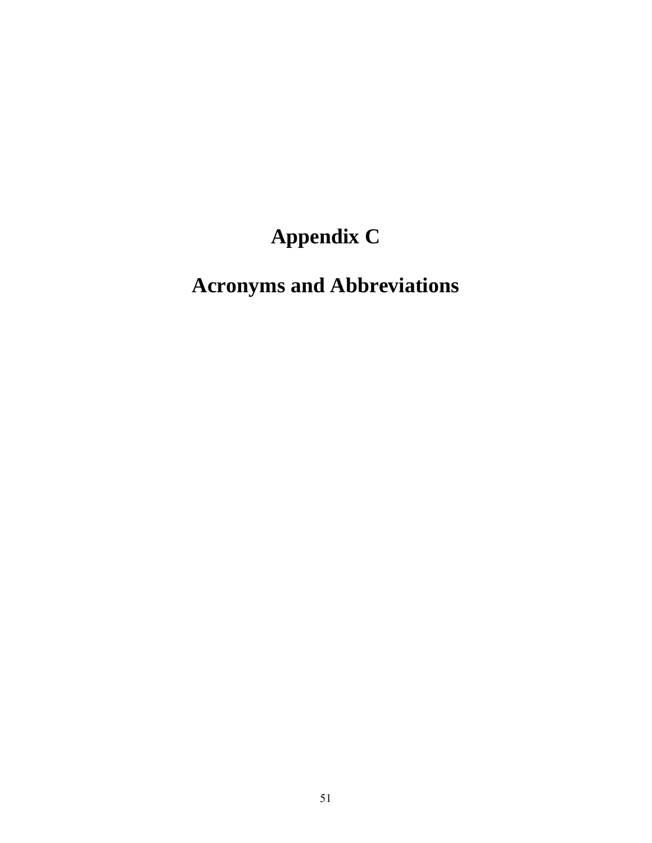# **Appendix C**

# **Acronyms and Abbreviations**